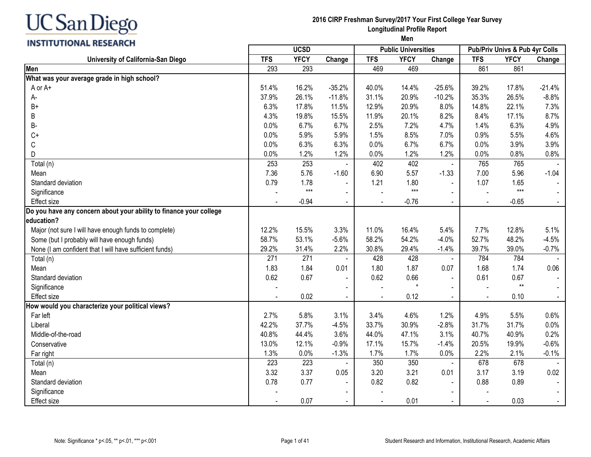# **INSTITUTIONAL RESEARCH**

# **2016 CIRP Freshman Survey/2017 Your First College Year Survey Longitudinal Profile Report**

|                                                                    |            | <b>UCSD</b> |                |                          | <b>Public Universities</b> |                |                | Pub/Priv Univs & Pub 4yr Colls |          |
|--------------------------------------------------------------------|------------|-------------|----------------|--------------------------|----------------------------|----------------|----------------|--------------------------------|----------|
| University of California-San Diego                                 | <b>TFS</b> | <b>YFCY</b> | Change         | <b>TFS</b>               | <b>YFCY</b>                | Change         | <b>TFS</b>     | <b>YFCY</b>                    | Change   |
| Men                                                                | 293        | 293         |                | 469                      | 469                        |                | 861            | 861                            |          |
| What was your average grade in high school?                        |            |             |                |                          |                            |                |                |                                |          |
| A or A+                                                            | 51.4%      | 16.2%       | $-35.2%$       | 40.0%                    | 14.4%                      | $-25.6%$       | 39.2%          | 17.8%                          | $-21.4%$ |
| А-                                                                 | 37.9%      | 26.1%       | $-11.8%$       | 31.1%                    | 20.9%                      | $-10.2%$       | 35.3%          | 26.5%                          | $-8.8%$  |
| $B+$                                                               | 6.3%       | 17.8%       | 11.5%          | 12.9%                    | 20.9%                      | 8.0%           | 14.8%          | 22.1%                          | 7.3%     |
| B                                                                  | 4.3%       | 19.8%       | 15.5%          | 11.9%                    | 20.1%                      | 8.2%           | 8.4%           | 17.1%                          | 8.7%     |
| B-                                                                 | 0.0%       | 6.7%        | 6.7%           | 2.5%                     | 7.2%                       | 4.7%           | 1.4%           | 6.3%                           | 4.9%     |
| $C+$                                                               | 0.0%       | 5.9%        | 5.9%           | 1.5%                     | 8.5%                       | 7.0%           | 0.9%           | 5.5%                           | 4.6%     |
| $\mathsf C$                                                        | 0.0%       | 6.3%        | 6.3%           | 0.0%                     | 6.7%                       | 6.7%           | 0.0%           | 3.9%                           | 3.9%     |
| D                                                                  | 0.0%       | 1.2%        | 1.2%           | 0.0%                     | 1.2%                       | 1.2%           | 0.0%           | 0.8%                           | 0.8%     |
| Total (n)                                                          | 253        | 253         | $\blacksquare$ | 402                      | 402                        | $\blacksquare$ | 765            | 765                            |          |
| Mean                                                               | 7.36       | 5.76        | $-1.60$        | 6.90                     | 5.57                       | $-1.33$        | 7.00           | 5.96                           | $-1.04$  |
| Standard deviation                                                 | 0.79       | 1.78        | $\blacksquare$ | 1.21                     | 1.80                       | $\blacksquare$ | 1.07           | 1.65                           |          |
| Significance                                                       |            | $***$       | $\blacksquare$ |                          | $***$                      | $\blacksquare$ |                | $***$                          |          |
| Effect size                                                        |            | $-0.94$     | $\blacksquare$ |                          | $-0.76$                    | $\blacksquare$ | $\blacksquare$ | $-0.65$                        |          |
| Do you have any concern about your ability to finance your college |            |             |                |                          |                            |                |                |                                |          |
| education?                                                         |            |             |                |                          |                            |                |                |                                |          |
| Major (not sure I will have enough funds to complete)              | 12.2%      | 15.5%       | 3.3%           | 11.0%                    | 16.4%                      | 5.4%           | 7.7%           | 12.8%                          | 5.1%     |
| Some (but I probably will have enough funds)                       | 58.7%      | 53.1%       | $-5.6%$        | 58.2%                    | 54.2%                      | $-4.0%$        | 52.7%          | 48.2%                          | $-4.5%$  |
| None (I am confident that I will have sufficient funds)            | 29.2%      | 31.4%       | 2.2%           | 30.8%                    | 29.4%                      | $-1.4%$        | 39.7%          | 39.0%                          | $-0.7%$  |
| Total (n)                                                          | 271        | 271         |                | 428                      | 428                        |                | 784            | 784                            |          |
| Mean                                                               | 1.83       | 1.84        | 0.01           | 1.80                     | 1.87                       | 0.07           | 1.68           | 1.74                           | 0.06     |
| Standard deviation                                                 | 0.62       | 0.67        | $\blacksquare$ | 0.62                     | 0.66                       |                | 0.61           | 0.67                           |          |
| Significance                                                       |            |             |                |                          |                            |                |                | $**$                           |          |
| <b>Effect size</b>                                                 |            | 0.02        |                |                          | 0.12                       |                | $\blacksquare$ | 0.10                           |          |
| How would you characterize your political views?                   |            |             |                |                          |                            |                |                |                                |          |
| Far left                                                           | 2.7%       | 5.8%        | 3.1%           | 3.4%                     | 4.6%                       | 1.2%           | 4.9%           | 5.5%                           | 0.6%     |
| Liberal                                                            | 42.2%      | 37.7%       | $-4.5%$        | 33.7%                    | 30.9%                      | $-2.8%$        | 31.7%          | 31.7%                          | 0.0%     |
| Middle-of-the-road                                                 | 40.8%      | 44.4%       | 3.6%           | 44.0%                    | 47.1%                      | 3.1%           | 40.7%          | 40.9%                          | 0.2%     |
| Conservative                                                       | 13.0%      | 12.1%       | $-0.9%$        | 17.1%                    | 15.7%                      | $-1.4%$        | 20.5%          | 19.9%                          | $-0.6%$  |
| Far right                                                          | 1.3%       | 0.0%        | $-1.3%$        | 1.7%                     | 1.7%                       | 0.0%           | 2.2%           | 2.1%                           | $-0.1%$  |
| Total (n)                                                          | 223        | 223         |                | 350                      | 350                        | $\blacksquare$ | 678            | 678                            |          |
| Mean                                                               | 3.32       | 3.37        | 0.05           | 3.20                     | 3.21                       | 0.01           | 3.17           | 3.19                           | 0.02     |
| Standard deviation                                                 | 0.78       | 0.77        | $\blacksquare$ | 0.82                     | 0.82                       |                | 0.88           | 0.89                           |          |
| Significance                                                       |            |             |                |                          |                            |                |                |                                |          |
| <b>Effect size</b>                                                 |            | 0.07        | $\blacksquare$ | $\overline{\phantom{a}}$ | 0.01                       | $\blacksquare$ | $\sim$         | 0.03                           |          |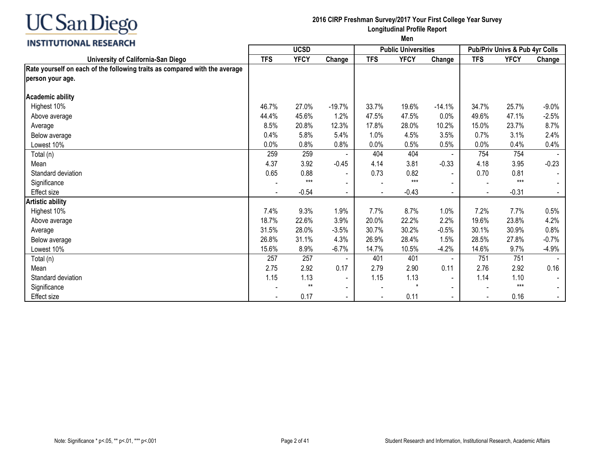

#### **2016 CIRP Freshman Survey/2017 Your First College Year Survey Longitudinal Profile Report**

|                                                                            | <b>UCSD</b> |             |                          |            | <b>Public Universities</b> |                | Pub/Priv Univs & Pub 4yr Colls |             |                          |  |
|----------------------------------------------------------------------------|-------------|-------------|--------------------------|------------|----------------------------|----------------|--------------------------------|-------------|--------------------------|--|
| University of California-San Diego                                         | <b>TFS</b>  | <b>YFCY</b> | Change                   | <b>TFS</b> | <b>YFCY</b>                | Change         | <b>TFS</b>                     | <b>YFCY</b> | Change                   |  |
| Rate yourself on each of the following traits as compared with the average |             |             |                          |            |                            |                |                                |             |                          |  |
| person your age.                                                           |             |             |                          |            |                            |                |                                |             |                          |  |
| Academic ability                                                           |             |             |                          |            |                            |                |                                |             |                          |  |
| Highest 10%                                                                | 46.7%       | 27.0%       | $-19.7%$                 | 33.7%      | 19.6%                      | $-14.1%$       | 34.7%                          | 25.7%       | $-9.0%$                  |  |
| Above average                                                              | 44.4%       | 45.6%       | 1.2%                     | 47.5%      | 47.5%                      | 0.0%           | 49.6%                          | 47.1%       | $-2.5%$                  |  |
| Average                                                                    | 8.5%        | 20.8%       | 12.3%                    | 17.8%      | 28.0%                      | 10.2%          | 15.0%                          | 23.7%       | 8.7%                     |  |
| Below average                                                              | 0.4%        | 5.8%        | 5.4%                     | 1.0%       | 4.5%                       | 3.5%           | 0.7%                           | 3.1%        | 2.4%                     |  |
| Lowest 10%                                                                 | $0.0\%$     | 0.8%        | 0.8%                     | 0.0%       | 0.5%                       | 0.5%           | 0.0%                           | 0.4%        | 0.4%                     |  |
| Total (n)                                                                  | 259         | 259         |                          | 404        | 404                        |                | 754                            | 754         |                          |  |
| Mean                                                                       | 4.37        | 3.92        | $-0.45$                  | 4.14       | 3.81                       | $-0.33$        | 4.18                           | 3.95        | $-0.23$                  |  |
| Standard deviation                                                         | 0.65        | 0.88        | $\overline{\phantom{a}}$ | 0.73       | 0.82                       | $\sim$         | 0.70                           | 0.81        |                          |  |
| Significance                                                               |             | $***$       |                          |            | $***$                      |                |                                | $***$       |                          |  |
| <b>Effect size</b>                                                         |             | $-0.54$     |                          |            | $-0.43$                    |                | $\blacksquare$                 | $-0.31$     |                          |  |
| <b>Artistic ability</b>                                                    |             |             |                          |            |                            |                |                                |             |                          |  |
| Highest 10%                                                                | 7.4%        | 9.3%        | 1.9%                     | 7.7%       | 8.7%                       | 1.0%           | 7.2%                           | 7.7%        | 0.5%                     |  |
| Above average                                                              | 18.7%       | 22.6%       | 3.9%                     | 20.0%      | 22.2%                      | 2.2%           | 19.6%                          | 23.8%       | 4.2%                     |  |
| Average                                                                    | 31.5%       | 28.0%       | $-3.5%$                  | 30.7%      | 30.2%                      | $-0.5%$        | 30.1%                          | 30.9%       | 0.8%                     |  |
| Below average                                                              | 26.8%       | 31.1%       | 4.3%                     | 26.9%      | 28.4%                      | 1.5%           | 28.5%                          | 27.8%       | $-0.7%$                  |  |
| Lowest 10%                                                                 | 15.6%       | 8.9%        | $-6.7\%$                 | 14.7%      | 10.5%                      | $-4.2%$        | 14.6%                          | 9.7%        | $-4.9%$                  |  |
| Total (n)                                                                  | 257         | 257         |                          | 401        | 401                        | $\blacksquare$ | 751                            | 751         |                          |  |
| Mean                                                                       | 2.75        | 2.92        | 0.17                     | 2.79       | 2.90                       | 0.11           | 2.76                           | 2.92        | 0.16                     |  |
| Standard deviation                                                         | 1.15        | 1.13        |                          | 1.15       | 1.13                       | $\blacksquare$ | 1.14                           | 1.10        |                          |  |
| Significance                                                               |             | $***$       | $\overline{\phantom{a}}$ |            | $\star$                    | $\blacksquare$ |                                | $***$       | $\overline{\phantom{a}}$ |  |
| <b>Effect size</b>                                                         |             | 0.17        |                          |            | 0.11                       |                |                                | 0.16        |                          |  |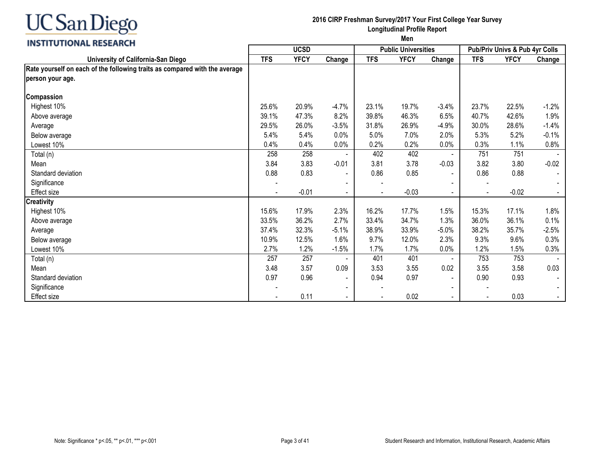

#### **2016 CIRP Freshman Survey/2017 Your First College Year Survey Longitudinal Profile Report**

|                                                                            | <b>UCSD</b> |             |                          |                          | <b>Public Universities</b> |                          | Pub/Priv Univs & Pub 4yr Colls |             |         |
|----------------------------------------------------------------------------|-------------|-------------|--------------------------|--------------------------|----------------------------|--------------------------|--------------------------------|-------------|---------|
| University of California-San Diego                                         | <b>TFS</b>  | <b>YFCY</b> | Change                   | <b>TFS</b>               | <b>YFCY</b>                | Change                   | <b>TFS</b>                     | <b>YFCY</b> | Change  |
| Rate yourself on each of the following traits as compared with the average |             |             |                          |                          |                            |                          |                                |             |         |
| person your age.                                                           |             |             |                          |                          |                            |                          |                                |             |         |
| Compassion                                                                 |             |             |                          |                          |                            |                          |                                |             |         |
| Highest 10%                                                                | 25.6%       | 20.9%       | $-4.7%$                  | 23.1%                    | 19.7%                      | $-3.4%$                  | 23.7%                          | 22.5%       | $-1.2%$ |
| Above average                                                              | 39.1%       | 47.3%       | 8.2%                     | 39.8%                    | 46.3%                      | 6.5%                     | 40.7%                          | 42.6%       | 1.9%    |
| Average                                                                    | 29.5%       | 26.0%       | $-3.5%$                  | 31.8%                    | 26.9%                      | $-4.9%$                  | 30.0%                          | 28.6%       | $-1.4%$ |
| Below average                                                              | 5.4%        | 5.4%        | 0.0%                     | 5.0%                     | 7.0%                       | 2.0%                     | 5.3%                           | 5.2%        | $-0.1%$ |
| Lowest 10%                                                                 | 0.4%        | 0.4%        | 0.0%                     | 0.2%                     | 0.2%                       | 0.0%                     | 0.3%                           | 1.1%        | 0.8%    |
| Total (n)                                                                  | 258         | 258         |                          | 402                      | 402                        |                          | 751                            | 751         |         |
| Mean                                                                       | 3.84        | 3.83        | $-0.01$                  | 3.81                     | 3.78                       | $-0.03$                  | 3.82                           | 3.80        | $-0.02$ |
| Standard deviation                                                         | 0.88        | 0.83        | $\overline{\phantom{a}}$ | 0.86                     | 0.85                       | $\blacksquare$           | 0.86                           | 0.88        |         |
| Significance                                                               |             |             |                          | $\overline{\phantom{a}}$ |                            | $\overline{\phantom{a}}$ |                                |             |         |
| Effect size                                                                |             | $-0.01$     |                          |                          | $-0.03$                    | $\blacksquare$           |                                | $-0.02$     |         |
| <b>Creativity</b>                                                          |             |             |                          |                          |                            |                          |                                |             |         |
| Highest 10%                                                                | 15.6%       | 17.9%       | 2.3%                     | 16.2%                    | 17.7%                      | 1.5%                     | 15.3%                          | 17.1%       | 1.8%    |
| Above average                                                              | 33.5%       | 36.2%       | 2.7%                     | 33.4%                    | 34.7%                      | 1.3%                     | 36.0%                          | 36.1%       | 0.1%    |
| Average                                                                    | 37.4%       | 32.3%       | $-5.1%$                  | 38.9%                    | 33.9%                      | $-5.0%$                  | 38.2%                          | 35.7%       | $-2.5%$ |
| Below average                                                              | 10.9%       | 12.5%       | 1.6%                     | 9.7%                     | 12.0%                      | 2.3%                     | 9.3%                           | 9.6%        | 0.3%    |
| Lowest 10%                                                                 | 2.7%        | 1.2%        | $-1.5%$                  | 1.7%                     | 1.7%                       | 0.0%                     | 1.2%                           | 1.5%        | 0.3%    |
| Total (n)                                                                  | 257         | 257         |                          | 401                      | 401                        | $\blacksquare$           | 753                            | 753         |         |
| Mean                                                                       | 3.48        | 3.57        | 0.09                     | 3.53                     | 3.55                       | 0.02                     | 3.55                           | 3.58        | 0.03    |
| Standard deviation                                                         | 0.97        | 0.96        | $\blacksquare$           | 0.94                     | 0.97                       | $\blacksquare$           | 0.90                           | 0.93        |         |
| Significance                                                               |             |             | $\overline{\phantom{a}}$ |                          |                            | $\blacksquare$           |                                |             |         |
| Effect size                                                                |             | 0.11        |                          |                          | 0.02                       | $\blacksquare$           |                                | 0.03        |         |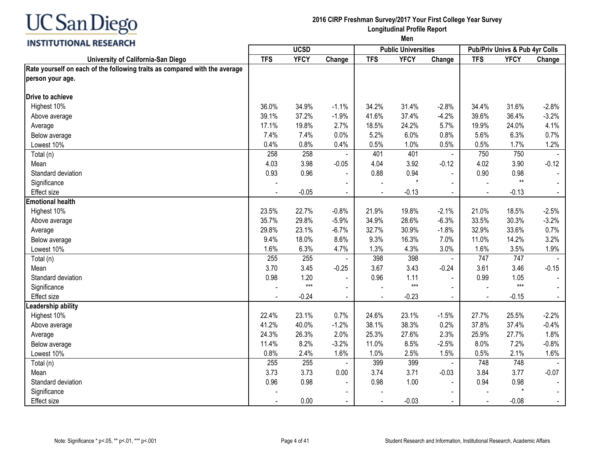

#### **2016 CIRP Freshman Survey/2017 Your First College Year Survey Longitudinal Profile Report**

|                                                                                                |            | <b>UCSD</b> |                |                | <b>Public Universities</b> |                          |                | Pub/Priv Univs & Pub 4yr Colls |                |
|------------------------------------------------------------------------------------------------|------------|-------------|----------------|----------------|----------------------------|--------------------------|----------------|--------------------------------|----------------|
| University of California-San Diego                                                             | <b>TFS</b> | <b>YFCY</b> | Change         | <b>TFS</b>     | <b>YFCY</b>                | Change                   | <b>TFS</b>     | <b>YFCY</b>                    | Change         |
| Rate yourself on each of the following traits as compared with the average<br>person your age. |            |             |                |                |                            |                          |                |                                |                |
| Drive to achieve                                                                               |            |             |                |                |                            |                          |                |                                |                |
| Highest 10%                                                                                    | 36.0%      | 34.9%       | $-1.1%$        | 34.2%          | 31.4%                      | $-2.8%$                  | 34.4%          | 31.6%                          | $-2.8%$        |
| Above average                                                                                  | 39.1%      | 37.2%       | $-1.9%$        | 41.6%          | 37.4%                      | $-4.2%$                  | 39.6%          | 36.4%                          | $-3.2%$        |
| Average                                                                                        | 17.1%      | 19.8%       | 2.7%           | 18.5%          | 24.2%                      | 5.7%                     | 19.9%          | 24.0%                          | 4.1%           |
| Below average                                                                                  | 7.4%       | 7.4%        | 0.0%           | 5.2%           | 6.0%                       | 0.8%                     | 5.6%           | 6.3%                           | 0.7%           |
| Lowest 10%                                                                                     | 0.4%       | 0.8%        | 0.4%           | 0.5%           | 1.0%                       | 0.5%                     | 0.5%           | 1.7%                           | 1.2%           |
| Total (n)                                                                                      | 258        | 258         |                | 401            | 401                        | $\blacksquare$           | 750            | 750                            |                |
| Mean                                                                                           | 4.03       | 3.98        | $-0.05$        | 4.04           | 3.92                       | $-0.12$                  | 4.02           | 3.90                           | $-0.12$        |
| Standard deviation                                                                             | 0.93       | 0.96        | $\blacksquare$ | 0.88           | 0.94                       | $\blacksquare$           | 0.90           | 0.98                           |                |
| Significance                                                                                   |            |             |                |                | $\star$                    |                          |                | $**$                           |                |
| <b>Effect size</b>                                                                             |            | $-0.05$     | $\blacksquare$ |                | $-0.13$                    |                          | $\blacksquare$ | $-0.13$                        | $\blacksquare$ |
| <b>Emotional health</b>                                                                        |            |             |                |                |                            |                          |                |                                |                |
| Highest 10%                                                                                    | 23.5%      | 22.7%       | $-0.8%$        | 21.9%          | 19.8%                      | $-2.1%$                  | 21.0%          | 18.5%                          | $-2.5%$        |
| Above average                                                                                  | 35.7%      | 29.8%       | $-5.9%$        | 34.9%          | 28.6%                      | $-6.3%$                  | 33.5%          | 30.3%                          | $-3.2%$        |
| Average                                                                                        | 29.8%      | 23.1%       | $-6.7%$        | 32.7%          | 30.9%                      | $-1.8%$                  | 32.9%          | 33.6%                          | 0.7%           |
| Below average                                                                                  | 9.4%       | 18.0%       | 8.6%           | 9.3%           | 16.3%                      | 7.0%                     | 11.0%          | 14.2%                          | 3.2%           |
| Lowest 10%                                                                                     | 1.6%       | 6.3%        | 4.7%           | 1.3%           | 4.3%                       | 3.0%                     | 1.6%           | 3.5%                           | 1.9%           |
| Total (n)                                                                                      | 255        | 255         |                | 398            | 398                        | $\overline{\phantom{a}}$ | 747            | 747                            |                |
| Mean                                                                                           | 3.70       | 3.45        | $-0.25$        | 3.67           | 3.43                       | $-0.24$                  | 3.61           | 3.46                           | $-0.15$        |
| Standard deviation                                                                             | 0.98       | 1.20        |                | 0.96           | 1.11                       |                          | 0.99           | 1.05                           |                |
| Significance                                                                                   |            | $***$       |                |                | $***$                      |                          |                | $***$                          |                |
| <b>Effect size</b>                                                                             |            | $-0.24$     | $\blacksquare$ | $\blacksquare$ | $-0.23$                    |                          | $\blacksquare$ | $-0.15$                        |                |
| Leadership ability                                                                             |            |             |                |                |                            |                          |                |                                |                |
| Highest 10%                                                                                    | 22.4%      | 23.1%       | 0.7%           | 24.6%          | 23.1%                      | $-1.5%$                  | 27.7%          | 25.5%                          | $-2.2%$        |
| Above average                                                                                  | 41.2%      | 40.0%       | $-1.2%$        | 38.1%          | 38.3%                      | 0.2%                     | 37.8%          | 37.4%                          | $-0.4%$        |
| Average                                                                                        | 24.3%      | 26.3%       | 2.0%           | 25.3%          | 27.6%                      | 2.3%                     | 25.9%          | 27.7%                          | 1.8%           |
| Below average                                                                                  | 11.4%      | 8.2%        | $-3.2%$        | 11.0%          | 8.5%                       | $-2.5%$                  | 8.0%           | 7.2%                           | $-0.8%$        |
| Lowest 10%                                                                                     | 0.8%       | 2.4%        | 1.6%           | 1.0%           | 2.5%                       | 1.5%                     | 0.5%           | 2.1%                           | 1.6%           |
| Total (n)                                                                                      | 255        | 255         |                | 399            | 399                        |                          | 748            | 748                            |                |
| Mean                                                                                           | 3.73       | 3.73        | 0.00           | 3.74           | 3.71                       | $-0.03$                  | 3.84           | 3.77                           | $-0.07$        |
| Standard deviation                                                                             | 0.96       | 0.98        | $\sim$         | 0.98           | 1.00                       |                          | 0.94           | 0.98                           |                |
| Significance                                                                                   |            |             | $\blacksquare$ |                |                            | $\blacksquare$           |                | $\star$                        | $\blacksquare$ |
| <b>Effect size</b>                                                                             |            | 0.00        | $\sim$         | $\sim$         | $-0.03$                    | $\blacksquare$           | $\blacksquare$ | $-0.08$                        | $\blacksquare$ |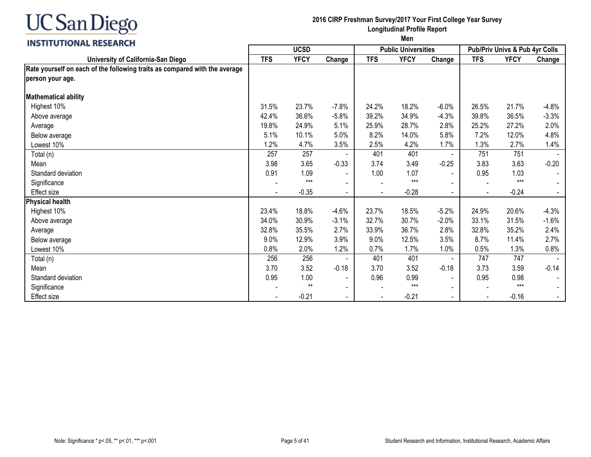

#### **2016 CIRP Freshman Survey/2017 Your First College Year Survey Longitudinal Profile Report**

|                                                                            | <b>UCSD</b> |             |                          |                          | <b>Public Universities</b> |                          | Pub/Priv Univs & Pub 4yr Colls |             |         |
|----------------------------------------------------------------------------|-------------|-------------|--------------------------|--------------------------|----------------------------|--------------------------|--------------------------------|-------------|---------|
| University of California-San Diego                                         | <b>TFS</b>  | <b>YFCY</b> | Change                   | <b>TFS</b>               | <b>YFCY</b>                | Change                   | <b>TFS</b>                     | <b>YFCY</b> | Change  |
| Rate yourself on each of the following traits as compared with the average |             |             |                          |                          |                            |                          |                                |             |         |
| person your age.                                                           |             |             |                          |                          |                            |                          |                                |             |         |
| <b>Mathematical ability</b>                                                |             |             |                          |                          |                            |                          |                                |             |         |
| Highest 10%                                                                | 31.5%       | 23.7%       | $-7.8%$                  | 24.2%                    | 18.2%                      | $-6.0%$                  | 26.5%                          | 21.7%       | $-4.8%$ |
| Above average                                                              | 42.4%       | 36.6%       | $-5.8%$                  | 39.2%                    | 34.9%                      | $-4.3%$                  | 39.8%                          | 36.5%       | $-3.3%$ |
| Average                                                                    | 19.8%       | 24.9%       | 5.1%                     | 25.9%                    | 28.7%                      | 2.8%                     | 25.2%                          | 27.2%       | 2.0%    |
| Below average                                                              | 5.1%        | 10.1%       | 5.0%                     | 8.2%                     | 14.0%                      | 5.8%                     | 7.2%                           | 12.0%       | 4.8%    |
| Lowest 10%                                                                 | 1.2%        | 4.7%        | 3.5%                     | 2.5%                     | 4.2%                       | 1.7%                     | 1.3%                           | 2.7%        | 1.4%    |
| Total (n)                                                                  | 257         | 257         |                          | 401                      | 401                        |                          | 751                            | 751         |         |
| Mean                                                                       | 3.98        | 3.65        | $-0.33$                  | 3.74                     | 3.49                       | $-0.25$                  | 3.83                           | 3.63        | $-0.20$ |
| Standard deviation                                                         | 0.91        | 1.09        | $\overline{\phantom{a}}$ | 1.00                     | 1.07                       | $\blacksquare$           | 0.95                           | 1.03        |         |
| Significance                                                               |             | $***$       |                          | $\overline{\phantom{a}}$ | $***$                      | $\overline{\phantom{a}}$ |                                | $***$       |         |
| Effect size                                                                |             | $-0.35$     | $\blacksquare$           |                          | $-0.28$                    | $\blacksquare$           |                                | $-0.24$     |         |
| <b>Physical health</b>                                                     |             |             |                          |                          |                            |                          |                                |             |         |
| Highest 10%                                                                | 23.4%       | 18.8%       | $-4.6%$                  | 23.7%                    | 18.5%                      | $-5.2%$                  | 24.9%                          | 20.6%       | $-4.3%$ |
| Above average                                                              | 34.0%       | 30.9%       | $-3.1%$                  | 32.7%                    | 30.7%                      | $-2.0%$                  | 33.1%                          | 31.5%       | $-1.6%$ |
| Average                                                                    | 32.8%       | 35.5%       | 2.7%                     | 33.9%                    | 36.7%                      | 2.8%                     | 32.8%                          | 35.2%       | 2.4%    |
| Below average                                                              | 9.0%        | 12.9%       | 3.9%                     | 9.0%                     | 12.5%                      | 3.5%                     | 8.7%                           | 11.4%       | 2.7%    |
| Lowest 10%                                                                 | 0.8%        | 2.0%        | 1.2%                     | 0.7%                     | 1.7%                       | 1.0%                     | 0.5%                           | 1.3%        | 0.8%    |
| Total (n)                                                                  | 256         | 256         |                          | 401                      | 401                        | $\blacksquare$           | 747                            | 747         |         |
| Mean                                                                       | 3.70        | 3.52        | $-0.18$                  | 3.70                     | 3.52                       | $-0.18$                  | 3.73                           | 3.59        | $-0.14$ |
| Standard deviation                                                         | 0.95        | 1.00        | $\blacksquare$           | 0.96                     | 0.99                       | $\blacksquare$           | 0.95                           | 0.98        |         |
| Significance                                                               |             | $**$        | $\blacksquare$           |                          | $***$                      | $\blacksquare$           |                                | $***$       |         |
| Effect size                                                                |             | $-0.21$     |                          |                          | $-0.21$                    | $\blacksquare$           |                                | $-0.16$     |         |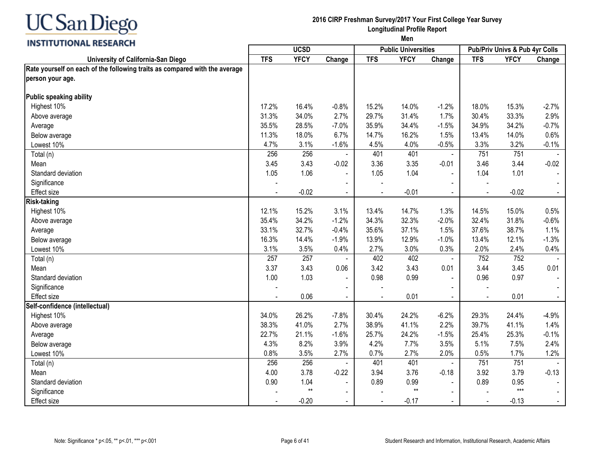

#### **2016 CIRP Freshman Survey/2017 Your First College Year Survey Longitudinal Profile Report**

|                                                                                                |            | <b>UCSD</b>     |                |            | <b>Public Universities</b> |                | Pub/Priv Univs & Pub 4yr Colls |             |         |  |
|------------------------------------------------------------------------------------------------|------------|-----------------|----------------|------------|----------------------------|----------------|--------------------------------|-------------|---------|--|
| University of California-San Diego                                                             | <b>TFS</b> | <b>YFCY</b>     | Change         | <b>TFS</b> | <b>YFCY</b>                | Change         | <b>TFS</b>                     | <b>YFCY</b> | Change  |  |
| Rate yourself on each of the following traits as compared with the average<br>person your age. |            |                 |                |            |                            |                |                                |             |         |  |
| Public speaking ability                                                                        |            |                 |                |            |                            |                |                                |             |         |  |
| Highest 10%                                                                                    | 17.2%      | 16.4%           | $-0.8%$        | 15.2%      | 14.0%                      | $-1.2%$        | 18.0%                          | 15.3%       | $-2.7%$ |  |
| Above average                                                                                  | 31.3%      | 34.0%           | 2.7%           | 29.7%      | 31.4%                      | 1.7%           | 30.4%                          | 33.3%       | 2.9%    |  |
| Average                                                                                        | 35.5%      | 28.5%           | $-7.0%$        | 35.9%      | 34.4%                      | $-1.5%$        | 34.9%                          | 34.2%       | $-0.7%$ |  |
| Below average                                                                                  | 11.3%      | 18.0%           | 6.7%           | 14.7%      | 16.2%                      | 1.5%           | 13.4%                          | 14.0%       | 0.6%    |  |
| Lowest 10%                                                                                     | 4.7%       | 3.1%            | $-1.6%$        | 4.5%       | 4.0%                       | $-0.5%$        | 3.3%                           | 3.2%        | $-0.1%$ |  |
| Total (n)                                                                                      | 256        | 256             |                | 401        | 401                        | $\blacksquare$ | 751                            | 751         |         |  |
| Mean                                                                                           | 3.45       | 3.43            | $-0.02$        | 3.36       | 3.35                       | $-0.01$        | 3.46                           | 3.44        | $-0.02$ |  |
| Standard deviation                                                                             | 1.05       | 1.06            | $\blacksquare$ | 1.05       | 1.04                       | $\blacksquare$ | 1.04                           | 1.01        |         |  |
| Significance                                                                                   |            |                 | $\blacksquare$ |            |                            |                |                                |             |         |  |
| Effect size                                                                                    |            | $-0.02$         |                |            | $-0.01$                    |                |                                | $-0.02$     |         |  |
| <b>Risk-taking</b>                                                                             |            |                 |                |            |                            |                |                                |             |         |  |
| Highest 10%                                                                                    | 12.1%      | 15.2%           | 3.1%           | 13.4%      | 14.7%                      | 1.3%           | 14.5%                          | 15.0%       | 0.5%    |  |
| Above average                                                                                  | 35.4%      | 34.2%           | $-1.2%$        | 34.3%      | 32.3%                      | $-2.0%$        | 32.4%                          | 31.8%       | $-0.6%$ |  |
| Average                                                                                        | 33.1%      | 32.7%           | $-0.4%$        | 35.6%      | 37.1%                      | 1.5%           | 37.6%                          | 38.7%       | 1.1%    |  |
| Below average                                                                                  | 16.3%      | 14.4%           | $-1.9%$        | 13.9%      | 12.9%                      | $-1.0%$        | 13.4%                          | 12.1%       | $-1.3%$ |  |
| Lowest 10%                                                                                     | 3.1%       | 3.5%            | 0.4%           | 2.7%       | 3.0%                       | 0.3%           | 2.0%                           | 2.4%        | 0.4%    |  |
| Total (n)                                                                                      | 257        | 257             |                | 402        | 402                        | $\blacksquare$ | 752                            | 752         |         |  |
| Mean                                                                                           | 3.37       | 3.43            | 0.06           | 3.42       | 3.43                       | 0.01           | 3.44                           | 3.45        | 0.01    |  |
| Standard deviation                                                                             | 1.00       | 1.03            | $\blacksquare$ | 0.98       | 0.99                       |                | 0.96                           | 0.97        |         |  |
| Significance                                                                                   |            |                 |                |            |                            |                |                                |             |         |  |
| <b>Effect size</b>                                                                             |            | 0.06            | $\blacksquare$ |            | 0.01                       | $\blacksquare$ | $\blacksquare$                 | 0.01        |         |  |
| Self-confidence (intellectual)                                                                 |            |                 |                |            |                            |                |                                |             |         |  |
| Highest 10%                                                                                    | 34.0%      | 26.2%           | $-7.8%$        | 30.4%      | 24.2%                      | $-6.2%$        | 29.3%                          | 24.4%       | $-4.9%$ |  |
| Above average                                                                                  | 38.3%      | 41.0%           | 2.7%           | 38.9%      | 41.1%                      | 2.2%           | 39.7%                          | 41.1%       | 1.4%    |  |
| Average                                                                                        | 22.7%      | 21.1%           | $-1.6%$        | 25.7%      | 24.2%                      | $-1.5%$        | 25.4%                          | 25.3%       | $-0.1%$ |  |
| Below average                                                                                  | 4.3%       | 8.2%            | 3.9%           | 4.2%       | 7.7%                       | 3.5%           | 5.1%                           | 7.5%        | 2.4%    |  |
| Lowest 10%                                                                                     | 0.8%       | 3.5%            | 2.7%           | 0.7%       | 2.7%                       | 2.0%           | 0.5%                           | 1.7%        | 1.2%    |  |
| Total (n)                                                                                      | 256        | 256             |                | 401        | 401                        | $\blacksquare$ | 751                            | 751         |         |  |
| Mean                                                                                           | 4.00       | 3.78            | $-0.22$        | 3.94       | 3.76                       | $-0.18$        | 3.92                           | 3.79        | $-0.13$ |  |
| Standard deviation                                                                             | 0.90       | 1.04            | $\blacksquare$ | 0.89       | 0.99                       | $\mathbf{r}$   | 0.89                           | 0.95        |         |  |
| Significance                                                                                   |            | $^{\star\star}$ | $\blacksquare$ |            | $^{\star\star}$            |                |                                | $***$       |         |  |
| Effect size                                                                                    |            | $-0.20$         | $\blacksquare$ |            | $-0.17$                    | $\sim$         | $\blacksquare$                 | $-0.13$     |         |  |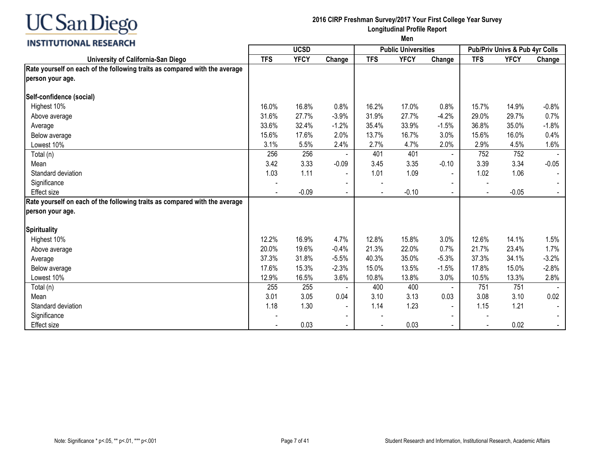

#### **2016 CIRP Freshman Survey/2017 Your First College Year Survey Longitudinal Profile Report**

|                                                                            | <b>UCSD</b> |             |                |            | <b>Public Universities</b> |                | <b>Pub/Priv Univs &amp; Pub 4yr Colls</b> |             |         |
|----------------------------------------------------------------------------|-------------|-------------|----------------|------------|----------------------------|----------------|-------------------------------------------|-------------|---------|
| University of California-San Diego                                         | <b>TFS</b>  | <b>YFCY</b> | Change         | <b>TFS</b> | <b>YFCY</b>                | Change         | <b>TFS</b>                                | <b>YFCY</b> | Change  |
| Rate yourself on each of the following traits as compared with the average |             |             |                |            |                            |                |                                           |             |         |
| person your age.                                                           |             |             |                |            |                            |                |                                           |             |         |
| Self-confidence (social)                                                   |             |             |                |            |                            |                |                                           |             |         |
| Highest 10%                                                                | 16.0%       | 16.8%       | 0.8%           | 16.2%      | 17.0%                      | 0.8%           | 15.7%                                     | 14.9%       | $-0.8%$ |
| Above average                                                              | 31.6%       | 27.7%       | $-3.9%$        | 31.9%      | 27.7%                      | $-4.2%$        | 29.0%                                     | 29.7%       | 0.7%    |
| Average                                                                    | 33.6%       | 32.4%       | $-1.2%$        | 35.4%      | 33.9%                      | $-1.5%$        | 36.8%                                     | 35.0%       | $-1.8%$ |
| Below average                                                              | 15.6%       | 17.6%       | 2.0%           | 13.7%      | 16.7%                      | 3.0%           | 15.6%                                     | 16.0%       | 0.4%    |
| Lowest 10%                                                                 | 3.1%        | 5.5%        | 2.4%           | 2.7%       | 4.7%                       | 2.0%           | 2.9%                                      | 4.5%        | 1.6%    |
| Total (n)                                                                  | 256         | 256         |                | 401        | 401                        | $\blacksquare$ | 752                                       | 752         |         |
| Mean                                                                       | 3.42        | 3.33        | $-0.09$        | 3.45       | 3.35                       | $-0.10$        | 3.39                                      | 3.34        | $-0.05$ |
| Standard deviation                                                         | 1.03        | 1.11        | $\blacksquare$ | 1.01       | 1.09                       |                | 1.02                                      | 1.06        |         |
| Significance                                                               |             |             |                |            |                            |                |                                           |             |         |
| <b>Effect</b> size                                                         |             | $-0.09$     | $\blacksquare$ |            | $-0.10$                    |                | $\blacksquare$                            | $-0.05$     |         |
| Rate yourself on each of the following traits as compared with the average |             |             |                |            |                            |                |                                           |             |         |
| person your age.                                                           |             |             |                |            |                            |                |                                           |             |         |
| <b>Spirituality</b>                                                        |             |             |                |            |                            |                |                                           |             |         |
| Highest 10%                                                                | 12.2%       | 16.9%       | 4.7%           | 12.8%      | 15.8%                      | 3.0%           | 12.6%                                     | 14.1%       | 1.5%    |
| Above average                                                              | 20.0%       | 19.6%       | $-0.4%$        | 21.3%      | 22.0%                      | 0.7%           | 21.7%                                     | 23.4%       | 1.7%    |
| Average                                                                    | 37.3%       | 31.8%       | $-5.5%$        | 40.3%      | 35.0%                      | $-5.3%$        | 37.3%                                     | 34.1%       | $-3.2%$ |
| Below average                                                              | 17.6%       | 15.3%       | $-2.3%$        | 15.0%      | 13.5%                      | $-1.5%$        | 17.8%                                     | 15.0%       | $-2.8%$ |
| Lowest 10%                                                                 | 12.9%       | 16.5%       | 3.6%           | 10.8%      | 13.8%                      | 3.0%           | 10.5%                                     | 13.3%       | 2.8%    |
| Total (n)                                                                  | 255         | 255         |                | 400        | 400                        | $\blacksquare$ | 751                                       | 751         |         |
| Mean                                                                       | 3.01        | 3.05        | 0.04           | 3.10       | 3.13                       | 0.03           | 3.08                                      | 3.10        | 0.02    |
| Standard deviation                                                         | 1.18        | 1.30        |                | 1.14       | 1.23                       | $\blacksquare$ | 1.15                                      | 1.21        |         |
| Significance                                                               |             |             |                |            |                            |                |                                           |             |         |
| <b>Effect size</b>                                                         |             | 0.03        |                |            | 0.03                       | $\blacksquare$ | $\blacksquare$                            | 0.02        |         |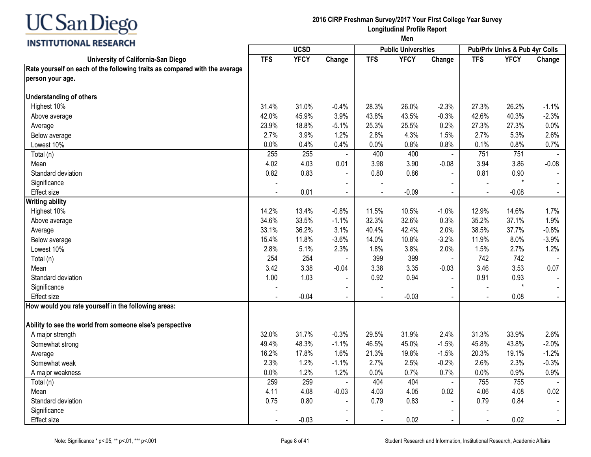

#### **2016 CIRP Freshman Survey/2017 Your First College Year Survey Longitudinal Profile Report**

|                                                                            |            | <b>UCSD</b> |                |                          | <b>Public Universities</b> |                |                | Pub/Priv Univs & Pub 4yr Colls |         |
|----------------------------------------------------------------------------|------------|-------------|----------------|--------------------------|----------------------------|----------------|----------------|--------------------------------|---------|
| University of California-San Diego                                         | <b>TFS</b> | <b>YFCY</b> | Change         | <b>TFS</b>               | <b>YFCY</b>                | Change         | <b>TFS</b>     | <b>YFCY</b>                    | Change  |
| Rate yourself on each of the following traits as compared with the average |            |             |                |                          |                            |                |                |                                |         |
| person your age.                                                           |            |             |                |                          |                            |                |                |                                |         |
| <b>Understanding of others</b>                                             |            |             |                |                          |                            |                |                |                                |         |
| Highest 10%                                                                | 31.4%      | 31.0%       | $-0.4%$        | 28.3%                    | 26.0%                      | $-2.3%$        | 27.3%          | 26.2%                          | $-1.1%$ |
| Above average                                                              | 42.0%      | 45.9%       | 3.9%           | 43.8%                    | 43.5%                      | $-0.3%$        | 42.6%          | 40.3%                          | $-2.3%$ |
| Average                                                                    | 23.9%      | 18.8%       | $-5.1%$        | 25.3%                    | 25.5%                      | 0.2%           | 27.3%          | 27.3%                          | 0.0%    |
| Below average                                                              | 2.7%       | 3.9%        | 1.2%           | 2.8%                     | 4.3%                       | 1.5%           | 2.7%           | 5.3%                           | 2.6%    |
| Lowest 10%                                                                 | 0.0%       | 0.4%        | 0.4%           | 0.0%                     | 0.8%                       | 0.8%           | 0.1%           | 0.8%                           | 0.7%    |
| Total (n)                                                                  | 255        | 255         |                | 400                      | 400                        | $\sim$         | 751            | 751                            |         |
| Mean                                                                       | 4.02       | 4.03        | 0.01           | 3.98                     | 3.90                       | $-0.08$        | 3.94           | 3.86                           | $-0.08$ |
| Standard deviation                                                         | 0.82       | 0.83        |                | 0.80                     | 0.86                       |                | 0.81           | 0.90                           |         |
| Significance                                                               |            |             |                |                          |                            |                |                | $\star$                        |         |
| Effect size                                                                |            | 0.01        | $\blacksquare$ |                          | $-0.09$                    |                |                | $-0.08$                        |         |
| <b>Writing ability</b>                                                     |            |             |                |                          |                            |                |                |                                |         |
| Highest 10%                                                                | 14.2%      | 13.4%       | $-0.8%$        | 11.5%                    | 10.5%                      | $-1.0%$        | 12.9%          | 14.6%                          | 1.7%    |
| Above average                                                              | 34.6%      | 33.5%       | $-1.1%$        | 32.3%                    | 32.6%                      | 0.3%           | 35.2%          | 37.1%                          | 1.9%    |
| Average                                                                    | 33.1%      | 36.2%       | 3.1%           | 40.4%                    | 42.4%                      | 2.0%           | 38.5%          | 37.7%                          | $-0.8%$ |
| Below average                                                              | 15.4%      | 11.8%       | $-3.6%$        | 14.0%                    | 10.8%                      | $-3.2%$        | 11.9%          | 8.0%                           | $-3.9%$ |
| Lowest 10%                                                                 | 2.8%       | 5.1%        | 2.3%           | 1.8%                     | 3.8%                       | 2.0%           | 1.5%           | 2.7%                           | 1.2%    |
| Total (n)                                                                  | 254        | 254         |                | 399                      | 399                        | $\sim$         | 742            | 742                            |         |
| Mean                                                                       | 3.42       | 3.38        | $-0.04$        | 3.38                     | 3.35                       | $-0.03$        | 3.46           | 3.53                           | 0.07    |
| Standard deviation                                                         | 1.00       | 1.03        |                | 0.92                     | 0.94                       | $\overline{a}$ | 0.91           | 0.93                           |         |
| Significance                                                               |            |             | $\sim$         | $\overline{\phantom{a}}$ |                            | $\sim$         |                | $\star$                        | $\sim$  |
| <b>Effect size</b>                                                         |            | $-0.04$     | $\sim$         |                          | $-0.03$                    | $\blacksquare$ | $\blacksquare$ | 0.08                           | $\sim$  |
| How would you rate yourself in the following areas:                        |            |             |                |                          |                            |                |                |                                |         |
| Ability to see the world from someone else's perspective                   |            |             |                |                          |                            |                |                |                                |         |
| A major strength                                                           | 32.0%      | 31.7%       | $-0.3%$        | 29.5%                    | 31.9%                      | 2.4%           | 31.3%          | 33.9%                          | 2.6%    |
| Somewhat strong                                                            | 49.4%      | 48.3%       | $-1.1%$        | 46.5%                    | 45.0%                      | $-1.5%$        | 45.8%          | 43.8%                          | $-2.0%$ |
| Average                                                                    | 16.2%      | 17.8%       | 1.6%           | 21.3%                    | 19.8%                      | $-1.5%$        | 20.3%          | 19.1%                          | $-1.2%$ |
| Somewhat weak                                                              | 2.3%       | 1.2%        | $-1.1%$        | 2.7%                     | 2.5%                       | $-0.2%$        | 2.6%           | 2.3%                           | $-0.3%$ |
| A major weakness                                                           | 0.0%       | 1.2%        | 1.2%           | 0.0%                     | 0.7%                       | 0.7%           | 0.0%           | 0.9%                           | 0.9%    |
| Total (n)                                                                  | 259        | 259         |                | 404                      | 404                        | $\blacksquare$ | 755            | 755                            |         |
| Mean                                                                       | 4.11       | 4.08        | $-0.03$        | 4.03                     | 4.05                       | 0.02           | 4.06           | 4.08                           | 0.02    |
| Standard deviation                                                         | 0.75       | 0.80        |                | 0.79                     | 0.83                       |                | 0.79           | 0.84                           |         |
| Significance                                                               |            |             |                |                          |                            |                |                |                                |         |
| <b>Effect size</b>                                                         |            | $-0.03$     |                |                          | 0.02                       |                | $\blacksquare$ | 0.02                           |         |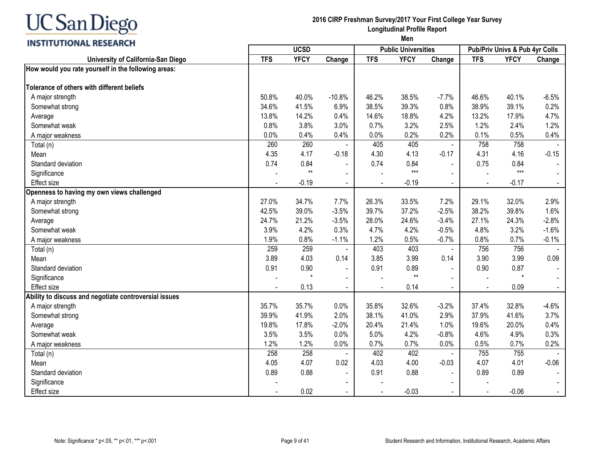# **INSTITUTIONAL RESEARCH**

#### **2016 CIRP Freshman Survey/2017 Your First College Year Survey Longitudinal Profile Report**

|                                                       |            | <b>UCSD</b> |                |            | <b>Public Universities</b> |                |                | <b>Pub/Priv Univs &amp; Pub 4yr Colls</b> |         |
|-------------------------------------------------------|------------|-------------|----------------|------------|----------------------------|----------------|----------------|-------------------------------------------|---------|
| University of California-San Diego                    | <b>TFS</b> | <b>YFCY</b> | Change         | <b>TFS</b> | <b>YFCY</b>                | Change         | <b>TFS</b>     | <b>YFCY</b>                               | Change  |
| How would you rate yourself in the following areas:   |            |             |                |            |                            |                |                |                                           |         |
| Tolerance of others with different beliefs            |            |             |                |            |                            |                |                |                                           |         |
| A major strength                                      | 50.8%      | 40.0%       | $-10.8%$       | 46.2%      | 38.5%                      | $-7.7%$        | 46.6%          | 40.1%                                     | $-6.5%$ |
| Somewhat strong                                       | 34.6%      | 41.5%       | 6.9%           | 38.5%      | 39.3%                      | 0.8%           | 38.9%          | 39.1%                                     | 0.2%    |
| Average                                               | 13.8%      | 14.2%       | 0.4%           | 14.6%      | 18.8%                      | 4.2%           | 13.2%          | 17.9%                                     | 4.7%    |
| Somewhat weak                                         | 0.8%       | 3.8%        | 3.0%           | 0.7%       | 3.2%                       | 2.5%           | 1.2%           | 2.4%                                      | 1.2%    |
| A major weakness                                      | 0.0%       | 0.4%        | 0.4%           | 0.0%       | 0.2%                       | 0.2%           | 0.1%           | 0.5%                                      | 0.4%    |
| Total (n)                                             | 260        | 260         |                | 405        | 405                        | $\blacksquare$ | 758            | 758                                       |         |
| Mean                                                  | 4.35       | 4.17        | $-0.18$        | 4.30       | 4.13                       | $-0.17$        | 4.31           | 4.16                                      | $-0.15$ |
| Standard deviation                                    | 0.74       | 0.84        | $\blacksquare$ | 0.74       | 0.84                       | $\blacksquare$ | 0.75           | 0.84                                      |         |
| Significance                                          |            | $**$        | $\blacksquare$ |            | $***$                      |                |                | $***$                                     |         |
| <b>Effect size</b>                                    |            | $-0.19$     | $\sim$         |            | $-0.19$                    | $\sim$         | $\blacksquare$ | $-0.17$                                   |         |
| Openness to having my own views challenged            |            |             |                |            |                            |                |                |                                           |         |
| A major strength                                      | 27.0%      | 34.7%       | 7.7%           | 26.3%      | 33.5%                      | 7.2%           | 29.1%          | 32.0%                                     | 2.9%    |
| Somewhat strong                                       | 42.5%      | 39.0%       | $-3.5%$        | 39.7%      | 37.2%                      | $-2.5%$        | 38.2%          | 39.8%                                     | 1.6%    |
| Average                                               | 24.7%      | 21.2%       | $-3.5%$        | 28.0%      | 24.6%                      | $-3.4%$        | 27.1%          | 24.3%                                     | $-2.8%$ |
| Somewhat weak                                         | 3.9%       | 4.2%        | 0.3%           | 4.7%       | 4.2%                       | $-0.5%$        | 4.8%           | 3.2%                                      | $-1.6%$ |
| A major weakness                                      | 1.9%       | 0.8%        | $-1.1%$        | 1.2%       | 0.5%                       | $-0.7%$        | 0.8%           | 0.7%                                      | $-0.1%$ |
| Total (n)                                             | 259        | 259         |                | 403        | 403                        | $\blacksquare$ | 756            | 756                                       |         |
| Mean                                                  | 3.89       | 4.03        | 0.14           | 3.85       | 3.99                       | 0.14           | 3.90           | 3.99                                      | 0.09    |
| Standard deviation                                    | 0.91       | 0.90        | $\blacksquare$ | 0.91       | 0.89                       |                | 0.90           | 0.87                                      |         |
| Significance                                          |            |             | $\blacksquare$ |            | $^{\star\star}$            |                |                | $\star$                                   |         |
| <b>Effect size</b>                                    |            | 0.13        |                |            | 0.14                       | $\sim$         |                | 0.09                                      |         |
| Ability to discuss and negotiate controversial issues |            |             |                |            |                            |                |                |                                           |         |
| A major strength                                      | 35.7%      | 35.7%       | 0.0%           | 35.8%      | 32.6%                      | $-3.2%$        | 37.4%          | 32.8%                                     | $-4.6%$ |
| Somewhat strong                                       | 39.9%      | 41.9%       | 2.0%           | 38.1%      | 41.0%                      | 2.9%           | 37.9%          | 41.6%                                     | 3.7%    |
| Average                                               | 19.8%      | 17.8%       | $-2.0%$        | 20.4%      | 21.4%                      | 1.0%           | 19.6%          | 20.0%                                     | 0.4%    |
| Somewhat weak                                         | 3.5%       | 3.5%        | 0.0%           | 5.0%       | 4.2%                       | $-0.8%$        | 4.6%           | 4.9%                                      | 0.3%    |
| A major weakness                                      | 1.2%       | 1.2%        | 0.0%           | 0.7%       | 0.7%                       | 0.0%           | 0.5%           | 0.7%                                      | 0.2%    |
| Total (n)                                             | 258        | 258         |                | 402        | 402                        |                | 755            | 755                                       |         |
| Mean                                                  | 4.05       | 4.07        | 0.02           | 4.03       | 4.00                       | $-0.03$        | 4.07           | 4.01                                      | $-0.06$ |
| Standard deviation                                    | 0.89       | 0.88        | $\blacksquare$ | 0.91       | 0.88                       | $\sim$         | 0.89           | 0.89                                      |         |
| Significance                                          |            |             | $\blacksquare$ |            |                            |                |                |                                           |         |
| <b>Effect size</b>                                    |            | 0.02        |                |            | $-0.03$                    |                |                | $-0.06$                                   |         |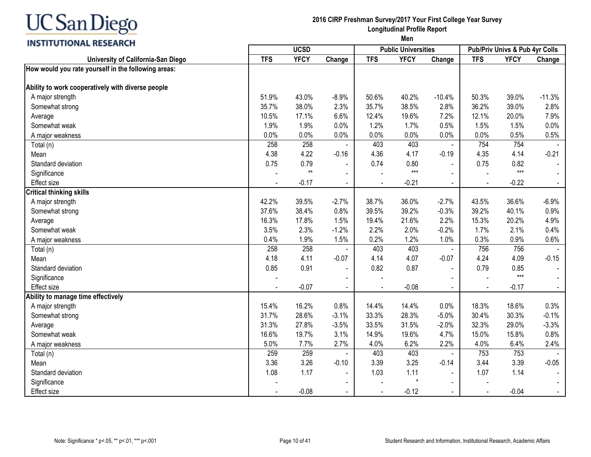# **INSTITUTIONAL RESEARCH**

#### **2016 CIRP Freshman Survey/2017 Your First College Year Survey Longitudinal Profile Report**

|                                                     |            | <b>UCSD</b> |                |            | <b>Public Universities</b> |                |            | <b>Pub/Priv Univs &amp; Pub 4yr Colls</b> |          |
|-----------------------------------------------------|------------|-------------|----------------|------------|----------------------------|----------------|------------|-------------------------------------------|----------|
| University of California-San Diego                  | <b>TFS</b> | <b>YFCY</b> | Change         | <b>TFS</b> | <b>YFCY</b>                | Change         | <b>TFS</b> | <b>YFCY</b>                               | Change   |
| How would you rate yourself in the following areas: |            |             |                |            |                            |                |            |                                           |          |
| Ability to work cooperatively with diverse people   |            |             |                |            |                            |                |            |                                           |          |
| A major strength                                    | 51.9%      | 43.0%       | $-8.9%$        | 50.6%      | 40.2%                      | $-10.4%$       | 50.3%      | 39.0%                                     | $-11.3%$ |
| Somewhat strong                                     | 35.7%      | 38.0%       | 2.3%           | 35.7%      | 38.5%                      | 2.8%           | 36.2%      | 39.0%                                     | 2.8%     |
| Average                                             | 10.5%      | 17.1%       | 6.6%           | 12.4%      | 19.6%                      | 7.2%           | 12.1%      | 20.0%                                     | 7.9%     |
| Somewhat weak                                       | 1.9%       | 1.9%        | 0.0%           | 1.2%       | 1.7%                       | 0.5%           | 1.5%       | 1.5%                                      | 0.0%     |
| A major weakness                                    | 0.0%       | 0.0%        | 0.0%           | 0.0%       | 0.0%                       | 0.0%           | 0.0%       | 0.5%                                      | 0.5%     |
| Total (n)                                           | 258        | 258         |                | 403        | 403                        | $\blacksquare$ | 754        | 754                                       |          |
| Mean                                                | 4.38       | 4.22        | $-0.16$        | 4.36       | 4.17                       | $-0.19$        | 4.35       | 4.14                                      | $-0.21$  |
| Standard deviation                                  | 0.75       | 0.79        |                | 0.74       | 0.80                       |                | 0.75       | 0.82                                      |          |
| Significance                                        |            | $**$        |                |            | $***$                      |                |            | $***$                                     |          |
| <b>Effect size</b>                                  |            | $-0.17$     | $\blacksquare$ |            | $-0.21$                    | $\sim$         |            | $-0.22$                                   |          |
| <b>Critical thinking skills</b>                     |            |             |                |            |                            |                |            |                                           |          |
| A major strength                                    | 42.2%      | 39.5%       | $-2.7%$        | 38.7%      | 36.0%                      | $-2.7%$        | 43.5%      | 36.6%                                     | $-6.9%$  |
| Somewhat strong                                     | 37.6%      | 38.4%       | 0.8%           | 39.5%      | 39.2%                      | $-0.3%$        | 39.2%      | 40.1%                                     | 0.9%     |
| Average                                             | 16.3%      | 17.8%       | 1.5%           | 19.4%      | 21.6%                      | 2.2%           | 15.3%      | 20.2%                                     | 4.9%     |
| Somewhat weak                                       | 3.5%       | 2.3%        | $-1.2%$        | 2.2%       | 2.0%                       | $-0.2%$        | 1.7%       | 2.1%                                      | 0.4%     |
| A major weakness                                    | 0.4%       | 1.9%        | 1.5%           | 0.2%       | 1.2%                       | 1.0%           | 0.3%       | 0.9%                                      | 0.6%     |
| Total (n)                                           | 258        | 258         |                | 403        | 403                        | $\blacksquare$ | 756        | 756                                       |          |
| Mean                                                | 4.18       | 4.11        | $-0.07$        | 4.14       | 4.07                       | $-0.07$        | 4.24       | 4.09                                      | $-0.15$  |
| Standard deviation                                  | 0.85       | 0.91        |                | 0.82       | 0.87                       | $\sim$         | 0.79       | 0.85                                      |          |
| Significance                                        |            |             |                |            |                            |                |            | $***$                                     |          |
| Effect size                                         |            | $-0.07$     |                |            | $-0.08$                    |                |            | $-0.17$                                   |          |
| Ability to manage time effectively                  |            |             |                |            |                            |                |            |                                           |          |
| A major strength                                    | 15.4%      | 16.2%       | 0.8%           | 14.4%      | 14.4%                      | 0.0%           | 18.3%      | 18.6%                                     | 0.3%     |
| Somewhat strong                                     | 31.7%      | 28.6%       | $-3.1%$        | 33.3%      | 28.3%                      | $-5.0%$        | 30.4%      | 30.3%                                     | $-0.1%$  |
| Average                                             | 31.3%      | 27.8%       | $-3.5%$        | 33.5%      | 31.5%                      | $-2.0%$        | 32.3%      | 29.0%                                     | $-3.3%$  |
| Somewhat weak                                       | 16.6%      | 19.7%       | 3.1%           | 14.9%      | 19.6%                      | 4.7%           | 15.0%      | 15.8%                                     | 0.8%     |
| A major weakness                                    | 5.0%       | 7.7%        | 2.7%           | 4.0%       | 6.2%                       | 2.2%           | 4.0%       | 6.4%                                      | 2.4%     |
| Total (n)                                           | 259        | 259         |                | 403        | 403                        |                | 753        | 753                                       |          |
| Mean                                                | 3.36       | 3.26        | $-0.10$        | 3.39       | 3.25                       | $-0.14$        | 3.44       | 3.39                                      | $-0.05$  |
| Standard deviation                                  | 1.08       | 1.17        | $\blacksquare$ | 1.03       | 1.11                       | $\sim$         | 1.07       | 1.14                                      |          |
| Significance                                        |            |             | $\blacksquare$ |            | $\star$                    |                |            |                                           |          |
| <b>Effect size</b>                                  |            | $-0.08$     |                |            | $-0.12$                    |                |            | $-0.04$                                   |          |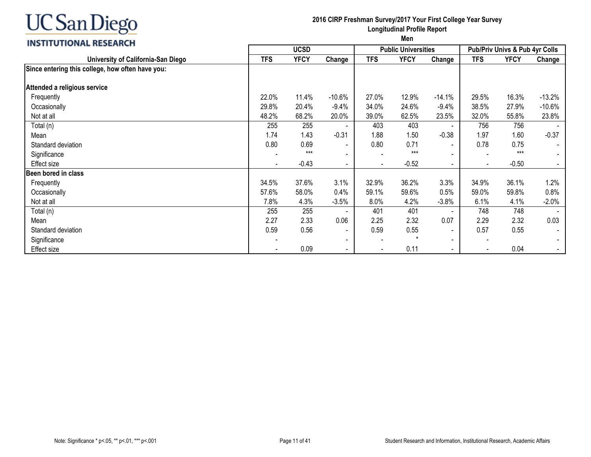# **INSTITUTIONAL RESEARCH**

#### **2016 CIRP Freshman Survey/2017 Your First College Year Survey Longitudinal Profile Report**

|                                                  | <b>UCSD</b> |             |                          |            | <b>Public Universities</b> |                | Pub/Priv Univs & Pub 4yr Colls |             |                |
|--------------------------------------------------|-------------|-------------|--------------------------|------------|----------------------------|----------------|--------------------------------|-------------|----------------|
| University of California-San Diego               | <b>TFS</b>  | <b>YFCY</b> | Change                   | <b>TFS</b> | <b>YFCY</b>                | Change         | <b>TFS</b>                     | <b>YFCY</b> | Change         |
| Since entering this college, how often have you: |             |             |                          |            |                            |                |                                |             |                |
| Attended a religious service                     |             |             |                          |            |                            |                |                                |             |                |
| Frequently                                       | 22.0%       | 11.4%       | $-10.6%$                 | 27.0%      | 12.9%                      | $-14.1%$       | 29.5%                          | 16.3%       | $-13.2%$       |
| Occasionally                                     | 29.8%       | 20.4%       | $-9.4%$                  | 34.0%      | 24.6%                      | $-9.4%$        | 38.5%                          | 27.9%       | $-10.6%$       |
| Not at all                                       | 48.2%       | 68.2%       | 20.0%                    | 39.0%      | 62.5%                      | 23.5%          | 32.0%                          | 55.8%       | 23.8%          |
| Total (n)                                        | 255         | 255         |                          | 403        | 403                        | $\sim$         | 756                            | 756         |                |
| Mean                                             | 1.74        | 1.43        | $-0.31$                  | 1.88       | 1.50                       | $-0.38$        | 1.97                           | 1.60        | $-0.37$        |
| Standard deviation                               | 0.80        | 0.69        | $\overline{\phantom{a}}$ | 0.80       | 0.71                       | $\sim$         | 0.78                           | 0.75        |                |
| Significance                                     |             | $***$       | $\overline{\phantom{a}}$ |            | $***$                      | $\sim$         | $\overline{\phantom{a}}$       | $***$       |                |
| Effect size                                      |             | $-0.43$     | $\sim$                   |            | $-0.52$                    | $\blacksquare$ | $\overline{\phantom{a}}$       | $-0.50$     |                |
| Been bored in class                              |             |             |                          |            |                            |                |                                |             |                |
| Frequently                                       | 34.5%       | 37.6%       | 3.1%                     | 32.9%      | 36.2%                      | 3.3%           | 34.9%                          | 36.1%       | 1.2%           |
| Occasionally                                     | 57.6%       | 58.0%       | 0.4%                     | 59.1%      | 59.6%                      | 0.5%           | 59.0%                          | 59.8%       | 0.8%           |
| Not at all                                       | 7.8%        | 4.3%        | $-3.5%$                  | 8.0%       | 4.2%                       | $-3.8%$        | 6.1%                           | 4.1%        | $-2.0%$        |
| Total (n)                                        | 255         | 255         | $\overline{\phantom{a}}$ | 401        | 401                        | $\sim$         | 748                            | 748         |                |
| Mean                                             | 2.27        | 2.33        | 0.06                     | 2.25       | 2.32                       | 0.07           | 2.29                           | 2.32        | 0.03           |
| Standard deviation                               | 0.59        | 0.56        | $\overline{\phantom{a}}$ | 0.59       | 0.55                       | $\sim$         | 0.57                           | 0.55        | $\blacksquare$ |
| Significance                                     |             |             | $\overline{\phantom{a}}$ |            | ÷                          | $\sim$         | $\overline{\phantom{a}}$       |             |                |
| Effect size                                      |             | 0.09        | $\overline{\phantom{a}}$ |            | 0.11                       | $\blacksquare$ | $\blacksquare$                 | 0.04        |                |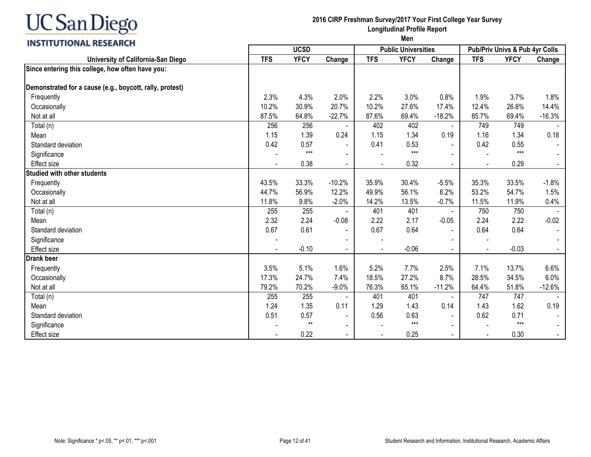#### **INSTITUTIONAL RESEARCH**

#### **2016 CIRP Freshman Survey/2017 Your First College Year Survey Longitudinal Profile Report**

|                                                          | <b>UCSD</b> |             |                          |            | <b>Public Universities</b> |                | Pub/Priv Univs & Pub 4yr Colls |             |          |
|----------------------------------------------------------|-------------|-------------|--------------------------|------------|----------------------------|----------------|--------------------------------|-------------|----------|
| University of California-San Diego                       | <b>TFS</b>  | <b>YFCY</b> | Change                   | <b>TFS</b> | <b>YFCY</b>                | Change         | <b>TFS</b>                     | <b>YFCY</b> | Change   |
| Since entering this college, how often have you:         |             |             |                          |            |                            |                |                                |             |          |
| Demonstrated for a cause (e.g., boycott, rally, protest) |             |             |                          |            |                            |                |                                |             |          |
| Frequently                                               | 2.3%        | 4.3%        | 2.0%                     | 2.2%       | 3.0%                       | 0.8%           | 1.9%                           | 3.7%        | 1.8%     |
| Occasionally                                             | 10.2%       | 30.9%       | 20.7%                    | 10.2%      | 27.6%                      | 17.4%          | 12.4%                          | 26.8%       | 14.4%    |
| Not at all                                               | 87.5%       | 64.8%       | $-22.7%$                 | 87.6%      | 69.4%                      | $-18.2%$       | 85.7%                          | 69.4%       | $-16.3%$ |
| Total (n)                                                | 256         | 256         | $\blacksquare$           | 402        | 402                        | $\blacksquare$ | 749                            | 749         |          |
| Mean                                                     | 1.15        | 1.39        | 0.24                     | 1.15       | 1.34                       | 0.19           | 1.16                           | 1.34        | 0.18     |
| Standard deviation                                       | 0.42        | 0.57        |                          | 0.41       | 0.53                       |                | 0.42                           | 0.55        |          |
| Significance                                             |             | $***$       |                          |            | $***$                      |                |                                | $***$       |          |
| <b>Effect size</b>                                       |             | 0.38        |                          |            | 0.32                       |                |                                | 0.29        |          |
| <b>Studied with other students</b>                       |             |             |                          |            |                            |                |                                |             |          |
| Frequently                                               | 43.5%       | 33.3%       | $-10.2%$                 | 35.9%      | 30.4%                      | $-5.5%$        | 35.3%                          | 33.5%       | $-1.8%$  |
| Occasionally                                             | 44.7%       | 56.9%       | 12.2%                    | 49.9%      | 56.1%                      | 6.2%           | 53.2%                          | 54.7%       | 1.5%     |
| Not at all                                               | 11.8%       | 9.8%        | $-2.0%$                  | 14.2%      | 13.5%                      | $-0.7%$        | 11.5%                          | 11.9%       | 0.4%     |
| Total (n)                                                | 255         | 255         |                          | 401        | 401                        | $\blacksquare$ | 750                            | 750         |          |
| Mean                                                     | 2.32        | 2.24        | $-0.08$                  | 2.22       | 2.17                       | $-0.05$        | 2.24                           | 2.22        | $-0.02$  |
| Standard deviation                                       | 0.67        | 0.61        | $\blacksquare$           | 0.67       | 0.64                       |                | 0.64                           | 0.64        |          |
| Significance                                             |             |             |                          |            |                            |                |                                |             |          |
| <b>Effect size</b>                                       |             | $-0.10$     |                          |            | $-0.06$                    |                |                                | $-0.03$     |          |
| <b>Drank beer</b>                                        |             |             |                          |            |                            |                |                                |             |          |
| Frequently                                               | 3.5%        | 5.1%        | 1.6%                     | 5.2%       | 7.7%                       | 2.5%           | 7.1%                           | 13.7%       | 6.6%     |
| Occasionally                                             | 17.3%       | 24.7%       | 7.4%                     | 18.5%      | 27.2%                      | 8.7%           | 28.5%                          | 34.5%       | 6.0%     |
| Not at all                                               | 79.2%       | 70.2%       | $-9.0%$                  | 76.3%      | 65.1%                      | $-11.2%$       | 64.4%                          | 51.8%       | $-12.6%$ |
| Total (n)                                                | 255         | 255         |                          | 401        | 401                        | $\sim$         | 747                            | 747         |          |
| Mean                                                     | 1.24        | 1.35        | 0.11                     | 1.29       | 1.43                       | 0.14           | 1.43                           | 1.62        | 0.19     |
| Standard deviation                                       | 0.51        | 0.57        | $\overline{\phantom{a}}$ | 0.56       | 0.63                       | $\mathbf{r}$   | 0.62                           | 0.71        |          |
| Significance                                             |             | $**$        | $\overline{\phantom{a}}$ |            | $***$                      |                |                                | $***$       |          |
| <b>Effect size</b>                                       |             | 0.22        | $\blacksquare$           |            | 0.25                       | $\blacksquare$ | $\overline{\phantom{a}}$       | 0.30        |          |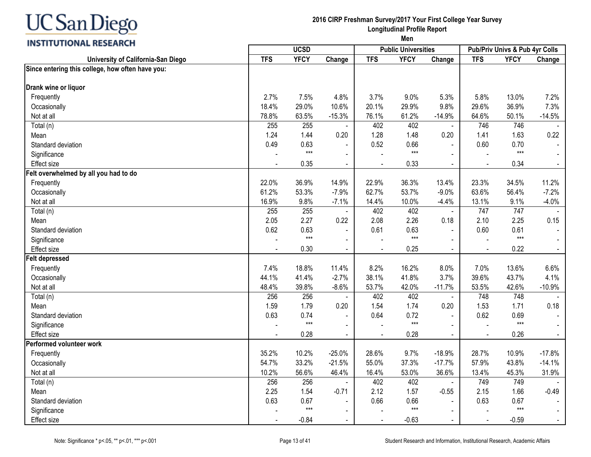# **INSTITUTIONAL RESEARCH**

#### **2016 CIRP Freshman Survey/2017 Your First College Year Survey Longitudinal Profile Report**

|                                                  | <b>UCSD</b> |             |                          | <b>Public Universities</b> |             | Pub/Priv Univs & Pub 4yr Colls |                |             |                |
|--------------------------------------------------|-------------|-------------|--------------------------|----------------------------|-------------|--------------------------------|----------------|-------------|----------------|
| University of California-San Diego               | <b>TFS</b>  | <b>YFCY</b> | Change                   | <b>TFS</b>                 | <b>YFCY</b> | Change                         | <b>TFS</b>     | <b>YFCY</b> | Change         |
| Since entering this college, how often have you: |             |             |                          |                            |             |                                |                |             |                |
| Drank wine or liquor                             |             |             |                          |                            |             |                                |                |             |                |
| Frequently                                       | 2.7%        | 7.5%        | 4.8%                     | 3.7%                       | 9.0%        | 5.3%                           | 5.8%           | 13.0%       | 7.2%           |
| Occasionally                                     | 18.4%       | 29.0%       | 10.6%                    | 20.1%                      | 29.9%       | 9.8%                           | 29.6%          | 36.9%       | 7.3%           |
| Not at all                                       | 78.8%       | 63.5%       | $-15.3%$                 | 76.1%                      | 61.2%       | $-14.9%$                       | 64.6%          | 50.1%       | $-14.5%$       |
| Total (n)                                        | 255         | 255         |                          | 402                        | 402         | $\omega$                       | 746            | 746         |                |
| Mean                                             | 1.24        | 1.44        | 0.20                     | 1.28                       | 1.48        | 0.20                           | 1.41           | 1.63        | 0.22           |
| Standard deviation                               | 0.49        | 0.63        | $\blacksquare$           | 0.52                       | 0.66        | $\overline{a}$                 | 0.60           | 0.70        |                |
| Significance                                     |             | $***$       | $\blacksquare$           |                            | $***$       | $\blacksquare$                 |                | $***$       |                |
| <b>Effect size</b>                               |             | 0.35        |                          |                            | 0.33        |                                |                | 0.34        |                |
| Felt overwhelmed by all you had to do            |             |             |                          |                            |             |                                |                |             |                |
| Frequently                                       | 22.0%       | 36.9%       | 14.9%                    | 22.9%                      | 36.3%       | 13.4%                          | 23.3%          | 34.5%       | 11.2%          |
| Occasionally                                     | 61.2%       | 53.3%       | $-7.9%$                  | 62.7%                      | 53.7%       | $-9.0%$                        | 63.6%          | 56.4%       | $-7.2%$        |
| Not at all                                       | 16.9%       | 9.8%        | $-7.1%$                  | 14.4%                      | 10.0%       | $-4.4%$                        | 13.1%          | 9.1%        | $-4.0%$        |
| Total (n)                                        | 255         | 255         | $\blacksquare$           | 402                        | 402         | $\omega$                       | 747            | 747         |                |
| Mean                                             | 2.05        | 2.27        | 0.22                     | 2.08                       | 2.26        | 0.18                           | 2.10           | 2.25        | 0.15           |
| Standard deviation                               | 0.62        | 0.63        | $\blacksquare$           | 0.61                       | 0.63        | $\blacksquare$                 | 0.60           | 0.61        |                |
| Significance                                     |             | $***$       |                          |                            | $***$       |                                |                | $***$       |                |
| <b>Effect size</b>                               | $\sim$      | 0.30        | $\blacksquare$           | $\blacksquare$             | 0.25        | $\sim$                         | $\blacksquare$ | 0.22        | $\blacksquare$ |
| <b>Felt depressed</b>                            |             |             |                          |                            |             |                                |                |             |                |
| Frequently                                       | 7.4%        | 18.8%       | 11.4%                    | 8.2%                       | 16.2%       | 8.0%                           | 7.0%           | 13.6%       | 6.6%           |
| Occasionally                                     | 44.1%       | 41.4%       | $-2.7%$                  | 38.1%                      | 41.8%       | 3.7%                           | 39.6%          | 43.7%       | 4.1%           |
| Not at all                                       | 48.4%       | 39.8%       | $-8.6%$                  | 53.7%                      | 42.0%       | $-11.7%$                       | 53.5%          | 42.6%       | $-10.9%$       |
| Total (n)                                        | 256         | 256         |                          | 402                        | 402         | $\blacksquare$                 | 748            | 748         |                |
| Mean                                             | 1.59        | 1.79        | 0.20                     | 1.54                       | 1.74        | 0.20                           | 1.53           | 1.71        | 0.18           |
| Standard deviation                               | 0.63        | 0.74        |                          | 0.64                       | 0.72        | $\blacksquare$                 | 0.62           | 0.69        |                |
| Significance                                     |             | $***$       | $\overline{\phantom{a}}$ |                            | $***$       | $\sim$                         |                | $***$       |                |
| <b>Effect size</b>                               |             | 0.28        |                          |                            | 0.28        | $\blacksquare$                 |                | 0.26        |                |
| Performed volunteer work                         |             |             |                          |                            |             |                                |                |             |                |
| Frequently                                       | 35.2%       | 10.2%       | $-25.0%$                 | 28.6%                      | 9.7%        | $-18.9%$                       | 28.7%          | 10.9%       | $-17.8%$       |
| Occasionally                                     | 54.7%       | 33.2%       | $-21.5%$                 | 55.0%                      | 37.3%       | $-17.7%$                       | 57.9%          | 43.8%       | $-14.1%$       |
| Not at all                                       | 10.2%       | 56.6%       | 46.4%                    | 16.4%                      | 53.0%       | 36.6%                          | 13.4%          | 45.3%       | 31.9%          |
| Total (n)                                        | 256         | 256         |                          | 402                        | 402         |                                | 749            | 749         |                |
| Mean                                             | 2.25        | 1.54        | $-0.71$                  | 2.12                       | 1.57        | $-0.55$                        | 2.15           | 1.66        | $-0.49$        |
| Standard deviation                               | 0.63        | 0.67        | $\blacksquare$           | 0.66                       | 0.66        |                                | 0.63           | 0.67        |                |
| Significance                                     |             | $***$       | $\blacksquare$           |                            | $***$       |                                |                | $***$       |                |
| <b>Effect size</b>                               |             | $-0.84$     |                          |                            | $-0.63$     |                                |                | $-0.59$     |                |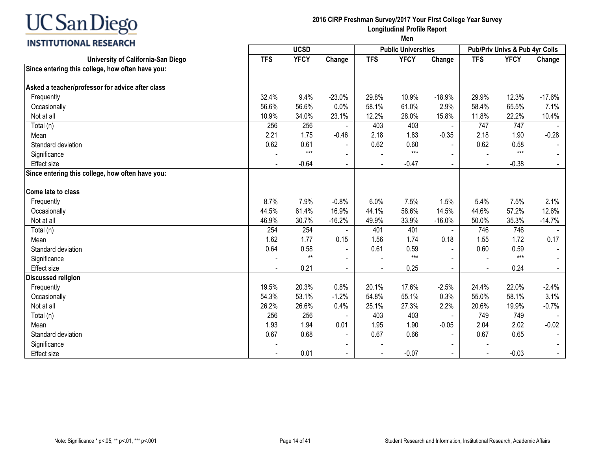### **INSTITUTIONAL RESEARCH**

### **2016 CIRP Freshman Survey/2017 Your First College Year Survey Longitudinal Profile Report**

| <b>TFS</b><br><b>YFCY</b><br>Change<br><b>TFS</b><br><b>YFCY</b><br><b>YFCY</b><br>University of California-San Diego<br><b>TFS</b><br>Change<br>Change<br>Since entering this college, how often have you:<br>Asked a teacher/professor for advice after class<br>12.3%<br>Frequently<br>9.4%<br>$-23.0%$<br>29.8%<br>10.9%<br>$-18.9%$<br>29.9%<br>$-17.6%$<br>32.4%<br>56.6%<br>0.0%<br>61.0%<br>56.6%<br>58.1%<br>2.9%<br>58.4%<br>65.5%<br>7.1%<br>Occasionally<br>23.1%<br>11.8%<br>10.9%<br>34.0%<br>12.2%<br>28.0%<br>15.8%<br>22.2%<br>Not at all<br>10.4%<br>403<br>747<br>256<br>256<br>403<br>747<br>Total (n)<br>2.21<br>1.75<br>$-0.46$<br>2.18<br>1.83<br>$-0.35$<br>2.18<br>$-0.28$<br>1.90<br>Mean<br>0.62<br>0.61<br>0.62<br>0.60<br>0.62<br>0.58<br>Standard deviation<br>$***$<br>$***$<br>$***$<br>Significance<br>$\blacksquare$<br>$-0.64$<br>$-0.47$<br>$-0.38$<br><b>Effect size</b><br>Since entering this college, how often have you:<br>Come late to class<br>7.9%<br>7.5%<br>2.1%<br>8.7%<br>$-0.8%$<br>6.0%<br>7.5%<br>1.5%<br>5.4%<br>Frequently<br>61.4%<br>44.6%<br>57.2%<br>44.5%<br>16.9%<br>44.1%<br>58.6%<br>14.5%<br>12.6%<br>Occasionally<br>Not at all<br>46.9%<br>30.7%<br>$-16.2%$<br>49.9%<br>33.9%<br>$-16.0%$<br>50.0%<br>35.3%<br>$-14.7%$<br>401<br>746<br>Total (n)<br>254<br>254<br>401<br>746<br>$\blacksquare$<br>0.17<br>1.62<br>1.77<br>0.15<br>1.56<br>1.74<br>0.18<br>1.55<br>1.72<br>Mean<br>0.64<br>0.58<br>0.61<br>0.59<br>0.60<br>Standard deviation<br>0.59<br>$***$<br>$**$<br>$***$<br>Significance<br>0.21<br>0.25<br>0.24<br><b>Effect size</b><br><b>Discussed religion</b><br>0.8%<br>22.0%<br>$-2.4%$<br>Frequently<br>19.5%<br>20.3%<br>20.1%<br>17.6%<br>$-2.5%$<br>24.4%<br>3.1%<br>54.3%<br>53.1%<br>$-1.2%$<br>54.8%<br>55.1%<br>55.0%<br>58.1%<br>Occasionally<br>0.3%<br>26.2%<br>0.4%<br>27.3%<br>2.2%<br>20.6%<br>Not at all<br>26.6%<br>25.1%<br>19.9%<br>$-0.7%$<br>256<br>403<br>749<br>256<br>403<br>749<br>Total (n)<br>$\blacksquare$<br>$-0.02$<br>1.93<br>1.94<br>0.01<br>1.95<br>1.90<br>$-0.05$<br>2.04<br>2.02<br>Mean<br>Standard deviation<br>0.67<br>0.68<br>0.67<br>0.66<br>0.67<br>0.65<br>$\blacksquare$<br>$\blacksquare$<br>Significance<br>0.01<br>$-0.07$<br><b>Effect size</b><br>$-0.03$ |  | <b>UCSD</b> |  |  | <b>Public Universities</b> | Pub/Priv Univs & Pub 4yr Colls |  |  |
|----------------------------------------------------------------------------------------------------------------------------------------------------------------------------------------------------------------------------------------------------------------------------------------------------------------------------------------------------------------------------------------------------------------------------------------------------------------------------------------------------------------------------------------------------------------------------------------------------------------------------------------------------------------------------------------------------------------------------------------------------------------------------------------------------------------------------------------------------------------------------------------------------------------------------------------------------------------------------------------------------------------------------------------------------------------------------------------------------------------------------------------------------------------------------------------------------------------------------------------------------------------------------------------------------------------------------------------------------------------------------------------------------------------------------------------------------------------------------------------------------------------------------------------------------------------------------------------------------------------------------------------------------------------------------------------------------------------------------------------------------------------------------------------------------------------------------------------------------------------------------------------------------------------------------------------------------------------------------------------------------------------------------------------------------------------------------------------------------------------------------------------------------------------------------------------------------------------------------------------------------------------------------------------------|--|-------------|--|--|----------------------------|--------------------------------|--|--|
|                                                                                                                                                                                                                                                                                                                                                                                                                                                                                                                                                                                                                                                                                                                                                                                                                                                                                                                                                                                                                                                                                                                                                                                                                                                                                                                                                                                                                                                                                                                                                                                                                                                                                                                                                                                                                                                                                                                                                                                                                                                                                                                                                                                                                                                                                              |  |             |  |  |                            |                                |  |  |
|                                                                                                                                                                                                                                                                                                                                                                                                                                                                                                                                                                                                                                                                                                                                                                                                                                                                                                                                                                                                                                                                                                                                                                                                                                                                                                                                                                                                                                                                                                                                                                                                                                                                                                                                                                                                                                                                                                                                                                                                                                                                                                                                                                                                                                                                                              |  |             |  |  |                            |                                |  |  |
|                                                                                                                                                                                                                                                                                                                                                                                                                                                                                                                                                                                                                                                                                                                                                                                                                                                                                                                                                                                                                                                                                                                                                                                                                                                                                                                                                                                                                                                                                                                                                                                                                                                                                                                                                                                                                                                                                                                                                                                                                                                                                                                                                                                                                                                                                              |  |             |  |  |                            |                                |  |  |
|                                                                                                                                                                                                                                                                                                                                                                                                                                                                                                                                                                                                                                                                                                                                                                                                                                                                                                                                                                                                                                                                                                                                                                                                                                                                                                                                                                                                                                                                                                                                                                                                                                                                                                                                                                                                                                                                                                                                                                                                                                                                                                                                                                                                                                                                                              |  |             |  |  |                            |                                |  |  |
|                                                                                                                                                                                                                                                                                                                                                                                                                                                                                                                                                                                                                                                                                                                                                                                                                                                                                                                                                                                                                                                                                                                                                                                                                                                                                                                                                                                                                                                                                                                                                                                                                                                                                                                                                                                                                                                                                                                                                                                                                                                                                                                                                                                                                                                                                              |  |             |  |  |                            |                                |  |  |
|                                                                                                                                                                                                                                                                                                                                                                                                                                                                                                                                                                                                                                                                                                                                                                                                                                                                                                                                                                                                                                                                                                                                                                                                                                                                                                                                                                                                                                                                                                                                                                                                                                                                                                                                                                                                                                                                                                                                                                                                                                                                                                                                                                                                                                                                                              |  |             |  |  |                            |                                |  |  |
|                                                                                                                                                                                                                                                                                                                                                                                                                                                                                                                                                                                                                                                                                                                                                                                                                                                                                                                                                                                                                                                                                                                                                                                                                                                                                                                                                                                                                                                                                                                                                                                                                                                                                                                                                                                                                                                                                                                                                                                                                                                                                                                                                                                                                                                                                              |  |             |  |  |                            |                                |  |  |
|                                                                                                                                                                                                                                                                                                                                                                                                                                                                                                                                                                                                                                                                                                                                                                                                                                                                                                                                                                                                                                                                                                                                                                                                                                                                                                                                                                                                                                                                                                                                                                                                                                                                                                                                                                                                                                                                                                                                                                                                                                                                                                                                                                                                                                                                                              |  |             |  |  |                            |                                |  |  |
|                                                                                                                                                                                                                                                                                                                                                                                                                                                                                                                                                                                                                                                                                                                                                                                                                                                                                                                                                                                                                                                                                                                                                                                                                                                                                                                                                                                                                                                                                                                                                                                                                                                                                                                                                                                                                                                                                                                                                                                                                                                                                                                                                                                                                                                                                              |  |             |  |  |                            |                                |  |  |
|                                                                                                                                                                                                                                                                                                                                                                                                                                                                                                                                                                                                                                                                                                                                                                                                                                                                                                                                                                                                                                                                                                                                                                                                                                                                                                                                                                                                                                                                                                                                                                                                                                                                                                                                                                                                                                                                                                                                                                                                                                                                                                                                                                                                                                                                                              |  |             |  |  |                            |                                |  |  |
|                                                                                                                                                                                                                                                                                                                                                                                                                                                                                                                                                                                                                                                                                                                                                                                                                                                                                                                                                                                                                                                                                                                                                                                                                                                                                                                                                                                                                                                                                                                                                                                                                                                                                                                                                                                                                                                                                                                                                                                                                                                                                                                                                                                                                                                                                              |  |             |  |  |                            |                                |  |  |
|                                                                                                                                                                                                                                                                                                                                                                                                                                                                                                                                                                                                                                                                                                                                                                                                                                                                                                                                                                                                                                                                                                                                                                                                                                                                                                                                                                                                                                                                                                                                                                                                                                                                                                                                                                                                                                                                                                                                                                                                                                                                                                                                                                                                                                                                                              |  |             |  |  |                            |                                |  |  |
|                                                                                                                                                                                                                                                                                                                                                                                                                                                                                                                                                                                                                                                                                                                                                                                                                                                                                                                                                                                                                                                                                                                                                                                                                                                                                                                                                                                                                                                                                                                                                                                                                                                                                                                                                                                                                                                                                                                                                                                                                                                                                                                                                                                                                                                                                              |  |             |  |  |                            |                                |  |  |
|                                                                                                                                                                                                                                                                                                                                                                                                                                                                                                                                                                                                                                                                                                                                                                                                                                                                                                                                                                                                                                                                                                                                                                                                                                                                                                                                                                                                                                                                                                                                                                                                                                                                                                                                                                                                                                                                                                                                                                                                                                                                                                                                                                                                                                                                                              |  |             |  |  |                            |                                |  |  |
|                                                                                                                                                                                                                                                                                                                                                                                                                                                                                                                                                                                                                                                                                                                                                                                                                                                                                                                                                                                                                                                                                                                                                                                                                                                                                                                                                                                                                                                                                                                                                                                                                                                                                                                                                                                                                                                                                                                                                                                                                                                                                                                                                                                                                                                                                              |  |             |  |  |                            |                                |  |  |
|                                                                                                                                                                                                                                                                                                                                                                                                                                                                                                                                                                                                                                                                                                                                                                                                                                                                                                                                                                                                                                                                                                                                                                                                                                                                                                                                                                                                                                                                                                                                                                                                                                                                                                                                                                                                                                                                                                                                                                                                                                                                                                                                                                                                                                                                                              |  |             |  |  |                            |                                |  |  |
|                                                                                                                                                                                                                                                                                                                                                                                                                                                                                                                                                                                                                                                                                                                                                                                                                                                                                                                                                                                                                                                                                                                                                                                                                                                                                                                                                                                                                                                                                                                                                                                                                                                                                                                                                                                                                                                                                                                                                                                                                                                                                                                                                                                                                                                                                              |  |             |  |  |                            |                                |  |  |
|                                                                                                                                                                                                                                                                                                                                                                                                                                                                                                                                                                                                                                                                                                                                                                                                                                                                                                                                                                                                                                                                                                                                                                                                                                                                                                                                                                                                                                                                                                                                                                                                                                                                                                                                                                                                                                                                                                                                                                                                                                                                                                                                                                                                                                                                                              |  |             |  |  |                            |                                |  |  |
|                                                                                                                                                                                                                                                                                                                                                                                                                                                                                                                                                                                                                                                                                                                                                                                                                                                                                                                                                                                                                                                                                                                                                                                                                                                                                                                                                                                                                                                                                                                                                                                                                                                                                                                                                                                                                                                                                                                                                                                                                                                                                                                                                                                                                                                                                              |  |             |  |  |                            |                                |  |  |
|                                                                                                                                                                                                                                                                                                                                                                                                                                                                                                                                                                                                                                                                                                                                                                                                                                                                                                                                                                                                                                                                                                                                                                                                                                                                                                                                                                                                                                                                                                                                                                                                                                                                                                                                                                                                                                                                                                                                                                                                                                                                                                                                                                                                                                                                                              |  |             |  |  |                            |                                |  |  |
|                                                                                                                                                                                                                                                                                                                                                                                                                                                                                                                                                                                                                                                                                                                                                                                                                                                                                                                                                                                                                                                                                                                                                                                                                                                                                                                                                                                                                                                                                                                                                                                                                                                                                                                                                                                                                                                                                                                                                                                                                                                                                                                                                                                                                                                                                              |  |             |  |  |                            |                                |  |  |
|                                                                                                                                                                                                                                                                                                                                                                                                                                                                                                                                                                                                                                                                                                                                                                                                                                                                                                                                                                                                                                                                                                                                                                                                                                                                                                                                                                                                                                                                                                                                                                                                                                                                                                                                                                                                                                                                                                                                                                                                                                                                                                                                                                                                                                                                                              |  |             |  |  |                            |                                |  |  |
|                                                                                                                                                                                                                                                                                                                                                                                                                                                                                                                                                                                                                                                                                                                                                                                                                                                                                                                                                                                                                                                                                                                                                                                                                                                                                                                                                                                                                                                                                                                                                                                                                                                                                                                                                                                                                                                                                                                                                                                                                                                                                                                                                                                                                                                                                              |  |             |  |  |                            |                                |  |  |
|                                                                                                                                                                                                                                                                                                                                                                                                                                                                                                                                                                                                                                                                                                                                                                                                                                                                                                                                                                                                                                                                                                                                                                                                                                                                                                                                                                                                                                                                                                                                                                                                                                                                                                                                                                                                                                                                                                                                                                                                                                                                                                                                                                                                                                                                                              |  |             |  |  |                            |                                |  |  |
|                                                                                                                                                                                                                                                                                                                                                                                                                                                                                                                                                                                                                                                                                                                                                                                                                                                                                                                                                                                                                                                                                                                                                                                                                                                                                                                                                                                                                                                                                                                                                                                                                                                                                                                                                                                                                                                                                                                                                                                                                                                                                                                                                                                                                                                                                              |  |             |  |  |                            |                                |  |  |
|                                                                                                                                                                                                                                                                                                                                                                                                                                                                                                                                                                                                                                                                                                                                                                                                                                                                                                                                                                                                                                                                                                                                                                                                                                                                                                                                                                                                                                                                                                                                                                                                                                                                                                                                                                                                                                                                                                                                                                                                                                                                                                                                                                                                                                                                                              |  |             |  |  |                            |                                |  |  |
|                                                                                                                                                                                                                                                                                                                                                                                                                                                                                                                                                                                                                                                                                                                                                                                                                                                                                                                                                                                                                                                                                                                                                                                                                                                                                                                                                                                                                                                                                                                                                                                                                                                                                                                                                                                                                                                                                                                                                                                                                                                                                                                                                                                                                                                                                              |  |             |  |  |                            |                                |  |  |
|                                                                                                                                                                                                                                                                                                                                                                                                                                                                                                                                                                                                                                                                                                                                                                                                                                                                                                                                                                                                                                                                                                                                                                                                                                                                                                                                                                                                                                                                                                                                                                                                                                                                                                                                                                                                                                                                                                                                                                                                                                                                                                                                                                                                                                                                                              |  |             |  |  |                            |                                |  |  |
|                                                                                                                                                                                                                                                                                                                                                                                                                                                                                                                                                                                                                                                                                                                                                                                                                                                                                                                                                                                                                                                                                                                                                                                                                                                                                                                                                                                                                                                                                                                                                                                                                                                                                                                                                                                                                                                                                                                                                                                                                                                                                                                                                                                                                                                                                              |  |             |  |  |                            |                                |  |  |
|                                                                                                                                                                                                                                                                                                                                                                                                                                                                                                                                                                                                                                                                                                                                                                                                                                                                                                                                                                                                                                                                                                                                                                                                                                                                                                                                                                                                                                                                                                                                                                                                                                                                                                                                                                                                                                                                                                                                                                                                                                                                                                                                                                                                                                                                                              |  |             |  |  |                            |                                |  |  |
|                                                                                                                                                                                                                                                                                                                                                                                                                                                                                                                                                                                                                                                                                                                                                                                                                                                                                                                                                                                                                                                                                                                                                                                                                                                                                                                                                                                                                                                                                                                                                                                                                                                                                                                                                                                                                                                                                                                                                                                                                                                                                                                                                                                                                                                                                              |  |             |  |  |                            |                                |  |  |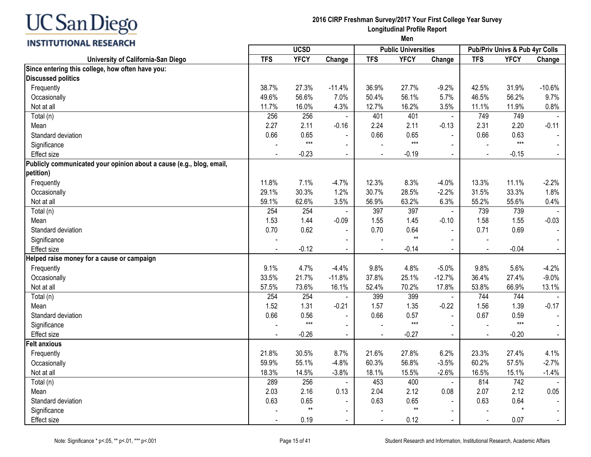#### **2016 CIRP Freshman Survey/2017 Your First College Year Survey Longitudinal Profile Report Men**

| <b>INSTITUTIONAL RESEARCH</b>                                        |                |             | men            |                |                            |                |                |                                |          |
|----------------------------------------------------------------------|----------------|-------------|----------------|----------------|----------------------------|----------------|----------------|--------------------------------|----------|
|                                                                      |                | <b>UCSD</b> |                |                | <b>Public Universities</b> |                |                | Pub/Priv Univs & Pub 4yr Colls |          |
| University of California-San Diego                                   | <b>TFS</b>     | <b>YFCY</b> | Change         | <b>TFS</b>     | <b>YFCY</b>                | Change         | <b>TFS</b>     | <b>YFCY</b>                    | Change   |
| Since entering this college, how often have you:                     |                |             |                |                |                            |                |                |                                |          |
| <b>Discussed politics</b>                                            |                |             |                |                |                            |                |                |                                |          |
| Frequently                                                           | 38.7%          | 27.3%       | $-11.4%$       | 36.9%          | 27.7%                      | $-9.2%$        | 42.5%          | 31.9%                          | $-10.6%$ |
| Occasionally                                                         | 49.6%          | 56.6%       | 7.0%           | 50.4%          | 56.1%                      | 5.7%           | 46.5%          | 56.2%                          | 9.7%     |
| Not at all                                                           | 11.7%          | 16.0%       | 4.3%           | 12.7%          | 16.2%                      | 3.5%           | 11.1%          | 11.9%                          | 0.8%     |
| Total (n)                                                            | 256            | 256         |                | 401            | 401                        | $\blacksquare$ | 749            | 749                            |          |
| Mean                                                                 | 2.27           | 2.11        | $-0.16$        | 2.24           | 2.11                       | $-0.13$        | 2.31           | 2.20                           | $-0.11$  |
| Standard deviation                                                   | 0.66           | 0.65        |                | 0.66           | 0.65                       | $\blacksquare$ | 0.66           | 0.63                           |          |
| Significance                                                         |                | $***$       | $\blacksquare$ |                | $***$                      | $\sim$         |                | $***$                          |          |
| Effect size                                                          |                | $-0.23$     | $\blacksquare$ |                | $-0.19$                    | $\sim$         |                | $-0.15$                        | $\sim$   |
| Publicly communicated your opinion about a cause (e.g., blog, email, |                |             |                |                |                            |                |                |                                |          |
| petition)                                                            |                |             |                |                |                            |                |                |                                |          |
| Frequently                                                           | 11.8%          | 7.1%        | $-4.7%$        | 12.3%          | 8.3%                       | $-4.0%$        | 13.3%          | 11.1%                          | $-2.2%$  |
| Occasionally                                                         | 29.1%          | 30.3%       | 1.2%           | 30.7%          | 28.5%                      | $-2.2%$        | 31.5%          | 33.3%                          | 1.8%     |
| Not at all                                                           | 59.1%          | 62.6%       | 3.5%           | 56.9%          | 63.2%                      | 6.3%           | 55.2%          | 55.6%                          | 0.4%     |
| Total (n)                                                            | 254            | 254         |                | 397            | 397                        | $\blacksquare$ | 739            | 739                            |          |
| Mean                                                                 | 1.53           | 1.44        | $-0.09$        | 1.55           | 1.45                       | $-0.10$        | 1.58           | 1.55                           | $-0.03$  |
| Standard deviation                                                   | 0.70           | 0.62        |                | 0.70           | 0.64                       | $\mathbf{r}$   | 0.71           | 0.69                           |          |
| Significance                                                         |                |             | $\blacksquare$ |                | $^{\star\star}$            | $\blacksquare$ |                |                                |          |
| Effect size                                                          |                | $-0.12$     |                |                | $-0.14$                    |                |                | $-0.04$                        |          |
| Helped raise money for a cause or campaign                           |                |             |                |                |                            |                |                |                                |          |
| Frequently                                                           | 9.1%           | 4.7%        | $-4.4%$        | 9.8%           | 4.8%                       | $-5.0%$        | 9.8%           | 5.6%                           | $-4.2%$  |
| Occasionally                                                         | 33.5%          | 21.7%       | $-11.8%$       | 37.8%          | 25.1%                      | $-12.7%$       | 36.4%          | 27.4%                          | $-9.0%$  |
| Not at all                                                           | 57.5%          | 73.6%       | 16.1%          | 52.4%          | 70.2%                      | 17.8%          | 53.8%          | 66.9%                          | 13.1%    |
| Total (n)                                                            | 254            | 254         | $\sim$         | 399            | 399                        | $\sim$         | 744            | 744                            |          |
| Mean                                                                 | 1.52           | 1.31        | $-0.21$        | 1.57           | 1.35                       | $-0.22$        | 1.56           | 1.39                           | $-0.17$  |
| Standard deviation                                                   | 0.66           | 0.56        | $\blacksquare$ | 0.66           | 0.57                       | $\sim$         | 0.67           | 0.59                           |          |
| Significance                                                         |                | $***$       | $\blacksquare$ |                | $***$                      | $\blacksquare$ |                | $***$                          |          |
| <b>Effect size</b>                                                   | $\blacksquare$ | $-0.26$     | $\blacksquare$ | $\mathbf{r}$   | $-0.27$                    | $\sim$         | $\blacksquare$ | $-0.20$                        | $\sim$   |
| <b>Felt anxious</b>                                                  |                |             |                |                |                            |                |                |                                |          |
| Frequently                                                           | 21.8%          | 30.5%       | 8.7%           | 21.6%          | 27.8%                      | 6.2%           | 23.3%          | 27.4%                          | 4.1%     |
| Occasionally                                                         | 59.9%          | 55.1%       | $-4.8%$        | 60.3%          | 56.8%                      | $-3.5%$        | 60.2%          | 57.5%                          | $-2.7%$  |
| Not at all                                                           | 18.3%          | 14.5%       | $-3.8%$        | 18.1%          | 15.5%                      | $-2.6%$        | 16.5%          | 15.1%                          | $-1.4%$  |
| Total (n)                                                            | 289            | 256         |                | 453            | 400                        | $\blacksquare$ | 814            | 742                            |          |
| Mean                                                                 | 2.03           | 2.16        | 0.13           | 2.04           | 2.12                       | 0.08           | 2.07           | 2.12                           | 0.05     |
| Standard deviation                                                   | 0.63           | 0.65        | $\blacksquare$ | 0.63           | 0.65                       | $\blacksquare$ | 0.63           | 0.64                           |          |
| Significance                                                         |                | $**$        |                |                | $^{\star\star}$            | $\blacksquare$ |                | $\star$                        |          |
| Effect size                                                          | $\blacksquare$ | 0.19        | $\blacksquare$ | $\overline{a}$ | 0.12                       | $\sim$         | $\blacksquare$ | 0.07                           | $\sim$   |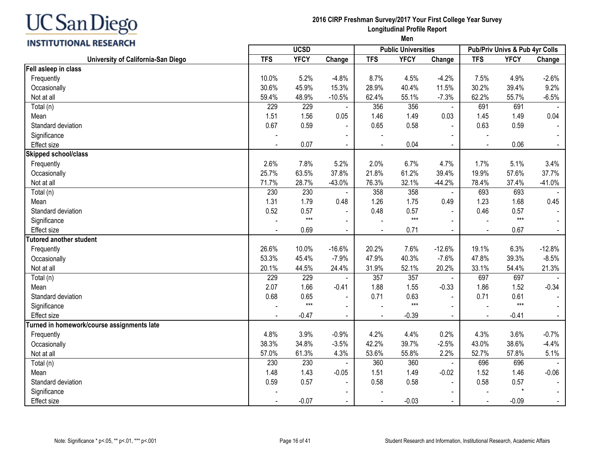| UC San Diego |  |
|--------------|--|
|--------------|--|

# **2016 CIRP Freshman Survey/2017 Your First College Year Survey Longitudinal Profile Report**

| <b>INSTITUTIONAL RESEARCH</b> |  |
|-------------------------------|--|
|-------------------------------|--|

|             |        |     | <b>Longitudinal Profile Report</b><br>Men |        |     |                                           |        |
|-------------|--------|-----|-------------------------------------------|--------|-----|-------------------------------------------|--------|
| <b>UCSD</b> |        |     | <b>Public Universities</b>                |        |     | <b>Pub/Priv Univs &amp; Pub 4yr Colls</b> |        |
| <b>YFCY</b> | Change | TFS | YFCY                                      | Change | TFS | YFCY                                      | Change |

|                                            | <b>UCSD</b>    |             |                          |                | <b>Public Universities</b> |                | Pub/Priv Univs & Pub 4yr Colls |             |          |
|--------------------------------------------|----------------|-------------|--------------------------|----------------|----------------------------|----------------|--------------------------------|-------------|----------|
| University of California-San Diego         | <b>TFS</b>     | <b>YFCY</b> | Change                   | <b>TFS</b>     | <b>YFCY</b>                | Change         | <b>TFS</b>                     | <b>YFCY</b> | Change   |
| Fell asleep in class                       |                |             |                          |                |                            |                |                                |             |          |
| Frequently                                 | 10.0%          | 5.2%        | $-4.8%$                  | 8.7%           | 4.5%                       | $-4.2%$        | 7.5%                           | 4.9%        | $-2.6%$  |
| Occasionally                               | 30.6%          | 45.9%       | 15.3%                    | 28.9%          | 40.4%                      | 11.5%          | 30.2%                          | 39.4%       | 9.2%     |
| Not at all                                 | 59.4%          | 48.9%       | $-10.5%$                 | 62.4%          | 55.1%                      | $-7.3%$        | 62.2%                          | 55.7%       | $-6.5%$  |
| Total (n)                                  | 229            | 229         | $\blacksquare$           | 356            | 356                        | $\blacksquare$ | 691                            | 691         |          |
| Mean                                       | 1.51           | 1.56        | 0.05                     | 1.46           | 1.49                       | 0.03           | 1.45                           | 1.49        | 0.04     |
| Standard deviation                         | 0.67           | 0.59        |                          | 0.65           | 0.58                       | $\blacksquare$ | 0.63                           | 0.59        |          |
| Significance                               |                |             | $\blacksquare$           | $\overline{a}$ |                            |                |                                |             |          |
| <b>Effect size</b>                         | $\blacksquare$ | 0.07        | $\overline{a}$           |                | 0.04                       | $\sim$         |                                | 0.06        | $\sim$   |
| Skipped school/class                       |                |             |                          |                |                            |                |                                |             |          |
| Frequently                                 | 2.6%           | 7.8%        | 5.2%                     | 2.0%           | 6.7%                       | 4.7%           | 1.7%                           | 5.1%        | 3.4%     |
| Occasionally                               | 25.7%          | 63.5%       | 37.8%                    | 21.8%          | 61.2%                      | 39.4%          | 19.9%                          | 57.6%       | 37.7%    |
| Not at all                                 | 71.7%          | 28.7%       | $-43.0%$                 | 76.3%          | 32.1%                      | $-44.2%$       | 78.4%                          | 37.4%       | $-41.0%$ |
| Total (n)                                  | 230            | 230         | $\blacksquare$           | 358            | 358                        | $\sim$         | 693                            | 693         |          |
| Mean                                       | 1.31           | 1.79        | 0.48                     | 1.26           | 1.75                       | 0.49           | 1.23                           | 1.68        | 0.45     |
| Standard deviation                         | 0.52           | 0.57        | $\blacksquare$           | 0.48           | 0.57                       | $\blacksquare$ | 0.46                           | 0.57        |          |
| Significance                               |                | $***$       | $\overline{\phantom{a}}$ |                | $***$                      |                |                                | $***$       |          |
| Effect size                                |                | 0.69        |                          |                | 0.71                       |                |                                | 0.67        |          |
| <b>Tutored another student</b>             |                |             |                          |                |                            |                |                                |             |          |
| Frequently                                 | 26.6%          | 10.0%       | $-16.6%$                 | 20.2%          | 7.6%                       | $-12.6%$       | 19.1%                          | 6.3%        | $-12.8%$ |
| Occasionally                               | 53.3%          | 45.4%       | $-7.9%$                  | 47.9%          | 40.3%                      | $-7.6%$        | 47.8%                          | 39.3%       | $-8.5%$  |
| Not at all                                 | 20.1%          | 44.5%       | 24.4%                    | 31.9%          | 52.1%                      | 20.2%          | 33.1%                          | 54.4%       | 21.3%    |
| Total (n)                                  | 229            | 229         |                          | 357            | 357                        |                | 697                            | 697         |          |
| Mean                                       | 2.07           | 1.66        | $-0.41$                  | 1.88           | 1.55                       | $-0.33$        | 1.86                           | 1.52        | $-0.34$  |
| Standard deviation                         | 0.68           | 0.65        | $\overline{\phantom{a}}$ | 0.71           | 0.63                       | $\blacksquare$ | 0.71                           | 0.61        | $\sim$   |
| Significance                               |                | $***$       | $\blacksquare$           |                | $***$                      | $\sim$         |                                | $***$       |          |
| Effect size                                |                | $-0.47$     | $\blacksquare$           |                | $-0.39$                    |                | $\blacksquare$                 | $-0.41$     |          |
| Turned in homework/course assignments late |                |             |                          |                |                            |                |                                |             |          |
| Frequently                                 | 4.8%           | 3.9%        | $-0.9%$                  | 4.2%           | 4.4%                       | 0.2%           | 4.3%                           | 3.6%        | $-0.7%$  |
| Occasionally                               | 38.3%          | 34.8%       | $-3.5%$                  | 42.2%          | 39.7%                      | $-2.5%$        | 43.0%                          | 38.6%       | $-4.4%$  |
| Not at all                                 | 57.0%          | 61.3%       | 4.3%                     | 53.6%          | 55.8%                      | 2.2%           | 52.7%                          | 57.8%       | 5.1%     |
| Total (n)                                  | 230            | 230         | $\blacksquare$           | 360            | 360                        | $\blacksquare$ | 696                            | 696         |          |
| Mean                                       | 1.48           | 1.43        | $-0.05$                  | 1.51           | 1.49                       | $-0.02$        | 1.52                           | 1.46        | $-0.06$  |
| Standard deviation                         | 0.59           | 0.57        | $\blacksquare$           | 0.58           | 0.58                       | $\mathbf{r}$   | 0.58                           | 0.57        |          |
| Significance                               |                |             | $\blacksquare$           |                |                            |                |                                | $\star$     |          |
| <b>Effect size</b>                         | $\blacksquare$ | $-0.07$     | $\blacksquare$           |                | $-0.03$                    |                |                                | $-0.09$     | $\sim$   |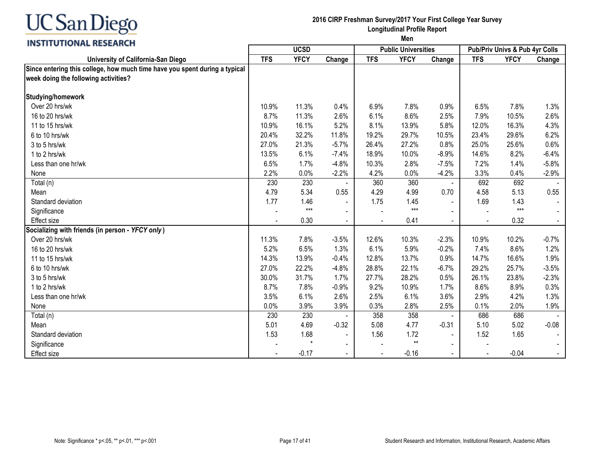

**2016 CIRP Freshman Survey/2017 Your First College Year Survey Longitudinal Profile Report**

|                                                                            | <b>UCSD</b> |             |         |            | <b>Public Universities</b> |                | <b>Pub/Priv Univs &amp; Pub 4yr Colls</b> |             |         |
|----------------------------------------------------------------------------|-------------|-------------|---------|------------|----------------------------|----------------|-------------------------------------------|-------------|---------|
| University of California-San Diego                                         | <b>TFS</b>  | <b>YFCY</b> | Change  | <b>TFS</b> | <b>YFCY</b>                | Change         | <b>TFS</b>                                | <b>YFCY</b> | Change  |
| Since entering this college, how much time have you spent during a typical |             |             |         |            |                            |                |                                           |             |         |
| week doing the following activities?                                       |             |             |         |            |                            |                |                                           |             |         |
| Studying/homework                                                          |             |             |         |            |                            |                |                                           |             |         |
| Over 20 hrs/wk                                                             | 10.9%       | 11.3%       | 0.4%    | 6.9%       | 7.8%                       | 0.9%           | 6.5%                                      | 7.8%        | 1.3%    |
| 16 to 20 hrs/wk                                                            | 8.7%        | 11.3%       | 2.6%    | 6.1%       | 8.6%                       | 2.5%           | 7.9%                                      | 10.5%       | 2.6%    |
| 11 to 15 hrs/wk                                                            | 10.9%       | 16.1%       | 5.2%    | 8.1%       | 13.9%                      | 5.8%           | 12.0%                                     | 16.3%       | 4.3%    |
| 6 to 10 hrs/wk                                                             | 20.4%       | 32.2%       | 11.8%   | 19.2%      | 29.7%                      | 10.5%          | 23.4%                                     | 29.6%       | 6.2%    |
| 3 to 5 hrs/wk                                                              | 27.0%       | 21.3%       | $-5.7%$ | 26.4%      | 27.2%                      | 0.8%           | 25.0%                                     | 25.6%       | 0.6%    |
| 1 to 2 hrs/wk                                                              | 13.5%       | 6.1%        | $-7.4%$ | 18.9%      | 10.0%                      | $-8.9%$        | 14.6%                                     | 8.2%        | $-6.4%$ |
| Less than one hr/wk                                                        | 6.5%        | 1.7%        | $-4.8%$ | 10.3%      | 2.8%                       | $-7.5%$        | 7.2%                                      | 1.4%        | $-5.8%$ |
| None                                                                       | 2.2%        | 0.0%        | $-2.2%$ | 4.2%       | 0.0%                       | $-4.2%$        | 3.3%                                      | 0.4%        | $-2.9%$ |
| Total (n)                                                                  | 230         | 230         |         | 360        | 360                        | $\sim$         | 692                                       | 692         |         |
| Mean                                                                       | 4.79        | 5.34        | 0.55    | 4.29       | 4.99                       | 0.70           | 4.58                                      | 5.13        | 0.55    |
| Standard deviation                                                         | 1.77        | 1.46        |         | 1.75       | 1.45                       |                | 1.69                                      | 1.43        |         |
| Significance                                                               |             | $***$       |         |            | $***$                      |                |                                           | $***$       |         |
| <b>Effect size</b>                                                         |             | 0.30        |         |            | 0.41                       |                |                                           | 0.32        |         |
| Socializing with friends (in person - YFCY only)                           |             |             |         |            |                            |                |                                           |             |         |
| Over 20 hrs/wk                                                             | 11.3%       | 7.8%        | $-3.5%$ | 12.6%      | 10.3%                      | $-2.3%$        | 10.9%                                     | 10.2%       | $-0.7%$ |
| 16 to 20 hrs/wk                                                            | 5.2%        | 6.5%        | 1.3%    | 6.1%       | 5.9%                       | $-0.2%$        | 7.4%                                      | 8.6%        | 1.2%    |
| 11 to 15 hrs/wk                                                            | 14.3%       | 13.9%       | $-0.4%$ | 12.8%      | 13.7%                      | 0.9%           | 14.7%                                     | 16.6%       | 1.9%    |
| 6 to 10 hrs/wk                                                             | 27.0%       | 22.2%       | $-4.8%$ | 28.8%      | 22.1%                      | $-6.7%$        | 29.2%                                     | 25.7%       | $-3.5%$ |
| 3 to 5 hrs/wk                                                              | 30.0%       | 31.7%       | 1.7%    | 27.7%      | 28.2%                      | 0.5%           | 26.1%                                     | 23.8%       | $-2.3%$ |
| 1 to 2 hrs/wk                                                              | 8.7%        | 7.8%        | $-0.9%$ | 9.2%       | 10.9%                      | 1.7%           | 8.6%                                      | 8.9%        | 0.3%    |
| Less than one hr/wk                                                        | 3.5%        | 6.1%        | 2.6%    | 2.5%       | 6.1%                       | 3.6%           | 2.9%                                      | 4.2%        | 1.3%    |
| None                                                                       | 0.0%        | 3.9%        | 3.9%    | 0.3%       | 2.8%                       | 2.5%           | 0.1%                                      | 2.0%        | 1.9%    |
| Total (n)                                                                  | 230         | 230         |         | 358        | 358                        | $\blacksquare$ | 686                                       | 686         |         |
| Mean                                                                       | 5.01        | 4.69        | $-0.32$ | 5.08       | 4.77                       | $-0.31$        | 5.10                                      | 5.02        | $-0.08$ |
| Standard deviation                                                         | 1.53        | 1.68        |         | 1.56       | 1.72                       |                | 1.52                                      | 1.65        |         |
| Significance                                                               |             | $\star$     |         |            | $***$                      |                |                                           |             |         |
| <b>Effect size</b>                                                         |             | $-0.17$     |         |            | $-0.16$                    |                | $\blacksquare$                            | $-0.04$     |         |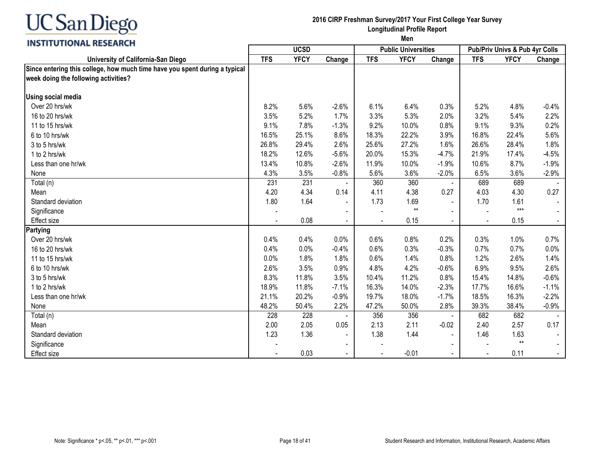

**2016 CIRP Freshman Survey/2017 Your First College Year Survey Longitudinal Profile Report**

|                                                                            | <b>UCSD</b> |             |                |                | <b>Public Universities</b> |                | <b>Pub/Priv Univs &amp; Pub 4yr Colls</b> |             |         |
|----------------------------------------------------------------------------|-------------|-------------|----------------|----------------|----------------------------|----------------|-------------------------------------------|-------------|---------|
| University of California-San Diego                                         | <b>TFS</b>  | <b>YFCY</b> | Change         | <b>TFS</b>     | <b>YFCY</b>                | Change         | <b>TFS</b>                                | <b>YFCY</b> | Change  |
| Since entering this college, how much time have you spent during a typical |             |             |                |                |                            |                |                                           |             |         |
| week doing the following activities?                                       |             |             |                |                |                            |                |                                           |             |         |
|                                                                            |             |             |                |                |                            |                |                                           |             |         |
| <b>Using social media</b>                                                  |             |             |                |                |                            |                |                                           |             |         |
| Over 20 hrs/wk                                                             | 8.2%        | 5.6%        | $-2.6%$        | 6.1%           | 6.4%                       | 0.3%           | 5.2%                                      | 4.8%        | $-0.4%$ |
| 16 to 20 hrs/wk                                                            | 3.5%        | 5.2%        | 1.7%           | 3.3%           | 5.3%                       | 2.0%           | 3.2%                                      | 5.4%        | 2.2%    |
| 11 to 15 hrs/wk                                                            | 9.1%        | 7.8%        | $-1.3%$        | 9.2%           | 10.0%                      | 0.8%           | 9.1%                                      | 9.3%        | 0.2%    |
| 6 to 10 hrs/wk                                                             | 16.5%       | 25.1%       | 8.6%           | 18.3%          | 22.2%                      | 3.9%           | 16.8%                                     | 22.4%       | 5.6%    |
| 3 to 5 hrs/wk                                                              | 26.8%       | 29.4%       | 2.6%           | 25.6%          | 27.2%                      | 1.6%           | 26.6%                                     | 28.4%       | 1.8%    |
| 1 to 2 hrs/wk                                                              | 18.2%       | 12.6%       | $-5.6%$        | 20.0%          | 15.3%                      | $-4.7%$        | 21.9%                                     | 17.4%       | $-4.5%$ |
| Less than one hr/wk                                                        | 13.4%       | 10.8%       | $-2.6%$        | 11.9%          | 10.0%                      | $-1.9%$        | 10.6%                                     | 8.7%        | $-1.9%$ |
| None                                                                       | 4.3%        | 3.5%        | $-0.8%$        | 5.6%           | 3.6%                       | $-2.0%$        | 6.5%                                      | 3.6%        | $-2.9%$ |
| Total (n)                                                                  | 231         | 231         |                | 360            | 360                        | $\blacksquare$ | 689                                       | 689         |         |
| Mean                                                                       | 4.20        | 4.34        | 0.14           | 4.11           | 4.38                       | 0.27           | 4.03                                      | 4.30        | 0.27    |
| Standard deviation                                                         | 1.80        | 1.64        |                | 1.73           | 1.69                       |                | 1.70                                      | 1.61        |         |
| Significance                                                               |             |             |                |                | $***$                      |                |                                           | $***$       |         |
| Effect size                                                                |             | 0.08        | $\blacksquare$ | $\blacksquare$ | 0.15                       | $\blacksquare$ | $\blacksquare$                            | 0.15        |         |
| Partying                                                                   |             |             |                |                |                            |                |                                           |             |         |
| Over 20 hrs/wk                                                             | 0.4%        | 0.4%        | 0.0%           | 0.6%           | 0.8%                       | 0.2%           | 0.3%                                      | 1.0%        | 0.7%    |
| 16 to 20 hrs/wk                                                            | 0.4%        | 0.0%        | $-0.4%$        | 0.6%           | 0.3%                       | $-0.3%$        | 0.7%                                      | 0.7%        | 0.0%    |
| 11 to 15 hrs/wk                                                            | 0.0%        | 1.8%        | 1.8%           | 0.6%           | 1.4%                       | 0.8%           | 1.2%                                      | 2.6%        | 1.4%    |
| 6 to 10 hrs/wk                                                             | 2.6%        | 3.5%        | 0.9%           | 4.8%           | 4.2%                       | $-0.6%$        | 6.9%                                      | 9.5%        | 2.6%    |
| 3 to 5 hrs/wk                                                              | 8.3%        | 11.8%       | 3.5%           | 10.4%          | 11.2%                      | 0.8%           | 15.4%                                     | 14.8%       | $-0.6%$ |
| 1 to 2 hrs/wk                                                              | 18.9%       | 11.8%       | $-7.1%$        | 16.3%          | 14.0%                      | $-2.3%$        | 17.7%                                     | 16.6%       | $-1.1%$ |
| Less than one hr/wk                                                        | 21.1%       | 20.2%       | $-0.9%$        | 19.7%          | 18.0%                      | $-1.7%$        | 18.5%                                     | 16.3%       | $-2.2%$ |
| None                                                                       | 48.2%       | 50.4%       | 2.2%           | 47.2%          | 50.0%                      | 2.8%           | 39.3%                                     | 38.4%       | $-0.9%$ |
| Total (n)                                                                  | 228         | 228         |                | 356            | 356                        |                | 682                                       | 682         |         |
| Mean                                                                       | 2.00        | 2.05        | 0.05           | 2.13           | 2.11                       | $-0.02$        | 2.40                                      | 2.57        | 0.17    |
| Standard deviation                                                         | 1.23        | 1.36        |                | 1.38           | 1.44                       |                | 1.46                                      | 1.63        |         |
| Significance                                                               |             |             |                |                |                            |                |                                           | $***$       |         |
| <b>Effect size</b>                                                         |             | 0.03        |                |                | $-0.01$                    |                |                                           | 0.11        |         |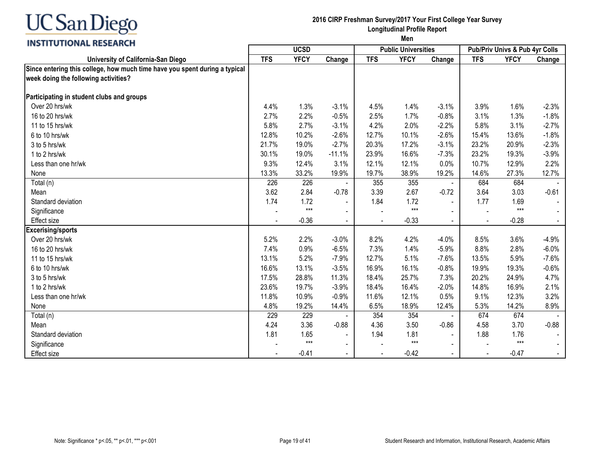

**2016 CIRP Freshman Survey/2017 Your First College Year Survey Longitudinal Profile Report**

|                                                                            | <b>UCSD</b> |             |                |            | <b>Public Universities</b> |                | Pub/Priv Univs & Pub 4yr Colls |             |         |
|----------------------------------------------------------------------------|-------------|-------------|----------------|------------|----------------------------|----------------|--------------------------------|-------------|---------|
| University of California-San Diego                                         | <b>TFS</b>  | <b>YFCY</b> | Change         | <b>TFS</b> | <b>YFCY</b>                | Change         | <b>TFS</b>                     | <b>YFCY</b> | Change  |
| Since entering this college, how much time have you spent during a typical |             |             |                |            |                            |                |                                |             |         |
| week doing the following activities?                                       |             |             |                |            |                            |                |                                |             |         |
|                                                                            |             |             |                |            |                            |                |                                |             |         |
| Participating in student clubs and groups                                  |             |             |                |            |                            |                |                                |             |         |
| Over 20 hrs/wk                                                             | 4.4%        | 1.3%        | $-3.1%$        | 4.5%       | 1.4%                       | $-3.1%$        | 3.9%                           | 1.6%        | $-2.3%$ |
| 16 to 20 hrs/wk                                                            | 2.7%        | 2.2%        | $-0.5%$        | 2.5%       | 1.7%                       | $-0.8%$        | 3.1%                           | 1.3%        | $-1.8%$ |
| 11 to 15 hrs/wk                                                            | 5.8%        | 2.7%        | $-3.1%$        | 4.2%       | 2.0%                       | $-2.2%$        | 5.8%                           | 3.1%        | $-2.7%$ |
| 6 to 10 hrs/wk                                                             | 12.8%       | 10.2%       | $-2.6%$        | 12.7%      | 10.1%                      | $-2.6%$        | 15.4%                          | 13.6%       | $-1.8%$ |
| 3 to 5 hrs/wk                                                              | 21.7%       | 19.0%       | $-2.7%$        | 20.3%      | 17.2%                      | $-3.1%$        | 23.2%                          | 20.9%       | $-2.3%$ |
| 1 to 2 hrs/wk                                                              | 30.1%       | 19.0%       | $-11.1%$       | 23.9%      | 16.6%                      | $-7.3%$        | 23.2%                          | 19.3%       | $-3.9%$ |
| Less than one hr/wk                                                        | 9.3%        | 12.4%       | 3.1%           | 12.1%      | 12.1%                      | 0.0%           | 10.7%                          | 12.9%       | 2.2%    |
| None                                                                       | 13.3%       | 33.2%       | 19.9%          | 19.7%      | 38.9%                      | 19.2%          | 14.6%                          | 27.3%       | 12.7%   |
| Total (n)                                                                  | 226         | 226         |                | 355        | 355                        | $\blacksquare$ | 684                            | 684         |         |
| Mean                                                                       | 3.62        | 2.84        | $-0.78$        | 3.39       | 2.67                       | $-0.72$        | 3.64                           | 3.03        | $-0.61$ |
| Standard deviation                                                         | 1.74        | 1.72        |                | 1.84       | 1.72                       | $\sim$         | 1.77                           | 1.69        |         |
| Significance                                                               |             | $***$       | $\blacksquare$ |            | $***$                      |                |                                | $***$       |         |
| <b>Effect size</b>                                                         |             | $-0.36$     |                |            | $-0.33$                    | $\mathbf{r}$   | $\blacksquare$                 | $-0.28$     |         |
| <b>Excerising/sports</b>                                                   |             |             |                |            |                            |                |                                |             |         |
| Over 20 hrs/wk                                                             | 5.2%        | 2.2%        | $-3.0%$        | 8.2%       | 4.2%                       | $-4.0%$        | 8.5%                           | 3.6%        | $-4.9%$ |
| 16 to 20 hrs/wk                                                            | 7.4%        | 0.9%        | $-6.5%$        | 7.3%       | 1.4%                       | $-5.9%$        | 8.8%                           | 2.8%        | $-6.0%$ |
| 11 to 15 hrs/wk                                                            | 13.1%       | 5.2%        | $-7.9%$        | 12.7%      | 5.1%                       | $-7.6%$        | 13.5%                          | 5.9%        | $-7.6%$ |
| 6 to 10 hrs/wk                                                             | 16.6%       | 13.1%       | $-3.5%$        | 16.9%      | 16.1%                      | $-0.8%$        | 19.9%                          | 19.3%       | $-0.6%$ |
| 3 to 5 hrs/wk                                                              | 17.5%       | 28.8%       | 11.3%          | 18.4%      | 25.7%                      | 7.3%           | 20.2%                          | 24.9%       | 4.7%    |
| 1 to 2 hrs/wk                                                              | 23.6%       | 19.7%       | $-3.9%$        | 18.4%      | 16.4%                      | $-2.0%$        | 14.8%                          | 16.9%       | 2.1%    |
| Less than one hr/wk                                                        | 11.8%       | 10.9%       | $-0.9%$        | 11.6%      | 12.1%                      | 0.5%           | 9.1%                           | 12.3%       | 3.2%    |
| None                                                                       | 4.8%        | 19.2%       | 14.4%          | 6.5%       | 18.9%                      | 12.4%          | 5.3%                           | 14.2%       | 8.9%    |
| Total (n)                                                                  | 229         | 229         |                | 354        | 354                        |                | 674                            | 674         |         |
| Mean                                                                       | 4.24        | 3.36        | $-0.88$        | 4.36       | 3.50                       | $-0.86$        | 4.58                           | 3.70        | $-0.88$ |
| Standard deviation                                                         | 1.81        | 1.65        |                | 1.94       | 1.81                       |                | 1.88                           | 1.76        |         |
| Significance                                                               |             | $***$       |                |            | $***$                      |                |                                | $***$       |         |
| Effect size                                                                |             | $-0.41$     |                |            | $-0.42$                    |                |                                | $-0.47$     |         |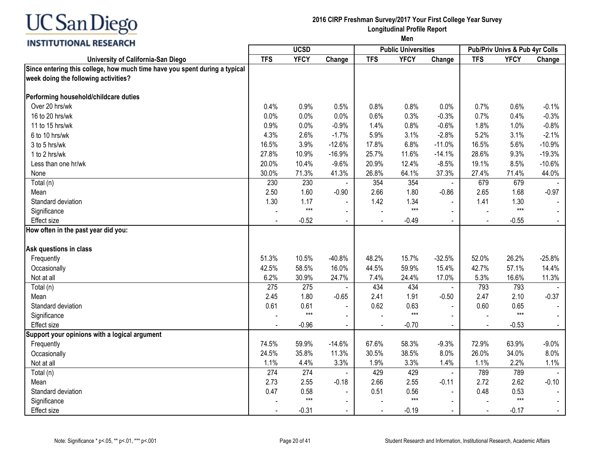

**2016 CIRP Freshman Survey/2017 Your First College Year Survey Longitudinal Profile Report**

|                                                                            | <b>UCSD</b> |             |                | <b>Public Universities</b> |             | <b>Pub/Priv Univs &amp; Pub 4yr Colls</b> |                |             |          |
|----------------------------------------------------------------------------|-------------|-------------|----------------|----------------------------|-------------|-------------------------------------------|----------------|-------------|----------|
| University of California-San Diego                                         | <b>TFS</b>  | <b>YFCY</b> | Change         | <b>TFS</b>                 | <b>YFCY</b> | Change                                    | <b>TFS</b>     | <b>YFCY</b> | Change   |
| Since entering this college, how much time have you spent during a typical |             |             |                |                            |             |                                           |                |             |          |
| week doing the following activities?                                       |             |             |                |                            |             |                                           |                |             |          |
|                                                                            |             |             |                |                            |             |                                           |                |             |          |
| Performing household/childcare duties                                      |             |             |                |                            |             |                                           |                |             |          |
| Over 20 hrs/wk                                                             | 0.4%        | 0.9%        | 0.5%           | 0.8%                       | 0.8%        | 0.0%                                      | 0.7%           | 0.6%        | $-0.1%$  |
| 16 to 20 hrs/wk                                                            | 0.0%        | 0.0%        | 0.0%           | 0.6%                       | 0.3%        | $-0.3%$                                   | 0.7%           | 0.4%        | $-0.3%$  |
| 11 to 15 hrs/wk                                                            | 0.9%        | 0.0%        | $-0.9%$        | 1.4%                       | 0.8%        | $-0.6%$                                   | 1.8%           | 1.0%        | $-0.8%$  |
| 6 to 10 hrs/wk                                                             | 4.3%        | 2.6%        | $-1.7%$        | 5.9%                       | 3.1%        | $-2.8%$                                   | 5.2%           | 3.1%        | $-2.1%$  |
| 3 to 5 hrs/wk                                                              | 16.5%       | 3.9%        | $-12.6%$       | 17.8%                      | 6.8%        | $-11.0%$                                  | 16.5%          | 5.6%        | $-10.9%$ |
| 1 to 2 hrs/wk                                                              | 27.8%       | 10.9%       | $-16.9%$       | 25.7%                      | 11.6%       | $-14.1%$                                  | 28.6%          | 9.3%        | $-19.3%$ |
| Less than one hr/wk                                                        | 20.0%       | 10.4%       | $-9.6%$        | 20.9%                      | 12.4%       | $-8.5%$                                   | 19.1%          | 8.5%        | $-10.6%$ |
| None                                                                       | 30.0%       | 71.3%       | 41.3%          | 26.8%                      | 64.1%       | 37.3%                                     | 27.4%          | 71.4%       | 44.0%    |
| Total (n)                                                                  | 230         | 230         |                | 354                        | 354         |                                           | 679            | 679         |          |
| Mean                                                                       | 2.50        | 1.60        | $-0.90$        | 2.66                       | 1.80        | $-0.86$                                   | 2.65           | 1.68        | $-0.97$  |
| Standard deviation                                                         | 1.30        | 1.17        |                | 1.42                       | 1.34        |                                           | 1.41           | 1.30        |          |
| Significance                                                               |             | $***$       |                |                            | $***$       |                                           |                | $***$       |          |
| <b>Effect size</b>                                                         |             | $-0.52$     | $\blacksquare$ |                            | $-0.49$     | $\sim$                                    | $\blacksquare$ | $-0.55$     |          |
| How often in the past year did you:                                        |             |             |                |                            |             |                                           |                |             |          |
|                                                                            |             |             |                |                            |             |                                           |                |             |          |
| Ask questions in class                                                     |             |             |                |                            |             |                                           |                |             |          |
| Frequently                                                                 | 51.3%       | 10.5%       | $-40.8%$       | 48.2%                      | 15.7%       | $-32.5%$                                  | 52.0%          | 26.2%       | $-25.8%$ |
| Occasionally                                                               | 42.5%       | 58.5%       | 16.0%          | 44.5%                      | 59.9%       | 15.4%                                     | 42.7%          | 57.1%       | 14.4%    |
| Not at all                                                                 | 6.2%        | 30.9%       | 24.7%          | 7.4%                       | 24.4%       | 17.0%                                     | 5.3%           | 16.6%       | 11.3%    |
| Total (n)                                                                  | 275         | 275         |                | 434                        | 434         |                                           | 793            | 793         |          |
| Mean                                                                       | 2.45        | 1.80        | $-0.65$        | 2.41                       | 1.91        | $-0.50$                                   | 2.47           | 2.10        | $-0.37$  |
| Standard deviation                                                         | 0.61        | 0.61        |                | 0.62                       | 0.63        |                                           | 0.60           | 0.65        |          |
| Significance                                                               |             | $***$       |                |                            | $***$       |                                           |                | $***$       |          |
| <b>Effect size</b>                                                         |             | $-0.96$     | $\blacksquare$ | $\sim$                     | $-0.70$     | $\sim$                                    | $\sim$         | $-0.53$     |          |
| Support your opinions with a logical argument                              |             |             |                |                            |             |                                           |                |             |          |
| Frequently                                                                 | 74.5%       | 59.9%       | $-14.6%$       | 67.6%                      | 58.3%       | $-9.3%$                                   | 72.9%          | 63.9%       | $-9.0%$  |
| Occasionally                                                               | 24.5%       | 35.8%       | 11.3%          | 30.5%                      | 38.5%       | 8.0%                                      | 26.0%          | 34.0%       | 8.0%     |
| Not at all                                                                 | 1.1%        | 4.4%        | 3.3%           | 1.9%                       | 3.3%        | 1.4%                                      | 1.1%           | 2.2%        | 1.1%     |
| Total (n)                                                                  | 274         | 274         | $\blacksquare$ | 429                        | 429         | $\blacksquare$                            | 789            | 789         |          |
| Mean                                                                       | 2.73        | 2.55        | $-0.18$        | 2.66                       | 2.55        | $-0.11$                                   | 2.72           | 2.62        | $-0.10$  |
| Standard deviation                                                         | 0.47        | 0.58        | $\blacksquare$ | 0.51                       | 0.56        | $\blacksquare$                            | 0.48           | 0.53        |          |
| Significance                                                               |             | $***$       | $\blacksquare$ |                            | $***$       |                                           |                | $***$       |          |
| <b>Effect size</b>                                                         |             | $-0.31$     |                |                            | $-0.19$     |                                           |                | $-0.17$     |          |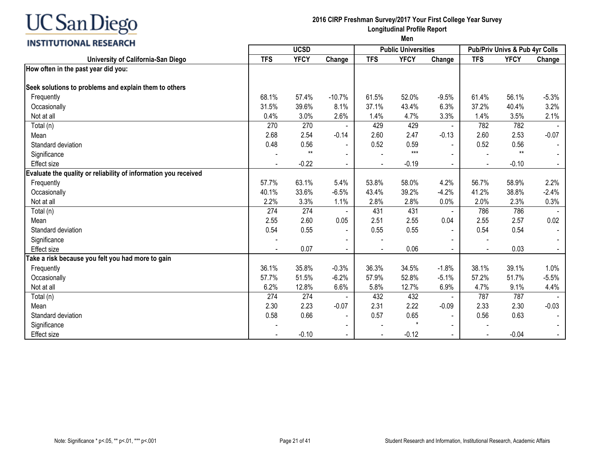# **INSTITUTIONAL RESEARCH**

#### **2016 CIRP Freshman Survey/2017 Your First College Year Survey Longitudinal Profile Report**

|                                                                 |            | <b>UCSD</b> |                          |            | <b>Public Universities</b> |                | Pub/Priv Univs & Pub 4yr Colls |             |         |
|-----------------------------------------------------------------|------------|-------------|--------------------------|------------|----------------------------|----------------|--------------------------------|-------------|---------|
| University of California-San Diego                              | <b>TFS</b> | <b>YFCY</b> | Change                   | <b>TFS</b> | <b>YFCY</b>                | Change         | <b>TFS</b>                     | <b>YFCY</b> | Change  |
| How often in the past year did you:                             |            |             |                          |            |                            |                |                                |             |         |
|                                                                 |            |             |                          |            |                            |                |                                |             |         |
| Seek solutions to problems and explain them to others           |            |             |                          |            |                            |                |                                |             |         |
| Frequently                                                      | 68.1%      | 57.4%       | $-10.7%$                 | 61.5%      | 52.0%                      | $-9.5%$        | 61.4%                          | 56.1%       | $-5.3%$ |
| Occasionally                                                    | 31.5%      | 39.6%       | 8.1%                     | 37.1%      | 43.4%                      | 6.3%           | 37.2%                          | 40.4%       | 3.2%    |
| Not at all                                                      | 0.4%       | 3.0%        | 2.6%                     | 1.4%       | 4.7%                       | 3.3%           | 1.4%                           | 3.5%        | 2.1%    |
| Total (n)                                                       | 270        | 270         | $\overline{\phantom{a}}$ | 429        | 429                        | $\blacksquare$ | 782                            | 782         |         |
| Mean                                                            | 2.68       | 2.54        | $-0.14$                  | 2.60       | 2.47                       | $-0.13$        | 2.60                           | 2.53        | $-0.07$ |
| Standard deviation                                              | 0.48       | 0.56        | $\blacksquare$           | 0.52       | 0.59                       | $\blacksquare$ | 0.52                           | 0.56        |         |
| Significance                                                    |            | $**$        | $\blacksquare$           |            | $***$                      |                |                                | $**$        |         |
| <b>Effect size</b>                                              |            | $-0.22$     |                          |            | $-0.19$                    |                |                                | $-0.10$     |         |
| Evaluate the quality or reliability of information you received |            |             |                          |            |                            |                |                                |             |         |
| Frequently                                                      | 57.7%      | 63.1%       | 5.4%                     | 53.8%      | 58.0%                      | 4.2%           | 56.7%                          | 58.9%       | 2.2%    |
| Occasionally                                                    | 40.1%      | 33.6%       | $-6.5%$                  | 43.4%      | 39.2%                      | $-4.2%$        | 41.2%                          | 38.8%       | $-2.4%$ |
| Not at all                                                      | 2.2%       | 3.3%        | 1.1%                     | 2.8%       | 2.8%                       | 0.0%           | 2.0%                           | 2.3%        | 0.3%    |
| Total (n)                                                       | 274        | 274         |                          | 431        | 431                        | $\blacksquare$ | 786                            | 786         |         |
| Mean                                                            | 2.55       | 2.60        | 0.05                     | 2.51       | 2.55                       | 0.04           | 2.55                           | 2.57        | 0.02    |
| Standard deviation                                              | 0.54       | 0.55        | $\overline{\phantom{a}}$ | 0.55       | 0.55                       |                | 0.54                           | 0.54        |         |
| Significance                                                    |            |             | $\blacksquare$           |            |                            |                |                                |             |         |
| <b>Effect size</b>                                              |            | 0.07        |                          |            | 0.06                       |                | $\blacksquare$                 | 0.03        |         |
| Take a risk because you felt you had more to gain               |            |             |                          |            |                            |                |                                |             |         |
| Frequently                                                      | 36.1%      | 35.8%       | $-0.3%$                  | 36.3%      | 34.5%                      | $-1.8%$        | 38.1%                          | 39.1%       | 1.0%    |
| Occasionally                                                    | 57.7%      | 51.5%       | $-6.2%$                  | 57.9%      | 52.8%                      | $-5.1%$        | 57.2%                          | 51.7%       | $-5.5%$ |
| Not at all                                                      | 6.2%       | 12.8%       | 6.6%                     | 5.8%       | 12.7%                      | 6.9%           | 4.7%                           | 9.1%        | 4.4%    |
| Total (n)                                                       | 274        | 274         |                          | 432        | 432                        |                | 787                            | 787         |         |
| Mean                                                            | 2.30       | 2.23        | $-0.07$                  | 2.31       | 2.22                       | $-0.09$        | 2.33                           | 2.30        | $-0.03$ |
| Standard deviation                                              | 0.58       | 0.66        | $\blacksquare$           | 0.57       | 0.65                       |                | 0.56                           | 0.63        |         |
| Significance                                                    |            |             |                          |            |                            |                |                                |             |         |
| <b>Effect size</b>                                              |            | $-0.10$     |                          |            | $-0.12$                    |                |                                | $-0.04$     |         |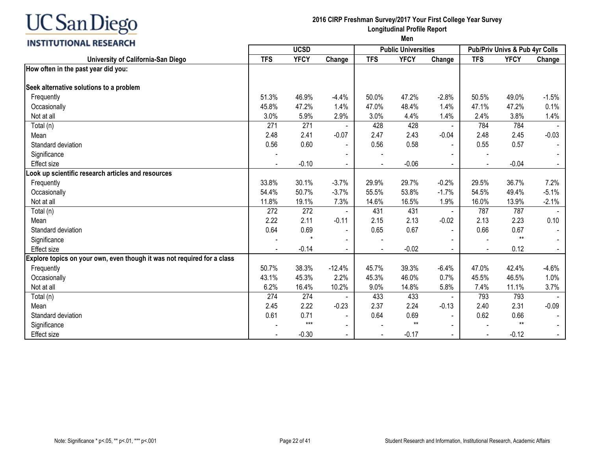# **INSTITUTIONAL RESEARCH**

#### **2016 CIRP Freshman Survey/2017 Your First College Year Survey Longitudinal Profile Report**

|                                                                         |            | <b>UCSD</b> |                          |            | <b>Public Universities</b> |                |            | Pub/Priv Univs & Pub 4yr Colls |         |
|-------------------------------------------------------------------------|------------|-------------|--------------------------|------------|----------------------------|----------------|------------|--------------------------------|---------|
| University of California-San Diego                                      | <b>TFS</b> | <b>YFCY</b> | Change                   | <b>TFS</b> | <b>YFCY</b>                | Change         | <b>TFS</b> | <b>YFCY</b>                    | Change  |
| How often in the past year did you:                                     |            |             |                          |            |                            |                |            |                                |         |
|                                                                         |            |             |                          |            |                            |                |            |                                |         |
| Seek alternative solutions to a problem                                 |            |             |                          |            |                            |                |            |                                |         |
| Frequently                                                              | 51.3%      | 46.9%       | $-4.4%$                  | 50.0%      | 47.2%                      | $-2.8%$        | 50.5%      | 49.0%                          | $-1.5%$ |
| Occasionally                                                            | 45.8%      | 47.2%       | 1.4%                     | 47.0%      | 48.4%                      | 1.4%           | 47.1%      | 47.2%                          | 0.1%    |
| Not at all                                                              | 3.0%       | 5.9%        | 2.9%                     | 3.0%       | 4.4%                       | 1.4%           | 2.4%       | 3.8%                           | 1.4%    |
| Total (n)                                                               | 271        | 271         |                          | 428        | 428                        | $\blacksquare$ | 784        | 784                            |         |
| Mean                                                                    | 2.48       | 2.41        | $-0.07$                  | 2.47       | 2.43                       | $-0.04$        | 2.48       | 2.45                           | $-0.03$ |
| Standard deviation                                                      | 0.56       | 0.60        |                          | 0.56       | 0.58                       |                | 0.55       | 0.57                           |         |
| Significance                                                            |            |             |                          |            |                            |                |            |                                |         |
| <b>Effect size</b>                                                      |            | $-0.10$     | $\blacksquare$           |            | $-0.06$                    |                |            | $-0.04$                        |         |
| Look up scientific research articles and resources                      |            |             |                          |            |                            |                |            |                                |         |
| Frequently                                                              | 33.8%      | 30.1%       | $-3.7%$                  | 29.9%      | 29.7%                      | $-0.2%$        | 29.5%      | 36.7%                          | 7.2%    |
| Occasionally                                                            | 54.4%      | 50.7%       | $-3.7%$                  | 55.5%      | 53.8%                      | $-1.7%$        | 54.5%      | 49.4%                          | $-5.1%$ |
| Not at all                                                              | 11.8%      | 19.1%       | 7.3%                     | 14.6%      | 16.5%                      | 1.9%           | 16.0%      | 13.9%                          | $-2.1%$ |
| Total (n)                                                               | 272        | 272         |                          | 431        | 431                        |                | 787        | 787                            |         |
| Mean                                                                    | 2.22       | 2.11        | $-0.11$                  | 2.15       | 2.13                       | $-0.02$        | 2.13       | 2.23                           | 0.10    |
| Standard deviation                                                      | 0.64       | 0.69        | $\blacksquare$           | 0.65       | 0.67                       |                | 0.66       | 0.67                           |         |
| Significance                                                            |            |             | $\blacksquare$           |            |                            |                |            | $**$                           |         |
| <b>Effect size</b>                                                      |            | $-0.14$     |                          |            | $-0.02$                    |                |            | 0.12                           |         |
| Explore topics on your own, even though it was not required for a class |            |             |                          |            |                            |                |            |                                |         |
| Frequently                                                              | 50.7%      | 38.3%       | $-12.4%$                 | 45.7%      | 39.3%                      | $-6.4%$        | 47.0%      | 42.4%                          | $-4.6%$ |
| Occasionally                                                            | 43.1%      | 45.3%       | 2.2%                     | 45.3%      | 46.0%                      | 0.7%           | 45.5%      | 46.5%                          | 1.0%    |
| Not at all                                                              | 6.2%       | 16.4%       | 10.2%                    | 9.0%       | 14.8%                      | 5.8%           | 7.4%       | 11.1%                          | 3.7%    |
| Total (n)                                                               | 274        | 274         |                          | 433        | 433                        |                | 793        | 793                            |         |
| Mean                                                                    | 2.45       | 2.22        | $-0.23$                  | 2.37       | 2.24                       | $-0.13$        | 2.40       | 2.31                           | $-0.09$ |
| Standard deviation                                                      | 0.61       | 0.71        | $\blacksquare$           | 0.64       | 0.69                       | $\blacksquare$ | 0.62       | 0.66                           |         |
| Significance                                                            |            | $***$       | $\overline{\phantom{0}}$ |            | $***$                      |                |            | $***$                          |         |
| <b>Effect size</b>                                                      |            | $-0.30$     | $\blacksquare$           |            | $-0.17$                    |                |            | $-0.12$                        |         |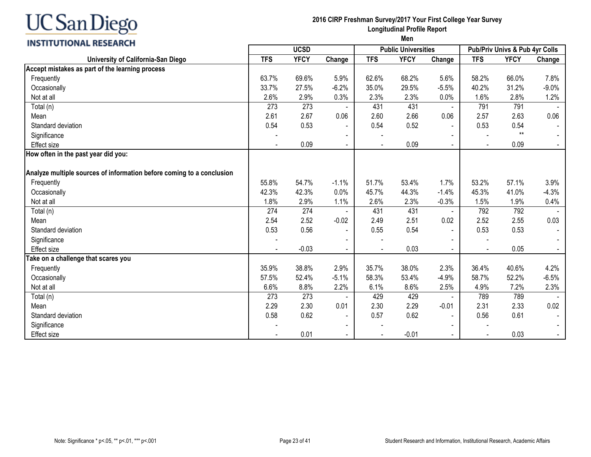#### **2016 CIRP Freshman Survey/2017 Your First College Year Survey Longitudinal Profile Report Men**

| <b>INSTITUTIONAL RESEARCH</b>                                         |                |             |                |                | men                        |                |                |                                |                |
|-----------------------------------------------------------------------|----------------|-------------|----------------|----------------|----------------------------|----------------|----------------|--------------------------------|----------------|
|                                                                       |                | <b>UCSD</b> |                |                | <b>Public Universities</b> |                |                | Pub/Priv Univs & Pub 4yr Colls |                |
| University of California-San Diego                                    | <b>TFS</b>     | <b>YFCY</b> | Change         | <b>TFS</b>     | <b>YFCY</b>                | Change         | <b>TFS</b>     | <b>YFCY</b>                    | Change         |
| Accept mistakes as part of the learning process                       |                |             |                |                |                            |                |                |                                |                |
| Frequently                                                            | 63.7%          | 69.6%       | 5.9%           | 62.6%          | 68.2%                      | 5.6%           | 58.2%          | 66.0%                          | 7.8%           |
| Occasionally                                                          | 33.7%          | 27.5%       | $-6.2%$        | 35.0%          | 29.5%                      | $-5.5%$        | 40.2%          | 31.2%                          | $-9.0%$        |
| Not at all                                                            | 2.6%           | 2.9%        | 0.3%           | 2.3%           | 2.3%                       | 0.0%           | 1.6%           | 2.8%                           | 1.2%           |
| Total (n)                                                             | 273            | 273         |                | 431            | 431                        |                | 791            | 791                            |                |
| Mean                                                                  | 2.61           | 2.67        | 0.06           | 2.60           | 2.66                       | 0.06           | 2.57           | 2.63                           | 0.06           |
| Standard deviation                                                    | 0.54           | 0.53        | $\blacksquare$ | 0.54           | 0.52                       | $\blacksquare$ | 0.53           | 0.54                           |                |
| Significance                                                          |                |             | $\blacksquare$ |                |                            |                |                | $**$                           | $\sim$         |
| <b>Effect size</b>                                                    | $\blacksquare$ | 0.09        | $\blacksquare$ | $\blacksquare$ | 0.09                       | $\sim$         | $\blacksquare$ | 0.09                           | $\sim$         |
| How often in the past year did you:                                   |                |             |                |                |                            |                |                |                                |                |
|                                                                       |                |             |                |                |                            |                |                |                                |                |
| Analyze multiple sources of information before coming to a conclusion |                |             |                |                |                            |                |                |                                |                |
| Frequently                                                            | 55.8%          | 54.7%       | $-1.1%$        | 51.7%          | 53.4%                      | 1.7%           | 53.2%          | 57.1%                          | 3.9%           |
| Occasionally                                                          | 42.3%          | 42.3%       | 0.0%           | 45.7%          | 44.3%                      | $-1.4%$        | 45.3%          | 41.0%                          | $-4.3%$        |
| Not at all                                                            | 1.8%           | 2.9%        | 1.1%           | 2.6%           | 2.3%                       | $-0.3%$        | 1.5%           | 1.9%                           | 0.4%           |
| Total (n)                                                             | 274            | 274         |                | 431            | 431                        | $\blacksquare$ | 792            | 792                            |                |
| Mean                                                                  | 2.54           | 2.52        | $-0.02$        | 2.49           | 2.51                       | 0.02           | 2.52           | 2.55                           | 0.03           |
| Standard deviation                                                    | 0.53           | 0.56        | $\blacksquare$ | 0.55           | 0.54                       |                | 0.53           | 0.53                           | $\sim$         |
| Significance                                                          |                |             | $\blacksquare$ |                |                            |                |                |                                |                |
| <b>Effect size</b>                                                    |                | $-0.03$     | $\blacksquare$ | $\blacksquare$ | 0.03                       | $\sim$         |                | 0.05                           | $\blacksquare$ |
| Take on a challenge that scares you                                   |                |             |                |                |                            |                |                |                                |                |
| Frequently                                                            | 35.9%          | 38.8%       | 2.9%           | 35.7%          | 38.0%                      | 2.3%           | 36.4%          | 40.6%                          | 4.2%           |
| Occasionally                                                          | 57.5%          | 52.4%       | $-5.1%$        | 58.3%          | 53.4%                      | $-4.9%$        | 58.7%          | 52.2%                          | $-6.5%$        |
| Not at all                                                            | 6.6%           | 8.8%        | 2.2%           | 6.1%           | 8.6%                       | 2.5%           | 4.9%           | 7.2%                           | 2.3%           |
| Total (n)                                                             | 273            | 273         |                | 429            | 429                        | $\blacksquare$ | 789            | 789                            |                |
| Mean                                                                  | 2.29           | 2.30        | 0.01           | 2.30           | 2.29                       | $-0.01$        | 2.31           | 2.33                           | 0.02           |
| Standard deviation                                                    | 0.58           | 0.62        | $\blacksquare$ | 0.57           | 0.62                       | $\blacksquare$ | 0.56           | 0.61                           |                |
| Significance                                                          |                |             | $\blacksquare$ |                |                            |                |                |                                |                |
| <b>Effect size</b>                                                    |                | 0.01        | $\blacksquare$ |                | $-0.01$                    | $\sim$         |                | 0.03                           | $\sim$         |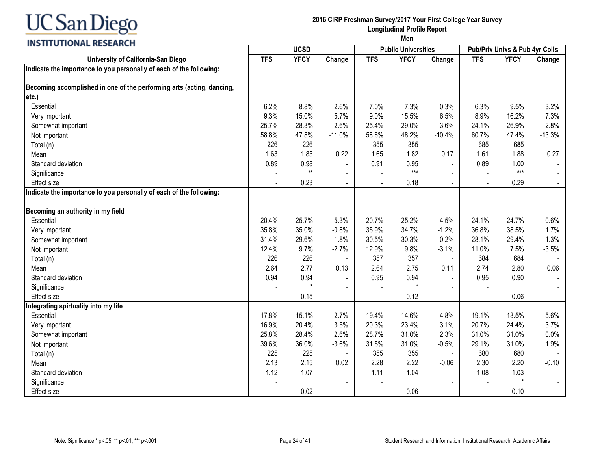

#### **2016 CIRP Freshman Survey/2017 Your First College Year Survey Longitudinal Profile Report**

|                                                                       |            | <b>UCSD</b> |                |            | <b>Public Universities</b> |                |            | Pub/Priv Univs & Pub 4yr Colls |          |
|-----------------------------------------------------------------------|------------|-------------|----------------|------------|----------------------------|----------------|------------|--------------------------------|----------|
| University of California-San Diego                                    | <b>TFS</b> | <b>YFCY</b> | Change         | <b>TFS</b> | <b>YFCY</b>                | Change         | <b>TFS</b> | <b>YFCY</b>                    | Change   |
| Indicate the importance to you personally of each of the following:   |            |             |                |            |                            |                |            |                                |          |
| Becoming accomplished in one of the performing arts (acting, dancing, |            |             |                |            |                            |                |            |                                |          |
| etc.)                                                                 |            |             |                |            |                            |                |            |                                |          |
| Essential                                                             | 6.2%       | 8.8%        | 2.6%           | 7.0%       | 7.3%                       | 0.3%           | 6.3%       | 9.5%                           | 3.2%     |
| Very important                                                        | 9.3%       | 15.0%       | 5.7%           | 9.0%       | 15.5%                      | 6.5%           | 8.9%       | 16.2%                          | 7.3%     |
| Somewhat important                                                    | 25.7%      | 28.3%       | 2.6%           | 25.4%      | 29.0%                      | 3.6%           | 24.1%      | 26.9%                          | 2.8%     |
| Not important                                                         | 58.8%      | 47.8%       | $-11.0%$       | 58.6%      | 48.2%                      | $-10.4%$       | 60.7%      | 47.4%                          | $-13.3%$ |
| Total (n)                                                             | 226        | 226         |                | 355        | 355                        | $\blacksquare$ | 685        | 685                            |          |
| Mean                                                                  | 1.63       | 1.85        | 0.22           | 1.65       | 1.82                       | 0.17           | 1.61       | 1.88                           | 0.27     |
| Standard deviation                                                    | 0.89       | 0.98        |                | 0.91       | 0.95                       | $\blacksquare$ | 0.89       | 1.00                           |          |
| Significance                                                          |            | $**$        |                |            | $***$                      |                |            | $***$                          |          |
| <b>Effect size</b>                                                    |            | 0.23        |                |            | 0.18                       |                |            | 0.29                           |          |
| Indicate the importance to you personally of each of the following:   |            |             |                |            |                            |                |            |                                |          |
| Becoming an authority in my field                                     |            |             |                |            |                            |                |            |                                |          |
| Essential                                                             | 20.4%      | 25.7%       | 5.3%           | 20.7%      | 25.2%                      | 4.5%           | 24.1%      | 24.7%                          | 0.6%     |
| Very important                                                        | 35.8%      | 35.0%       | $-0.8%$        | 35.9%      | 34.7%                      | $-1.2%$        | 36.8%      | 38.5%                          | 1.7%     |
| Somewhat important                                                    | 31.4%      | 29.6%       | $-1.8%$        | 30.5%      | 30.3%                      | $-0.2%$        | 28.1%      | 29.4%                          | 1.3%     |
| Not important                                                         | 12.4%      | 9.7%        | $-2.7%$        | 12.9%      | 9.8%                       | $-3.1%$        | 11.0%      | 7.5%                           | $-3.5%$  |
| Total (n)                                                             | 226        | 226         |                | 357        | 357                        | $\blacksquare$ | 684        | 684                            |          |
| Mean                                                                  | 2.64       | 2.77        | 0.13           | 2.64       | 2.75                       | 0.11           | 2.74       | 2.80                           | 0.06     |
| Standard deviation                                                    | 0.94       | 0.94        |                | 0.95       | 0.94                       |                | 0.95       | 0.90                           |          |
| Significance                                                          |            |             | $\sim$         |            | $\star$                    |                |            |                                |          |
| <b>Effect size</b>                                                    |            | 0.15        | $\blacksquare$ |            | 0.12                       | $\Delta$       |            | 0.06                           |          |
| Integrating spirtuality into my life                                  |            |             |                |            |                            |                |            |                                |          |
| Essential                                                             | 17.8%      | 15.1%       | $-2.7%$        | 19.4%      | 14.6%                      | $-4.8%$        | 19.1%      | 13.5%                          | $-5.6%$  |
| Very important                                                        | 16.9%      | 20.4%       | 3.5%           | 20.3%      | 23.4%                      | 3.1%           | 20.7%      | 24.4%                          | 3.7%     |
| Somewhat important                                                    | 25.8%      | 28.4%       | 2.6%           | 28.7%      | 31.0%                      | 2.3%           | 31.0%      | 31.0%                          | 0.0%     |
| Not important                                                         | 39.6%      | 36.0%       | $-3.6%$        | 31.5%      | 31.0%                      | $-0.5%$        | 29.1%      | 31.0%                          | 1.9%     |
| Total (n)                                                             | 225        | 225         |                | 355        | 355                        |                | 680        | 680                            |          |
| Mean                                                                  | 2.13       | 2.15        | 0.02           | 2.28       | 2.22                       | $-0.06$        | 2.30       | 2.20                           | $-0.10$  |
| Standard deviation                                                    | 1.12       | 1.07        | $\blacksquare$ | 1.11       | 1.04                       | $\blacksquare$ | 1.08       | 1.03                           |          |
| Significance                                                          |            |             | $\blacksquare$ |            |                            |                |            | $\star$                        |          |
| <b>Effect size</b>                                                    |            | 0.02        | $\blacksquare$ |            | $-0.06$                    |                |            | $-0.10$                        |          |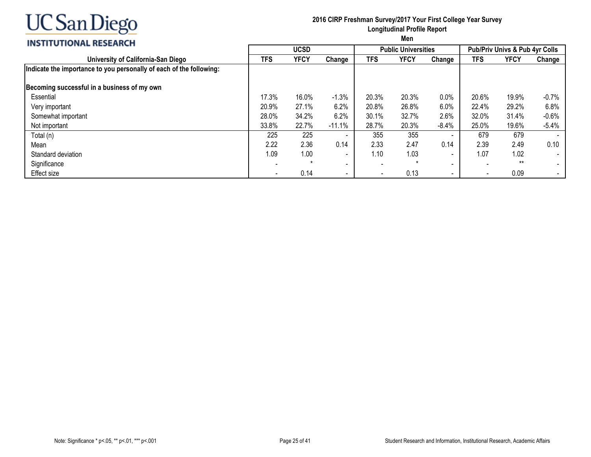

### **2016 CIRP Freshman Survey/2017 Your First College Year Survey Longitudinal Profile Report**

#### **INSTITUTIONAL RESEARCH**

|                                                                     |            | <b>UCSD</b> |                          |       | <b>Public Universities</b> |                          |            | <b>Pub/Priv Univs &amp; Pub 4yr Colls</b> |         |
|---------------------------------------------------------------------|------------|-------------|--------------------------|-------|----------------------------|--------------------------|------------|-------------------------------------------|---------|
| University of California-San Diego                                  | <b>TFS</b> | <b>YFCY</b> | Change                   | TFS   | <b>YFCY</b>                | Change                   | <b>TFS</b> | YFCY                                      | Change  |
| Indicate the importance to you personally of each of the following: |            |             |                          |       |                            |                          |            |                                           |         |
| Becoming successful in a business of my own                         |            |             |                          |       |                            |                          |            |                                           |         |
| Essential                                                           | 17.3%      | 16.0%       | $-1.3%$                  | 20.3% | 20.3%                      | 0.0%                     | 20.6%      | 19.9%                                     | $-0.7%$ |
| Very important                                                      | 20.9%      | 27.1%       | 6.2%                     | 20.8% | 26.8%                      | 6.0%                     | 22.4%      | 29.2%                                     | 6.8%    |
| Somewhat important                                                  | 28.0%      | 34.2%       | 6.2%                     | 30.1% | 32.7%                      | 2.6%                     | 32.0%      | 31.4%                                     | $-0.6%$ |
| Not important                                                       | 33.8%      | 22.7%       | $-11.1%$                 | 28.7% | 20.3%                      | $-8.4%$                  | 25.0%      | 19.6%                                     | $-5.4%$ |
| Total (n)                                                           | 225        | 225         | $\overline{\phantom{a}}$ | 355   | 355                        | $\blacksquare$           | 679        | 679                                       |         |
| Mean                                                                | 2.22       | 2.36        | 0.14                     | 2.33  | 2.47                       | 0.14                     | 2.39       | 2.49                                      | 0.10    |
| Standard deviation                                                  | 1.09       | 1.00        | $\blacksquare$           | 1.10  | 1.03                       |                          | 1.07       | 1.02                                      | $\sim$  |
| Significance                                                        |            |             | $\overline{\phantom{0}}$ | ٠     |                            | -                        |            | $**$                                      | $\sim$  |
| Effect size                                                         |            | 0.14        | $\overline{\phantom{a}}$ |       | 0.13                       | $\overline{\phantom{0}}$ |            | 0.09                                      | $\sim$  |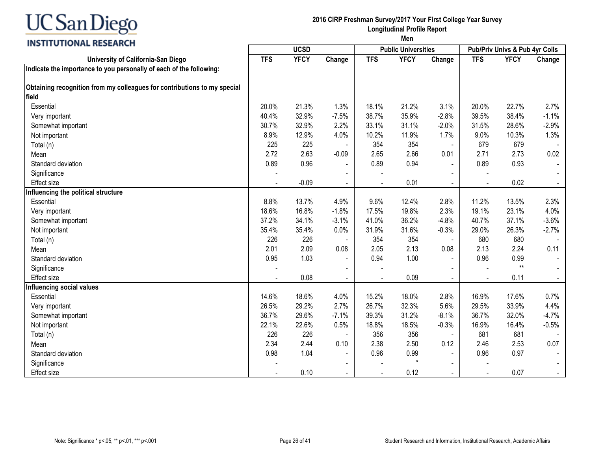

#### **2016 CIRP Freshman Survey/2017 Your First College Year Survey Longitudinal Profile Report**

| <u>,,,,,,,,,,,,,,,,,,,,,,</u>                                            |            | <b>UCSD</b> |                          |            | <b>Public Universities</b> |                |                | Pub/Priv Univs & Pub 4yr Colls |         |
|--------------------------------------------------------------------------|------------|-------------|--------------------------|------------|----------------------------|----------------|----------------|--------------------------------|---------|
| University of California-San Diego                                       | <b>TFS</b> | <b>YFCY</b> | Change                   | <b>TFS</b> | <b>YFCY</b>                | Change         | <b>TFS</b>     | <b>YFCY</b>                    | Change  |
| Indicate the importance to you personally of each of the following:      |            |             |                          |            |                            |                |                |                                |         |
|                                                                          |            |             |                          |            |                            |                |                |                                |         |
| Obtaining recognition from my colleagues for contributions to my special |            |             |                          |            |                            |                |                |                                |         |
| field                                                                    |            |             |                          |            |                            |                |                |                                |         |
| Essential                                                                | 20.0%      | 21.3%       | 1.3%                     | 18.1%      | 21.2%                      | 3.1%           | 20.0%          | 22.7%                          | 2.7%    |
| Very important                                                           | 40.4%      | 32.9%       | $-7.5%$                  | 38.7%      | 35.9%                      | $-2.8%$        | 39.5%          | 38.4%                          | $-1.1%$ |
| Somewhat important                                                       | 30.7%      | 32.9%       | 2.2%                     | 33.1%      | 31.1%                      | $-2.0%$        | 31.5%          | 28.6%                          | $-2.9%$ |
| Not important                                                            | 8.9%       | 12.9%       | 4.0%                     | 10.2%      | 11.9%                      | 1.7%           | 9.0%           | 10.3%                          | 1.3%    |
| Total (n)                                                                | 225        | 225         | $\blacksquare$           | 354        | 354                        | $\blacksquare$ | 679            | 679                            |         |
| Mean                                                                     | 2.72       | 2.63        | $-0.09$                  | 2.65       | 2.66                       | 0.01           | 2.71           | 2.73                           | 0.02    |
| Standard deviation                                                       | 0.89       | 0.96        | $\blacksquare$           | 0.89       | 0.94                       | $\blacksquare$ | 0.89           | 0.93                           |         |
| Significance                                                             |            |             |                          |            |                            |                |                |                                |         |
| <b>Effect size</b>                                                       |            | $-0.09$     | $\blacksquare$           |            | 0.01                       |                |                | 0.02                           |         |
| Influencing the political structure                                      |            |             |                          |            |                            |                |                |                                |         |
| Essential                                                                | 8.8%       | 13.7%       | 4.9%                     | 9.6%       | 12.4%                      | 2.8%           | 11.2%          | 13.5%                          | 2.3%    |
| Very important                                                           | 18.6%      | 16.8%       | $-1.8%$                  | 17.5%      | 19.8%                      | 2.3%           | 19.1%          | 23.1%                          | 4.0%    |
| Somewhat important                                                       | 37.2%      | 34.1%       | $-3.1%$                  | 41.0%      | 36.2%                      | $-4.8%$        | 40.7%          | 37.1%                          | $-3.6%$ |
| Not important                                                            | 35.4%      | 35.4%       | 0.0%                     | 31.9%      | 31.6%                      | $-0.3%$        | 29.0%          | 26.3%                          | $-2.7%$ |
| Total (n)                                                                | 226        | 226         |                          | 354        | 354                        | $\blacksquare$ | 680            | 680                            |         |
| Mean                                                                     | 2.01       | 2.09        | 0.08                     | 2.05       | 2.13                       | 0.08           | 2.13           | 2.24                           | 0.11    |
| Standard deviation                                                       | 0.95       | 1.03        | $\overline{\phantom{a}}$ | 0.94       | 1.00                       |                | 0.96           | 0.99                           |         |
| Significance                                                             |            |             |                          |            |                            |                |                | $**$                           |         |
| <b>Effect size</b>                                                       |            | 0.08        | $\blacksquare$           |            | 0.09                       | $\blacksquare$ | $\blacksquare$ | 0.11                           |         |
| Influencing social values                                                |            |             |                          |            |                            |                |                |                                |         |
| Essential                                                                | 14.6%      | 18.6%       | 4.0%                     | 15.2%      | 18.0%                      | 2.8%           | 16.9%          | 17.6%                          | 0.7%    |
| Very important                                                           | 26.5%      | 29.2%       | 2.7%                     | 26.7%      | 32.3%                      | 5.6%           | 29.5%          | 33.9%                          | 4.4%    |
| Somewhat important                                                       | 36.7%      | 29.6%       | $-7.1%$                  | 39.3%      | 31.2%                      | $-8.1%$        | 36.7%          | 32.0%                          | $-4.7%$ |
| Not important                                                            | 22.1%      | 22.6%       | 0.5%                     | 18.8%      | 18.5%                      | $-0.3%$        | 16.9%          | 16.4%                          | $-0.5%$ |
| Total (n)                                                                | 226        | 226         |                          | 356        | 356                        |                | 681            | 681                            |         |
| Mean                                                                     | 2.34       | 2.44        | 0.10                     | 2.38       | 2.50                       | 0.12           | 2.46           | 2.53                           | 0.07    |
| Standard deviation                                                       | 0.98       | 1.04        | $\blacksquare$           | 0.96       | 0.99                       | $\blacksquare$ | 0.96           | 0.97                           |         |
| Significance                                                             |            |             | $\blacksquare$           |            | $\star$                    |                |                |                                |         |
| <b>Effect size</b>                                                       |            | 0.10        |                          |            | 0.12                       | $\blacksquare$ | $\blacksquare$ | 0.07                           |         |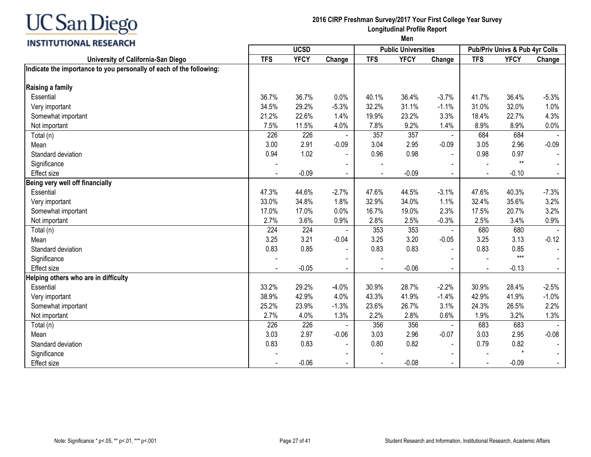

### **2016 CIRP Freshman Survey/2017 Your First College Year Survey Longitudinal Profile Report**

**INSTITUTIONAL RESEARCH** 

|                                                                     |            | <b>UCSD</b> |                |            | <b>Public Universities</b> |         |            | <b>Pub/Priv Univs &amp; Pub 4yr Colls</b> |         |
|---------------------------------------------------------------------|------------|-------------|----------------|------------|----------------------------|---------|------------|-------------------------------------------|---------|
| University of California-San Diego                                  | <b>TFS</b> | <b>YFCY</b> | Change         | <b>TFS</b> | <b>YFCY</b>                | Change  | <b>TFS</b> | <b>YFCY</b>                               | Change  |
| Indicate the importance to you personally of each of the following: |            |             |                |            |                            |         |            |                                           |         |
| Raising a family                                                    |            |             |                |            |                            |         |            |                                           |         |
| Essential                                                           | 36.7%      | 36.7%       | 0.0%           | 40.1%      | 36.4%                      | $-3.7%$ | 41.7%      | 36.4%                                     | $-5.3%$ |
| Very important                                                      | 34.5%      | 29.2%       | $-5.3%$        | 32.2%      | 31.1%                      | $-1.1%$ | 31.0%      | 32.0%                                     | 1.0%    |
| Somewhat important                                                  | 21.2%      | 22.6%       | 1.4%           | 19.9%      | 23.2%                      | 3.3%    | 18.4%      | 22.7%                                     | 4.3%    |
| Not important                                                       | 7.5%       | 11.5%       | 4.0%           | 7.8%       | 9.2%                       | 1.4%    | 8.9%       | 8.9%                                      | 0.0%    |
| Total (n)                                                           | 226        | 226         |                | 357        | 357                        |         | 684        | 684                                       |         |
| Mean                                                                | 3.00       | 2.91        | $-0.09$        | 3.04       | 2.95                       | $-0.09$ | 3.05       | 2.96                                      | $-0.09$ |
| Standard deviation                                                  | 0.94       | 1.02        |                | 0.96       | 0.98                       |         | 0.98       | 0.97                                      |         |
| Significance                                                        |            |             |                |            |                            |         |            | $**$                                      |         |
| Effect size                                                         |            | $-0.09$     |                |            | $-0.09$                    |         |            | $-0.10$                                   |         |
| Being very well off financially                                     |            |             |                |            |                            |         |            |                                           |         |
| Essential                                                           | 47.3%      | 44.6%       | $-2.7%$        | 47.6%      | 44.5%                      | $-3.1%$ | 47.6%      | 40.3%                                     | $-7.3%$ |
| Very important                                                      | 33.0%      | 34.8%       | 1.8%           | 32.9%      | 34.0%                      | 1.1%    | 32.4%      | 35.6%                                     | 3.2%    |
| Somewhat important                                                  | 17.0%      | 17.0%       | 0.0%           | 16.7%      | 19.0%                      | 2.3%    | 17.5%      | 20.7%                                     | 3.2%    |
| Not important                                                       | 2.7%       | 3.6%        | 0.9%           | 2.8%       | 2.5%                       | $-0.3%$ | 2.5%       | 3.4%                                      | 0.9%    |
| Total (n)                                                           | 224        | 224         |                | 353        | 353                        |         | 680        | 680                                       |         |
| Mean                                                                | 3.25       | 3.21        | $-0.04$        | 3.25       | 3.20                       | $-0.05$ | 3.25       | 3.13                                      | $-0.12$ |
| Standard deviation                                                  | 0.83       | 0.85        |                | 0.83       | 0.83                       |         | 0.83       | 0.85                                      |         |
| Significance                                                        |            |             |                |            |                            |         |            | $***$                                     |         |
| Effect size                                                         |            | $-0.05$     |                |            | $-0.06$                    |         |            | $-0.13$                                   |         |
| Helping others who are in difficulty                                |            |             |                |            |                            |         |            |                                           |         |
| Essential                                                           | 33.2%      | 29.2%       | $-4.0%$        | 30.9%      | 28.7%                      | $-2.2%$ | 30.9%      | 28.4%                                     | $-2.5%$ |
| Very important                                                      | 38.9%      | 42.9%       | 4.0%           | 43.3%      | 41.9%                      | $-1.4%$ | 42.9%      | 41.9%                                     | $-1.0%$ |
| Somewhat important                                                  | 25.2%      | 23.9%       | $-1.3%$        | 23.6%      | 26.7%                      | 3.1%    | 24.3%      | 26.5%                                     | 2.2%    |
| Not important                                                       | 2.7%       | 4.0%        | 1.3%           | 2.2%       | 2.8%                       | 0.6%    | 1.9%       | 3.2%                                      | 1.3%    |
| Total (n)                                                           | 226        | 226         |                | 356        | 356                        |         | 683        | 683                                       |         |
| Mean                                                                | 3.03       | 2.97        | $-0.06$        | 3.03       | 2.96                       | $-0.07$ | 3.03       | 2.95                                      | $-0.08$ |
| Standard deviation                                                  | 0.83       | 0.83        | $\blacksquare$ | 0.80       | 0.82                       |         | 0.79       | 0.82                                      |         |
| Significance                                                        |            |             |                |            |                            |         |            |                                           |         |
| <b>Effect size</b>                                                  |            | $-0.06$     |                |            | $-0.08$                    |         |            | $-0.09$                                   |         |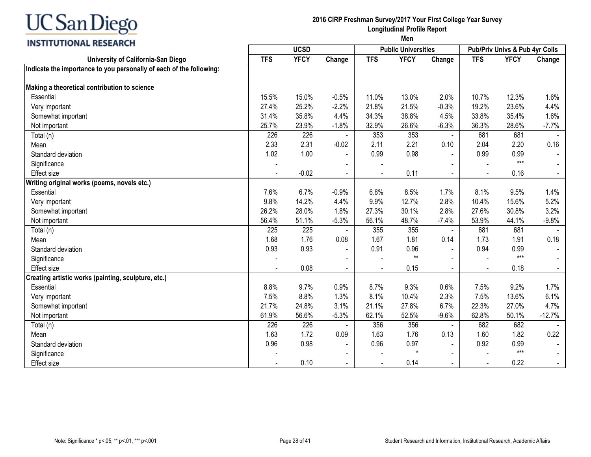### **INSTITUTIONAL RESEARCH**

#### **2016 CIRP Freshman Survey/2017 Your First College Year Survey Longitudinal Profile Report**

|                                                                     |            | <b>UCSD</b> |                          |            | <b>Public Universities</b> |                |                | Pub/Priv Univs & Pub 4yr Colls |          |
|---------------------------------------------------------------------|------------|-------------|--------------------------|------------|----------------------------|----------------|----------------|--------------------------------|----------|
| University of California-San Diego                                  | <b>TFS</b> | <b>YFCY</b> | Change                   | <b>TFS</b> | <b>YFCY</b>                | Change         | <b>TFS</b>     | <b>YFCY</b>                    | Change   |
| Indicate the importance to you personally of each of the following: |            |             |                          |            |                            |                |                |                                |          |
| Making a theoretical contribution to science                        |            |             |                          |            |                            |                |                |                                |          |
| Essential                                                           | 15.5%      | 15.0%       | $-0.5%$                  | 11.0%      | 13.0%                      | 2.0%           | 10.7%          | 12.3%                          | 1.6%     |
| Very important                                                      | 27.4%      | 25.2%       | $-2.2%$                  | 21.8%      | 21.5%                      | $-0.3%$        | 19.2%          | 23.6%                          | 4.4%     |
| Somewhat important                                                  | 31.4%      | 35.8%       | 4.4%                     | 34.3%      | 38.8%                      | 4.5%           | 33.8%          | 35.4%                          | 1.6%     |
| Not important                                                       | 25.7%      | 23.9%       | $-1.8%$                  | 32.9%      | 26.6%                      | $-6.3%$        | 36.3%          | 28.6%                          | $-7.7%$  |
| Total (n)                                                           | 226        | 226         |                          | 353        | 353                        | $\blacksquare$ | 681            | 681                            |          |
| Mean                                                                | 2.33       | 2.31        | $-0.02$                  | 2.11       | 2.21                       | 0.10           | 2.04           | 2.20                           | 0.16     |
| Standard deviation                                                  | 1.02       | 1.00        |                          | 0.99       | 0.98                       |                | 0.99           | 0.99                           |          |
| Significance                                                        |            |             |                          |            |                            |                |                | $***$                          |          |
| <b>Effect size</b>                                                  |            | $-0.02$     | $\blacksquare$           |            | 0.11                       | $\sim$         | $\blacksquare$ | 0.16                           |          |
| Writing original works (poems, novels etc.)                         |            |             |                          |            |                            |                |                |                                |          |
| Essential                                                           | 7.6%       | 6.7%        | $-0.9%$                  | 6.8%       | 8.5%                       | 1.7%           | 8.1%           | 9.5%                           | 1.4%     |
| Very important                                                      | 9.8%       | 14.2%       | 4.4%                     | 9.9%       | 12.7%                      | 2.8%           | 10.4%          | 15.6%                          | 5.2%     |
| Somewhat important                                                  | 26.2%      | 28.0%       | 1.8%                     | 27.3%      | 30.1%                      | 2.8%           | 27.6%          | 30.8%                          | 3.2%     |
| Not important                                                       | 56.4%      | 51.1%       | $-5.3%$                  | 56.1%      | 48.7%                      | $-7.4%$        | 53.9%          | 44.1%                          | $-9.8%$  |
| Total (n)                                                           | 225        | 225         |                          | 355        | 355                        | $\blacksquare$ | 681            | 681                            |          |
| Mean                                                                | 1.68       | 1.76        | 0.08                     | 1.67       | 1.81                       | 0.14           | 1.73           | 1.91                           | 0.18     |
| Standard deviation                                                  | 0.93       | 0.93        | $\blacksquare$           | 0.91       | 0.96                       |                | 0.94           | 0.99                           |          |
| Significance                                                        |            |             | $\blacksquare$           |            | $***$                      |                |                | $***$                          |          |
| <b>Effect size</b>                                                  |            | 0.08        | $\blacksquare$           |            | 0.15                       | $\sim$         | $\blacksquare$ | 0.18                           |          |
| Creating artistic works (painting, sculpture, etc.)                 |            |             |                          |            |                            |                |                |                                |          |
| Essential                                                           | 8.8%       | 9.7%        | 0.9%                     | 8.7%       | 9.3%                       | 0.6%           | 7.5%           | 9.2%                           | 1.7%     |
| Very important                                                      | 7.5%       | 8.8%        | 1.3%                     | 8.1%       | 10.4%                      | 2.3%           | 7.5%           | 13.6%                          | 6.1%     |
| Somewhat important                                                  | 21.7%      | 24.8%       | 3.1%                     | 21.1%      | 27.8%                      | 6.7%           | 22.3%          | 27.0%                          | 4.7%     |
| Not important                                                       | 61.9%      | 56.6%       | $-5.3%$                  | 62.1%      | 52.5%                      | $-9.6%$        | 62.8%          | 50.1%                          | $-12.7%$ |
| Total (n)                                                           | 226        | 226         |                          | 356        | 356                        |                | 682            | 682                            |          |
| Mean                                                                | 1.63       | 1.72        | 0.09                     | 1.63       | 1.76                       | 0.13           | 1.60           | 1.82                           | 0.22     |
| Standard deviation                                                  | 0.96       | 0.98        |                          | 0.96       | 0.97                       |                | 0.92           | 0.99                           |          |
| Significance                                                        |            |             | $\blacksquare$           |            | $\star$                    |                |                | $***$                          |          |
| <b>Effect size</b>                                                  |            | 0.10        | $\overline{\phantom{0}}$ |            | 0.14                       |                | $\blacksquare$ | 0.22                           |          |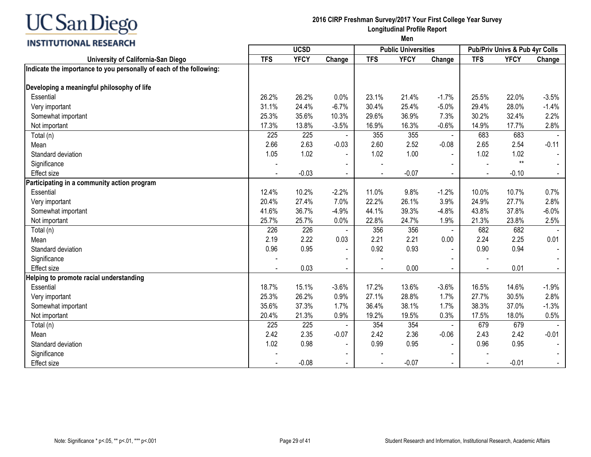### **INSTITUTIONAL RESEARCH**

#### **2016 CIRP Freshman Survey/2017 Your First College Year Survey Longitudinal Profile Report**

|                                                                     |            | <b>UCSD</b> |                          |            | <b>Public Universities</b> |                |                | Pub/Priv Univs & Pub 4yr Colls |         |
|---------------------------------------------------------------------|------------|-------------|--------------------------|------------|----------------------------|----------------|----------------|--------------------------------|---------|
| University of California-San Diego                                  | <b>TFS</b> | <b>YFCY</b> | Change                   | <b>TFS</b> | <b>YFCY</b>                | Change         | <b>TFS</b>     | <b>YFCY</b>                    | Change  |
| Indicate the importance to you personally of each of the following: |            |             |                          |            |                            |                |                |                                |         |
| Developing a meaningful philosophy of life                          |            |             |                          |            |                            |                |                |                                |         |
| Essential                                                           | 26.2%      | 26.2%       | 0.0%                     | 23.1%      | 21.4%                      | $-1.7%$        | 25.5%          | 22.0%                          | $-3.5%$ |
| Very important                                                      | 31.1%      | 24.4%       | $-6.7%$                  | 30.4%      | 25.4%                      | $-5.0%$        | 29.4%          | 28.0%                          | $-1.4%$ |
| Somewhat important                                                  | 25.3%      | 35.6%       | 10.3%                    | 29.6%      | 36.9%                      | 7.3%           | 30.2%          | 32.4%                          | 2.2%    |
| Not important                                                       | 17.3%      | 13.8%       | $-3.5%$                  | 16.9%      | 16.3%                      | $-0.6%$        | 14.9%          | 17.7%                          | 2.8%    |
| Total (n)                                                           | 225        | 225         |                          | 355        | 355                        | $\blacksquare$ | 683            | 683                            |         |
| Mean                                                                | 2.66       | 2.63        | $-0.03$                  | 2.60       | 2.52                       | $-0.08$        | 2.65           | 2.54                           | $-0.11$ |
| Standard deviation                                                  | 1.05       | 1.02        |                          | 1.02       | 1.00                       |                | 1.02           | 1.02                           |         |
| Significance                                                        |            |             |                          |            |                            |                |                | $**$                           |         |
| <b>Effect size</b>                                                  |            | $-0.03$     | $\blacksquare$           |            | $-0.07$                    | $\sim$         | $\blacksquare$ | $-0.10$                        |         |
| Participating in a community action program                         |            |             |                          |            |                            |                |                |                                |         |
| Essential                                                           | 12.4%      | 10.2%       | $-2.2%$                  | 11.0%      | 9.8%                       | $-1.2%$        | 10.0%          | 10.7%                          | 0.7%    |
| Very important                                                      | 20.4%      | 27.4%       | 7.0%                     | 22.2%      | 26.1%                      | 3.9%           | 24.9%          | 27.7%                          | 2.8%    |
| Somewhat important                                                  | 41.6%      | 36.7%       | $-4.9%$                  | 44.1%      | 39.3%                      | $-4.8%$        | 43.8%          | 37.8%                          | $-6.0%$ |
| Not important                                                       | 25.7%      | 25.7%       | 0.0%                     | 22.8%      | 24.7%                      | 1.9%           | 21.3%          | 23.8%                          | 2.5%    |
| Total (n)                                                           | 226        | 226         |                          | 356        | 356                        | $\blacksquare$ | 682            | 682                            |         |
| Mean                                                                | 2.19       | 2.22        | 0.03                     | 2.21       | 2.21                       | 0.00           | 2.24           | 2.25                           | 0.01    |
| Standard deviation                                                  | 0.96       | 0.95        |                          | 0.92       | 0.93                       |                | 0.90           | 0.94                           |         |
| Significance                                                        |            |             | $\blacksquare$           |            |                            |                |                |                                |         |
| <b>Effect size</b>                                                  |            | 0.03        | $\blacksquare$           |            | 0.00                       | $\sim$         | $\blacksquare$ | 0.01                           |         |
| Helping to promote racial understanding                             |            |             |                          |            |                            |                |                |                                |         |
| Essential                                                           | 18.7%      | 15.1%       | $-3.6%$                  | 17.2%      | 13.6%                      | $-3.6%$        | 16.5%          | 14.6%                          | $-1.9%$ |
| Very important                                                      | 25.3%      | 26.2%       | 0.9%                     | 27.1%      | 28.8%                      | 1.7%           | 27.7%          | 30.5%                          | 2.8%    |
| Somewhat important                                                  | 35.6%      | 37.3%       | 1.7%                     | 36.4%      | 38.1%                      | 1.7%           | 38.3%          | 37.0%                          | $-1.3%$ |
| Not important                                                       | 20.4%      | 21.3%       | 0.9%                     | 19.2%      | 19.5%                      | 0.3%           | 17.5%          | 18.0%                          | 0.5%    |
| Total (n)                                                           | 225        | 225         |                          | 354        | 354                        |                | 679            | 679                            |         |
| Mean                                                                | 2.42       | 2.35        | $-0.07$                  | 2.42       | 2.36                       | $-0.06$        | 2.43           | 2.42                           | $-0.01$ |
| Standard deviation                                                  | 1.02       | 0.98        |                          | 0.99       | 0.95                       |                | 0.96           | 0.95                           |         |
| Significance                                                        |            |             | $\blacksquare$           |            |                            |                |                |                                |         |
| <b>Effect size</b>                                                  |            | $-0.08$     | $\overline{\phantom{0}}$ |            | $-0.07$                    |                | $\blacksquare$ | $-0.01$                        |         |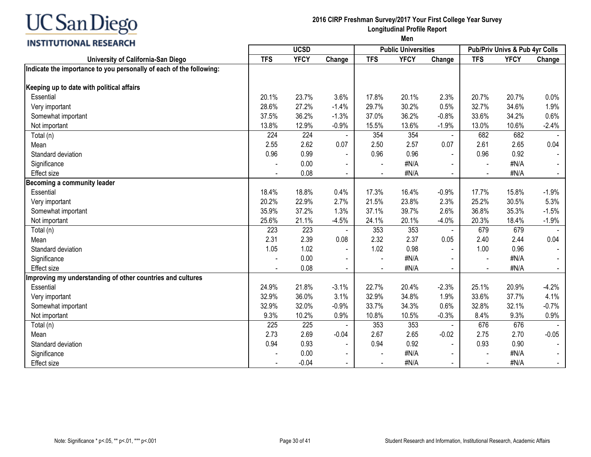

#### **2016 CIRP Freshman Survey/2017 Your First College Year Survey Longitudinal Profile Report**

| <b>VIIVITIE INSERINGII</b>                                          |            | <b>UCSD</b> |                          |                | <b>Public Universities</b> |                |                | Pub/Priv Univs & Pub 4yr Colls |         |
|---------------------------------------------------------------------|------------|-------------|--------------------------|----------------|----------------------------|----------------|----------------|--------------------------------|---------|
| University of California-San Diego                                  | <b>TFS</b> | <b>YFCY</b> | Change                   | <b>TFS</b>     | <b>YFCY</b>                | Change         | <b>TFS</b>     | <b>YFCY</b>                    | Change  |
| Indicate the importance to you personally of each of the following: |            |             |                          |                |                            |                |                |                                |         |
| Keeping up to date with political affairs                           |            |             |                          |                |                            |                |                |                                |         |
| Essential                                                           | 20.1%      | 23.7%       | 3.6%                     | 17.8%          | 20.1%                      | 2.3%           | 20.7%          | 20.7%                          | 0.0%    |
| Very important                                                      | 28.6%      | 27.2%       | $-1.4%$                  | 29.7%          | 30.2%                      | 0.5%           | 32.7%          | 34.6%                          | 1.9%    |
| Somewhat important                                                  | 37.5%      | 36.2%       | $-1.3%$                  | 37.0%          | 36.2%                      | $-0.8%$        | 33.6%          | 34.2%                          | 0.6%    |
| Not important                                                       | 13.8%      | 12.9%       | $-0.9%$                  | 15.5%          | 13.6%                      | $-1.9%$        | 13.0%          | 10.6%                          | $-2.4%$ |
|                                                                     | 224        | 224         |                          | 354            | 354                        | $\blacksquare$ | 682            | 682                            |         |
| Total (n)                                                           | 2.55       | 2.62        | 0.07                     | 2.50           | 2.57                       | 0.07           | 2.61           | 2.65                           | 0.04    |
| Mean<br>Standard deviation                                          | 0.96       | 0.99        |                          | 0.96           | 0.96                       |                | 0.96           | 0.92                           |         |
|                                                                     |            | 0.00        |                          |                | #N/A                       |                |                | #N/A                           |         |
| Significance                                                        |            | 0.08        | $\blacksquare$           |                | #N/A                       |                |                | #N/A                           |         |
| <b>Effect size</b><br><b>Becoming a community leader</b>            |            |             |                          |                |                            |                |                |                                |         |
|                                                                     | 18.4%      | 18.8%       | 0.4%                     | 17.3%          | 16.4%                      | $-0.9%$        | 17.7%          | 15.8%                          | $-1.9%$ |
| Essential                                                           |            |             | 2.7%                     |                |                            |                |                |                                |         |
| Very important                                                      | 20.2%      | 22.9%       |                          | 21.5%          | 23.8%                      | 2.3%           | 25.2%          | 30.5%                          | 5.3%    |
| Somewhat important                                                  | 35.9%      | 37.2%       | 1.3%                     | 37.1%          | 39.7%                      | 2.6%           | 36.8%          | 35.3%                          | $-1.5%$ |
| Not important                                                       | 25.6%      | 21.1%       | $-4.5%$                  | 24.1%          | 20.1%                      | $-4.0%$        | 20.3%          | 18.4%                          | $-1.9%$ |
| Total (n)                                                           | 223        | 223         |                          | 353            | 353                        | $\blacksquare$ | 679            | 679                            |         |
| Mean                                                                | 2.31       | 2.39        | 0.08                     | 2.32           | 2.37                       | 0.05           | 2.40           | 2.44                           | 0.04    |
| Standard deviation                                                  | 1.05       | 1.02        |                          | 1.02           | 0.98                       |                | 1.00           | 0.96                           |         |
| Significance                                                        |            | 0.00        |                          | $\blacksquare$ | #N/A                       |                | $\blacksquare$ | #N/A                           |         |
| Effect size                                                         |            | 0.08        | $\blacksquare$           | $\blacksquare$ | #N/A                       | $\sim$         | $\blacksquare$ | #N/A                           |         |
| Improving my understanding of other countries and cultures          |            |             |                          |                |                            |                |                |                                |         |
| Essential                                                           | 24.9%      | 21.8%       | $-3.1%$                  | 22.7%          | 20.4%                      | $-2.3%$        | 25.1%          | 20.9%                          | $-4.2%$ |
| Very important                                                      | 32.9%      | 36.0%       | 3.1%                     | 32.9%          | 34.8%                      | 1.9%           | 33.6%          | 37.7%                          | 4.1%    |
| Somewhat important                                                  | 32.9%      | 32.0%       | $-0.9%$                  | 33.7%          | 34.3%                      | 0.6%           | 32.8%          | 32.1%                          | $-0.7%$ |
| Not important                                                       | 9.3%       | 10.2%       | 0.9%                     | 10.8%          | 10.5%                      | $-0.3%$        | 8.4%           | 9.3%                           | 0.9%    |
| Total (n)                                                           | 225        | 225         |                          | 353            | 353                        | $\blacksquare$ | 676            | 676                            |         |
| Mean                                                                | 2.73       | 2.69        | $-0.04$                  | 2.67           | 2.65                       | $-0.02$        | 2.75           | 2.70                           | $-0.05$ |
| Standard deviation                                                  | 0.94       | 0.93        |                          | 0.94           | 0.92                       | $\blacksquare$ | 0.93           | 0.90                           |         |
| Significance                                                        |            | 0.00        | $\overline{\phantom{a}}$ |                | #N/A                       |                |                | #N/A                           |         |
| <b>Effect size</b>                                                  |            | $-0.04$     |                          | $\blacksquare$ | #N/A                       | $\sim$         | $\blacksquare$ | #N/A                           |         |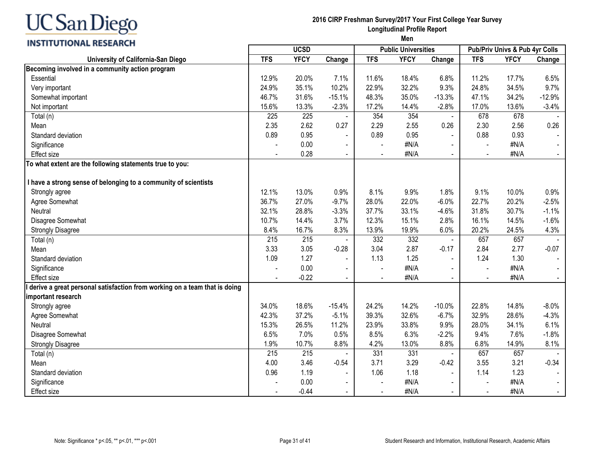#### **2016 CIRP Freshman Survey/2017 Your First College Year Survey Longitudinal Profile Report Men**

| <b>INSTITUTIONAL RESEARCH</b>                                             |            |             |                          |                | men                        |                |            |                                |                |
|---------------------------------------------------------------------------|------------|-------------|--------------------------|----------------|----------------------------|----------------|------------|--------------------------------|----------------|
|                                                                           |            | <b>UCSD</b> |                          |                | <b>Public Universities</b> |                |            | Pub/Priv Univs & Pub 4yr Colls |                |
| University of California-San Diego                                        | <b>TFS</b> | <b>YFCY</b> | Change                   | <b>TFS</b>     | <b>YFCY</b>                | Change         | <b>TFS</b> | <b>YFCY</b>                    | Change         |
| Becoming involved in a community action program                           |            |             |                          |                |                            |                |            |                                |                |
| Essential                                                                 | 12.9%      | 20.0%       | 7.1%                     | 11.6%          | 18.4%                      | 6.8%           | 11.2%      | 17.7%                          | 6.5%           |
| Very important                                                            | 24.9%      | 35.1%       | 10.2%                    | 22.9%          | 32.2%                      | 9.3%           | 24.8%      | 34.5%                          | 9.7%           |
| Somewhat important                                                        | 46.7%      | 31.6%       | $-15.1%$                 | 48.3%          | 35.0%                      | $-13.3%$       | 47.1%      | 34.2%                          | $-12.9%$       |
| Not important                                                             | 15.6%      | 13.3%       | $-2.3%$                  | 17.2%          | 14.4%                      | $-2.8%$        | 17.0%      | 13.6%                          | $-3.4%$        |
| Total (n)                                                                 | 225        | 225         |                          | 354            | 354                        | $\blacksquare$ | 678        | 678                            |                |
| Mean                                                                      | 2.35       | 2.62        | 0.27                     | 2.29           | 2.55                       | 0.26           | 2.30       | 2.56                           | 0.26           |
| Standard deviation                                                        | 0.89       | 0.95        | $\sim$                   | 0.89           | 0.95                       |                | 0.88       | 0.93                           |                |
| Significance                                                              |            | 0.00        | $\blacksquare$           |                | #N/A                       |                |            | #N/A                           |                |
| Effect size                                                               |            | 0.28        |                          |                | #N/A                       |                |            | #N/A                           |                |
| To what extent are the following statements true to you:                  |            |             |                          |                |                            |                |            |                                |                |
| I have a strong sense of belonging to a community of scientists           |            |             |                          |                |                            |                |            |                                |                |
| Strongly agree                                                            | 12.1%      | 13.0%       | 0.9%                     | 8.1%           | 9.9%                       | 1.8%           | 9.1%       | 10.0%                          | 0.9%           |
| Agree Somewhat                                                            | 36.7%      | 27.0%       | $-9.7%$                  | 28.0%          | 22.0%                      | $-6.0%$        | 22.7%      | 20.2%                          | $-2.5%$        |
| Neutral                                                                   | 32.1%      | 28.8%       | $-3.3%$                  | 37.7%          | 33.1%                      | $-4.6%$        | 31.8%      | 30.7%                          | $-1.1%$        |
| Disagree Somewhat                                                         | 10.7%      | 14.4%       | 3.7%                     | 12.3%          | 15.1%                      | 2.8%           | 16.1%      | 14.5%                          | $-1.6%$        |
| <b>Strongly Disagree</b>                                                  | 8.4%       | 16.7%       | 8.3%                     | 13.9%          | 19.9%                      | 6.0%           | 20.2%      | 24.5%                          | 4.3%           |
| Total (n)                                                                 | 215        | 215         |                          | 332            | 332                        | $\blacksquare$ | 657        | 657                            |                |
| Mean                                                                      | 3.33       | 3.05        | $-0.28$                  | 3.04           | 2.87                       | $-0.17$        | 2.84       | 2.77                           | $-0.07$        |
| Standard deviation                                                        | 1.09       | 1.27        | $\overline{\phantom{a}}$ | 1.13           | 1.25                       | $\sim$         | 1.24       | 1.30                           | $\blacksquare$ |
| Significance                                                              |            | 0.00        | $\blacksquare$           |                | #N/A                       |                |            | #N/A                           |                |
| <b>Effect size</b>                                                        |            | $-0.22$     | $\blacksquare$           |                | #N/A                       |                |            | #N/A                           | $\sim$         |
| derive a great personal satisfaction from working on a team that is doing |            |             |                          |                |                            |                |            |                                |                |
| important research                                                        |            |             |                          |                |                            |                |            |                                |                |
| Strongly agree                                                            | 34.0%      | 18.6%       | $-15.4%$                 | 24.2%          | 14.2%                      | $-10.0%$       | 22.8%      | 14.8%                          | $-8.0\%$       |
| Agree Somewhat                                                            | 42.3%      | 37.2%       | $-5.1%$                  | 39.3%          | 32.6%                      | $-6.7%$        | 32.9%      | 28.6%                          | $-4.3%$        |
| Neutral                                                                   | 15.3%      | 26.5%       | 11.2%                    | 23.9%          | 33.8%                      | 9.9%           | 28.0%      | 34.1%                          | 6.1%           |
| Disagree Somewhat                                                         | 6.5%       | 7.0%        | 0.5%                     | 8.5%           | 6.3%                       | $-2.2%$        | 9.4%       | 7.6%                           | $-1.8%$        |
| <b>Strongly Disagree</b>                                                  | 1.9%       | 10.7%       | 8.8%                     | 4.2%           | 13.0%                      | 8.8%           | 6.8%       | 14.9%                          | 8.1%           |
| Total (n)                                                                 | 215        | 215         |                          | 331            | 331                        | $\blacksquare$ | 657        | 657                            |                |
| Mean                                                                      | 4.00       | 3.46        | $-0.54$                  | 3.71           | 3.29                       | $-0.42$        | 3.55       | 3.21                           | $-0.34$        |
| Standard deviation                                                        | 0.96       | 1.19        | $\blacksquare$           | 1.06           | 1.18                       | $\blacksquare$ | 1.14       | 1.23                           | $\sim$         |
| Significance                                                              |            | 0.00        | $\blacksquare$           | $\blacksquare$ | #N/A                       | $\blacksquare$ |            | #N/A                           | $\blacksquare$ |
| Effect size                                                               |            | $-0.44$     | $\blacksquare$           |                | #N/A                       |                |            | #N/A                           | $\blacksquare$ |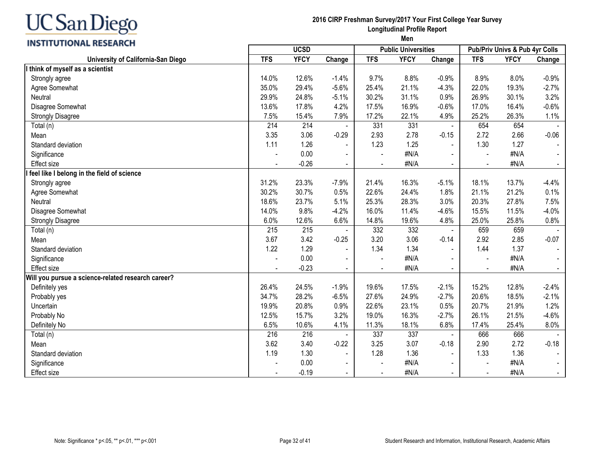

#### **2016 CIRP Freshman Survey/2017 Your First College Year Survey Longitudinal Profile Report Men**

| <b>VIIVITIE INSTEADED</b>                          |            | <b>UCSD</b> |                          |                          | <b>Public Universities</b> |                |                | Pub/Priv Univs & Pub 4yr Colls |         |
|----------------------------------------------------|------------|-------------|--------------------------|--------------------------|----------------------------|----------------|----------------|--------------------------------|---------|
| University of California-San Diego                 | <b>TFS</b> | <b>YFCY</b> | Change                   | <b>TFS</b>               | <b>YFCY</b>                | Change         | <b>TFS</b>     | <b>YFCY</b>                    | Change  |
| I think of myself as a scientist                   |            |             |                          |                          |                            |                |                |                                |         |
| Strongly agree                                     | 14.0%      | 12.6%       | $-1.4%$                  | 9.7%                     | 8.8%                       | $-0.9%$        | 8.9%           | 8.0%                           | $-0.9%$ |
| Agree Somewhat                                     | 35.0%      | 29.4%       | $-5.6%$                  | 25.4%                    | 21.1%                      | $-4.3%$        | 22.0%          | 19.3%                          | $-2.7%$ |
| Neutral                                            | 29.9%      | 24.8%       | $-5.1%$                  | 30.2%                    | 31.1%                      | 0.9%           | 26.9%          | 30.1%                          | 3.2%    |
| Disagree Somewhat                                  | 13.6%      | 17.8%       | 4.2%                     | 17.5%                    | 16.9%                      | $-0.6%$        | 17.0%          | 16.4%                          | $-0.6%$ |
| <b>Strongly Disagree</b>                           | 7.5%       | 15.4%       | 7.9%                     | 17.2%                    | 22.1%                      | 4.9%           | 25.2%          | 26.3%                          | 1.1%    |
| Total (n)                                          | 214        | 214         | $\overline{\phantom{a}}$ | 331                      | 331                        | $\blacksquare$ | 654            | 654                            |         |
| Mean                                               | 3.35       | 3.06        | $-0.29$                  | 2.93                     | 2.78                       | $-0.15$        | 2.72           | 2.66                           | $-0.06$ |
| Standard deviation                                 | 1.11       | 1.26        | $\blacksquare$           | 1.23                     | 1.25                       |                | 1.30           | 1.27                           |         |
| Significance                                       |            | 0.00        | $\overline{\phantom{a}}$ |                          | #N/A                       |                | $\blacksquare$ | #N/A                           |         |
| Effect size                                        |            | $-0.26$     | $\blacksquare$           |                          | #N/A                       | $\blacksquare$ |                | #N/A                           |         |
| feel like I belong in the field of science         |            |             |                          |                          |                            |                |                |                                |         |
| Strongly agree                                     | 31.2%      | 23.3%       | $-7.9%$                  | 21.4%                    | 16.3%                      | $-5.1%$        | 18.1%          | 13.7%                          | $-4.4%$ |
| Agree Somewhat                                     | 30.2%      | 30.7%       | 0.5%                     | 22.6%                    | 24.4%                      | 1.8%           | 21.1%          | 21.2%                          | 0.1%    |
| Neutral                                            | 18.6%      | 23.7%       | 5.1%                     | 25.3%                    | 28.3%                      | 3.0%           | 20.3%          | 27.8%                          | 7.5%    |
| Disagree Somewhat                                  | 14.0%      | 9.8%        | $-4.2%$                  | 16.0%                    | 11.4%                      | $-4.6%$        | 15.5%          | 11.5%                          | $-4.0%$ |
| <b>Strongly Disagree</b>                           | 6.0%       | 12.6%       | 6.6%                     | 14.8%                    | 19.6%                      | 4.8%           | 25.0%          | 25.8%                          | 0.8%    |
| Total (n)                                          | 215        | 215         |                          | 332                      | 332                        |                | 659            | 659                            |         |
| Mean                                               | 3.67       | 3.42        | $-0.25$                  | 3.20                     | 3.06                       | $-0.14$        | 2.92           | 2.85                           | $-0.07$ |
| Standard deviation                                 | 1.22       | 1.29        |                          | 1.34                     | 1.34                       |                | 1.44           | 1.37                           |         |
| Significance                                       |            | 0.00        |                          |                          | #N/A                       |                |                | #N/A                           |         |
| <b>Effect size</b>                                 |            | $-0.23$     | $\blacksquare$           | $\blacksquare$           | #N/A                       | $\blacksquare$ | $\blacksquare$ | #N/A                           |         |
| Will you pursue a science-related research career? |            |             |                          |                          |                            |                |                |                                |         |
| Definitely yes                                     | 26.4%      | 24.5%       | $-1.9%$                  | 19.6%                    | 17.5%                      | $-2.1%$        | 15.2%          | 12.8%                          | $-2.4%$ |
| Probably yes                                       | 34.7%      | 28.2%       | $-6.5%$                  | 27.6%                    | 24.9%                      | $-2.7%$        | 20.6%          | 18.5%                          | $-2.1%$ |
| Uncertain                                          | 19.9%      | 20.8%       | 0.9%                     | 22.6%                    | 23.1%                      | 0.5%           | 20.7%          | 21.9%                          | 1.2%    |
| Probably No                                        | 12.5%      | 15.7%       | 3.2%                     | 19.0%                    | 16.3%                      | $-2.7%$        | 26.1%          | 21.5%                          | $-4.6%$ |
| Definitely No                                      | 6.5%       | 10.6%       | 4.1%                     | 11.3%                    | 18.1%                      | 6.8%           | 17.4%          | 25.4%                          | 8.0%    |
| Total (n)                                          | 216        | 216         |                          | 337                      | 337                        |                | 666            | 666                            |         |
| Mean                                               | 3.62       | 3.40        | $-0.22$                  | 3.25                     | 3.07                       | $-0.18$        | 2.90           | 2.72                           | $-0.18$ |
| Standard deviation                                 | 1.19       | 1.30        |                          | 1.28                     | 1.36                       |                | 1.33           | 1.36                           |         |
| Significance                                       |            | 0.00        | $\overline{\phantom{a}}$ | $\overline{\phantom{a}}$ | #N/A                       |                |                | #N/A                           |         |
| Effect size                                        |            | $-0.19$     | $\blacksquare$           |                          | #N/A                       | $\blacksquare$ |                | #N/A                           |         |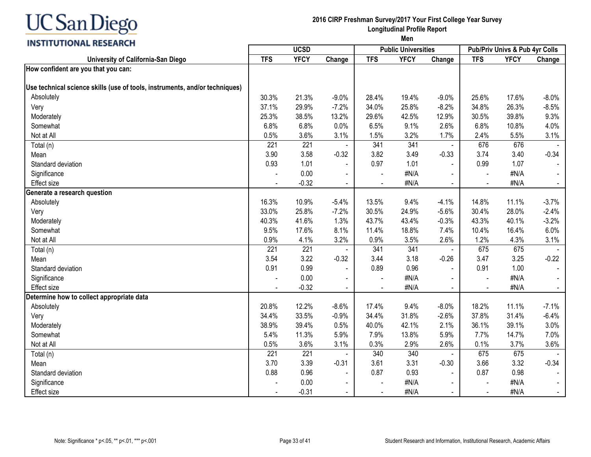### **INSTITUTIONAL RESEARCH**

#### **2016 CIRP Freshman Survey/2017 Your First College Year Survey Longitudinal Profile Report**

| <b>TFS</b><br><b>YFCY</b><br><b>YFCY</b><br><b>TFS</b><br><b>TFS</b><br><b>YFCY</b><br>Change<br>University of California-San Diego<br>Change<br>Change<br>How confident are you that you can:<br>Use technical science skills (use of tools, instruments, and/or techniques)<br>Absolutely<br>21.3%<br>25.6%<br>$-8.0%$<br>30.3%<br>$-9.0%$<br>28.4%<br>19.4%<br>$-9.0%$<br>17.6%<br>37.1%<br>29.9%<br>25.8%<br>$-8.2%$<br>34.8%<br>26.3%<br>$-8.5%$<br>Very<br>$-7.2%$<br>34.0%<br>9.3%<br>25.3%<br>38.5%<br>13.2%<br>29.6%<br>42.5%<br>12.9%<br>30.5%<br>39.8%<br>Moderately<br>9.1%<br>6.8%<br>6.8%<br>0.0%<br>6.5%<br>2.6%<br>6.8%<br>10.8%<br>4.0%<br>Somewhat<br>0.5%<br>3.6%<br>3.1%<br>3.2%<br>2.4%<br>5.5%<br>3.1%<br>Not at All<br>1.5%<br>1.7%<br>341<br>221<br>221<br>341<br>676<br>676<br>Total (n)<br>3.58<br>3.49<br>3.74<br>3.90<br>$-0.32$<br>3.82<br>$-0.33$<br>3.40<br>$-0.34$<br>Mean<br>0.93<br>1.01<br>1.01<br>0.99<br>Standard deviation<br>0.97<br>1.07<br>0.00<br>#N/A<br>#N/A<br>Significance<br>$\blacksquare$<br>$\overline{\phantom{a}}$<br>$-0.32$<br>#N/A<br>#N/A<br>Effect size<br>$\blacksquare$<br>$\blacksquare$<br>Generate a research question<br>16.3%<br>10.9%<br>9.4%<br>14.8%<br>11.1%<br>$-3.7%$<br>Absolutely<br>$-5.4%$<br>13.5%<br>$-4.1%$<br>33.0%<br>25.8%<br>$-7.2%$<br>30.5%<br>24.9%<br>$-5.6%$<br>30.4%<br>28.0%<br>$-2.4%$<br>Very<br>40.3%<br>41.6%<br>1.3%<br>43.7%<br>43.4%<br>$-0.3%$<br>43.3%<br>40.1%<br>$-3.2%$<br>Moderately<br>9.5%<br>8.1%<br>10.4%<br>6.0%<br>17.6%<br>11.4%<br>18.8%<br>7.4%<br>16.4%<br>Somewhat<br>4.1%<br>1.2%<br>0.9%<br>3.2%<br>0.9%<br>3.5%<br>2.6%<br>4.3%<br>3.1%<br>Not at All<br>221<br>341<br>221<br>341<br>675<br>675<br>Total (n)<br>3.22<br>3.44<br>3.18<br>$-0.26$<br>3.47<br>$-0.22$<br>Mean<br>3.54<br>$-0.32$<br>3.25<br>0.91<br>0.99<br>Standard deviation<br>0.89<br>0.96<br>0.91<br>1.00<br>#N/A<br>0.00<br>#N/A<br>Significance<br>$-0.32$<br>#N/A<br>#N/A<br><b>Effect</b> size<br>Determine how to collect appropriate data<br>12.2%<br>9.4%<br>18.2%<br>11.1%<br>Absolutely<br>20.8%<br>$-8.6%$<br>17.4%<br>$-8.0\%$<br>$-7.1%$ |
|-------------------------------------------------------------------------------------------------------------------------------------------------------------------------------------------------------------------------------------------------------------------------------------------------------------------------------------------------------------------------------------------------------------------------------------------------------------------------------------------------------------------------------------------------------------------------------------------------------------------------------------------------------------------------------------------------------------------------------------------------------------------------------------------------------------------------------------------------------------------------------------------------------------------------------------------------------------------------------------------------------------------------------------------------------------------------------------------------------------------------------------------------------------------------------------------------------------------------------------------------------------------------------------------------------------------------------------------------------------------------------------------------------------------------------------------------------------------------------------------------------------------------------------------------------------------------------------------------------------------------------------------------------------------------------------------------------------------------------------------------------------------------------------------------------------------------------------------------------------------------------------------------------------------------------------------------------------------------------------------------------------------------------------------------------------------------------------------------------------------------------------------|
|                                                                                                                                                                                                                                                                                                                                                                                                                                                                                                                                                                                                                                                                                                                                                                                                                                                                                                                                                                                                                                                                                                                                                                                                                                                                                                                                                                                                                                                                                                                                                                                                                                                                                                                                                                                                                                                                                                                                                                                                                                                                                                                                           |
|                                                                                                                                                                                                                                                                                                                                                                                                                                                                                                                                                                                                                                                                                                                                                                                                                                                                                                                                                                                                                                                                                                                                                                                                                                                                                                                                                                                                                                                                                                                                                                                                                                                                                                                                                                                                                                                                                                                                                                                                                                                                                                                                           |
|                                                                                                                                                                                                                                                                                                                                                                                                                                                                                                                                                                                                                                                                                                                                                                                                                                                                                                                                                                                                                                                                                                                                                                                                                                                                                                                                                                                                                                                                                                                                                                                                                                                                                                                                                                                                                                                                                                                                                                                                                                                                                                                                           |
|                                                                                                                                                                                                                                                                                                                                                                                                                                                                                                                                                                                                                                                                                                                                                                                                                                                                                                                                                                                                                                                                                                                                                                                                                                                                                                                                                                                                                                                                                                                                                                                                                                                                                                                                                                                                                                                                                                                                                                                                                                                                                                                                           |
|                                                                                                                                                                                                                                                                                                                                                                                                                                                                                                                                                                                                                                                                                                                                                                                                                                                                                                                                                                                                                                                                                                                                                                                                                                                                                                                                                                                                                                                                                                                                                                                                                                                                                                                                                                                                                                                                                                                                                                                                                                                                                                                                           |
|                                                                                                                                                                                                                                                                                                                                                                                                                                                                                                                                                                                                                                                                                                                                                                                                                                                                                                                                                                                                                                                                                                                                                                                                                                                                                                                                                                                                                                                                                                                                                                                                                                                                                                                                                                                                                                                                                                                                                                                                                                                                                                                                           |
|                                                                                                                                                                                                                                                                                                                                                                                                                                                                                                                                                                                                                                                                                                                                                                                                                                                                                                                                                                                                                                                                                                                                                                                                                                                                                                                                                                                                                                                                                                                                                                                                                                                                                                                                                                                                                                                                                                                                                                                                                                                                                                                                           |
|                                                                                                                                                                                                                                                                                                                                                                                                                                                                                                                                                                                                                                                                                                                                                                                                                                                                                                                                                                                                                                                                                                                                                                                                                                                                                                                                                                                                                                                                                                                                                                                                                                                                                                                                                                                                                                                                                                                                                                                                                                                                                                                                           |
|                                                                                                                                                                                                                                                                                                                                                                                                                                                                                                                                                                                                                                                                                                                                                                                                                                                                                                                                                                                                                                                                                                                                                                                                                                                                                                                                                                                                                                                                                                                                                                                                                                                                                                                                                                                                                                                                                                                                                                                                                                                                                                                                           |
|                                                                                                                                                                                                                                                                                                                                                                                                                                                                                                                                                                                                                                                                                                                                                                                                                                                                                                                                                                                                                                                                                                                                                                                                                                                                                                                                                                                                                                                                                                                                                                                                                                                                                                                                                                                                                                                                                                                                                                                                                                                                                                                                           |
|                                                                                                                                                                                                                                                                                                                                                                                                                                                                                                                                                                                                                                                                                                                                                                                                                                                                                                                                                                                                                                                                                                                                                                                                                                                                                                                                                                                                                                                                                                                                                                                                                                                                                                                                                                                                                                                                                                                                                                                                                                                                                                                                           |
|                                                                                                                                                                                                                                                                                                                                                                                                                                                                                                                                                                                                                                                                                                                                                                                                                                                                                                                                                                                                                                                                                                                                                                                                                                                                                                                                                                                                                                                                                                                                                                                                                                                                                                                                                                                                                                                                                                                                                                                                                                                                                                                                           |
|                                                                                                                                                                                                                                                                                                                                                                                                                                                                                                                                                                                                                                                                                                                                                                                                                                                                                                                                                                                                                                                                                                                                                                                                                                                                                                                                                                                                                                                                                                                                                                                                                                                                                                                                                                                                                                                                                                                                                                                                                                                                                                                                           |
|                                                                                                                                                                                                                                                                                                                                                                                                                                                                                                                                                                                                                                                                                                                                                                                                                                                                                                                                                                                                                                                                                                                                                                                                                                                                                                                                                                                                                                                                                                                                                                                                                                                                                                                                                                                                                                                                                                                                                                                                                                                                                                                                           |
|                                                                                                                                                                                                                                                                                                                                                                                                                                                                                                                                                                                                                                                                                                                                                                                                                                                                                                                                                                                                                                                                                                                                                                                                                                                                                                                                                                                                                                                                                                                                                                                                                                                                                                                                                                                                                                                                                                                                                                                                                                                                                                                                           |
|                                                                                                                                                                                                                                                                                                                                                                                                                                                                                                                                                                                                                                                                                                                                                                                                                                                                                                                                                                                                                                                                                                                                                                                                                                                                                                                                                                                                                                                                                                                                                                                                                                                                                                                                                                                                                                                                                                                                                                                                                                                                                                                                           |
|                                                                                                                                                                                                                                                                                                                                                                                                                                                                                                                                                                                                                                                                                                                                                                                                                                                                                                                                                                                                                                                                                                                                                                                                                                                                                                                                                                                                                                                                                                                                                                                                                                                                                                                                                                                                                                                                                                                                                                                                                                                                                                                                           |
|                                                                                                                                                                                                                                                                                                                                                                                                                                                                                                                                                                                                                                                                                                                                                                                                                                                                                                                                                                                                                                                                                                                                                                                                                                                                                                                                                                                                                                                                                                                                                                                                                                                                                                                                                                                                                                                                                                                                                                                                                                                                                                                                           |
|                                                                                                                                                                                                                                                                                                                                                                                                                                                                                                                                                                                                                                                                                                                                                                                                                                                                                                                                                                                                                                                                                                                                                                                                                                                                                                                                                                                                                                                                                                                                                                                                                                                                                                                                                                                                                                                                                                                                                                                                                                                                                                                                           |
|                                                                                                                                                                                                                                                                                                                                                                                                                                                                                                                                                                                                                                                                                                                                                                                                                                                                                                                                                                                                                                                                                                                                                                                                                                                                                                                                                                                                                                                                                                                                                                                                                                                                                                                                                                                                                                                                                                                                                                                                                                                                                                                                           |
|                                                                                                                                                                                                                                                                                                                                                                                                                                                                                                                                                                                                                                                                                                                                                                                                                                                                                                                                                                                                                                                                                                                                                                                                                                                                                                                                                                                                                                                                                                                                                                                                                                                                                                                                                                                                                                                                                                                                                                                                                                                                                                                                           |
|                                                                                                                                                                                                                                                                                                                                                                                                                                                                                                                                                                                                                                                                                                                                                                                                                                                                                                                                                                                                                                                                                                                                                                                                                                                                                                                                                                                                                                                                                                                                                                                                                                                                                                                                                                                                                                                                                                                                                                                                                                                                                                                                           |
|                                                                                                                                                                                                                                                                                                                                                                                                                                                                                                                                                                                                                                                                                                                                                                                                                                                                                                                                                                                                                                                                                                                                                                                                                                                                                                                                                                                                                                                                                                                                                                                                                                                                                                                                                                                                                                                                                                                                                                                                                                                                                                                                           |
|                                                                                                                                                                                                                                                                                                                                                                                                                                                                                                                                                                                                                                                                                                                                                                                                                                                                                                                                                                                                                                                                                                                                                                                                                                                                                                                                                                                                                                                                                                                                                                                                                                                                                                                                                                                                                                                                                                                                                                                                                                                                                                                                           |
|                                                                                                                                                                                                                                                                                                                                                                                                                                                                                                                                                                                                                                                                                                                                                                                                                                                                                                                                                                                                                                                                                                                                                                                                                                                                                                                                                                                                                                                                                                                                                                                                                                                                                                                                                                                                                                                                                                                                                                                                                                                                                                                                           |
|                                                                                                                                                                                                                                                                                                                                                                                                                                                                                                                                                                                                                                                                                                                                                                                                                                                                                                                                                                                                                                                                                                                                                                                                                                                                                                                                                                                                                                                                                                                                                                                                                                                                                                                                                                                                                                                                                                                                                                                                                                                                                                                                           |
| 34.4%<br>33.5%<br>$-0.9%$<br>34.4%<br>31.8%<br>$-2.6%$<br>37.8%<br>31.4%<br>$-6.4%$<br>Very                                                                                                                                                                                                                                                                                                                                                                                                                                                                                                                                                                                                                                                                                                                                                                                                                                                                                                                                                                                                                                                                                                                                                                                                                                                                                                                                                                                                                                                                                                                                                                                                                                                                                                                                                                                                                                                                                                                                                                                                                                               |
| 39.4%<br>0.5%<br>42.1%<br>2.1%<br>36.1%<br>39.1%<br>3.0%<br>38.9%<br>40.0%<br>Moderately                                                                                                                                                                                                                                                                                                                                                                                                                                                                                                                                                                                                                                                                                                                                                                                                                                                                                                                                                                                                                                                                                                                                                                                                                                                                                                                                                                                                                                                                                                                                                                                                                                                                                                                                                                                                                                                                                                                                                                                                                                                  |
| 5.9%<br>Somewhat<br>5.4%<br>11.3%<br>7.9%<br>13.8%<br>5.9%<br>7.7%<br>14.7%<br>7.0%                                                                                                                                                                                                                                                                                                                                                                                                                                                                                                                                                                                                                                                                                                                                                                                                                                                                                                                                                                                                                                                                                                                                                                                                                                                                                                                                                                                                                                                                                                                                                                                                                                                                                                                                                                                                                                                                                                                                                                                                                                                       |
| 3.6%<br>Not at All<br>0.5%<br>3.1%<br>0.3%<br>2.9%<br>2.6%<br>0.1%<br>3.7%<br>3.6%                                                                                                                                                                                                                                                                                                                                                                                                                                                                                                                                                                                                                                                                                                                                                                                                                                                                                                                                                                                                                                                                                                                                                                                                                                                                                                                                                                                                                                                                                                                                                                                                                                                                                                                                                                                                                                                                                                                                                                                                                                                        |
| 221<br>340<br>221<br>340<br>675<br>675<br>Total (n)                                                                                                                                                                                                                                                                                                                                                                                                                                                                                                                                                                                                                                                                                                                                                                                                                                                                                                                                                                                                                                                                                                                                                                                                                                                                                                                                                                                                                                                                                                                                                                                                                                                                                                                                                                                                                                                                                                                                                                                                                                                                                       |
| 3.70<br>3.39<br>3.61<br>3.31<br>$-0.30$<br>3.66<br>3.32<br>$-0.34$<br>Mean<br>$-0.31$                                                                                                                                                                                                                                                                                                                                                                                                                                                                                                                                                                                                                                                                                                                                                                                                                                                                                                                                                                                                                                                                                                                                                                                                                                                                                                                                                                                                                                                                                                                                                                                                                                                                                                                                                                                                                                                                                                                                                                                                                                                     |
| 0.88<br>0.96<br>0.93<br>0.87<br>0.98<br>Standard deviation<br>0.87<br>$\blacksquare$<br>$\blacksquare$                                                                                                                                                                                                                                                                                                                                                                                                                                                                                                                                                                                                                                                                                                                                                                                                                                                                                                                                                                                                                                                                                                                                                                                                                                                                                                                                                                                                                                                                                                                                                                                                                                                                                                                                                                                                                                                                                                                                                                                                                                    |
| 0.00<br>#N/A<br>#N/A<br>Significance<br>$\blacksquare$                                                                                                                                                                                                                                                                                                                                                                                                                                                                                                                                                                                                                                                                                                                                                                                                                                                                                                                                                                                                                                                                                                                                                                                                                                                                                                                                                                                                                                                                                                                                                                                                                                                                                                                                                                                                                                                                                                                                                                                                                                                                                    |
| $-0.31$<br>#N/A<br>#N/A<br><b>Effect size</b><br>$\overline{\phantom{a}}$                                                                                                                                                                                                                                                                                                                                                                                                                                                                                                                                                                                                                                                                                                                                                                                                                                                                                                                                                                                                                                                                                                                                                                                                                                                                                                                                                                                                                                                                                                                                                                                                                                                                                                                                                                                                                                                                                                                                                                                                                                                                 |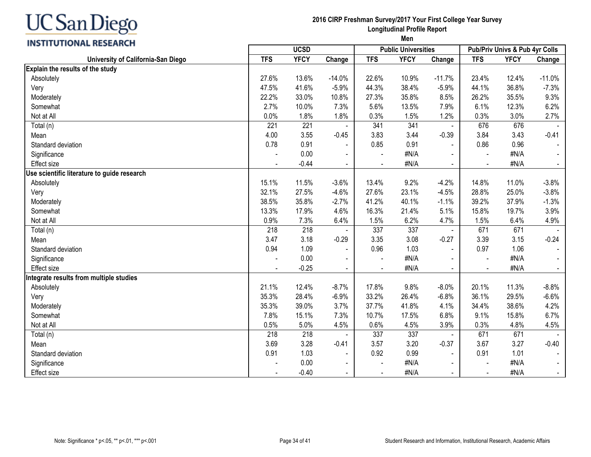

#### **2016 CIRP Freshman Survey/2017 Your First College Year Survey Longitudinal Profile Report Men**

| וואחות בעוד ומזוטורטורוניוו                 |                | <b>UCSD</b> |                |                | <b>Public Universities</b> |                | Pub/Priv Univs & Pub 4yr Colls |             |                |
|---------------------------------------------|----------------|-------------|----------------|----------------|----------------------------|----------------|--------------------------------|-------------|----------------|
| University of California-San Diego          | <b>TFS</b>     | <b>YFCY</b> | Change         | <b>TFS</b>     | <b>YFCY</b>                | Change         | <b>TFS</b>                     | <b>YFCY</b> | Change         |
| Explain the results of the study            |                |             |                |                |                            |                |                                |             |                |
| Absolutely                                  | 27.6%          | 13.6%       | $-14.0%$       | 22.6%          | 10.9%                      | $-11.7%$       | 23.4%                          | 12.4%       | $-11.0%$       |
| Very                                        | 47.5%          | 41.6%       | $-5.9%$        | 44.3%          | 38.4%                      | $-5.9%$        | 44.1%                          | 36.8%       | $-7.3%$        |
| Moderately                                  | 22.2%          | 33.0%       | 10.8%          | 27.3%          | 35.8%                      | 8.5%           | 26.2%                          | 35.5%       | 9.3%           |
| Somewhat                                    | 2.7%           | 10.0%       | 7.3%           | 5.6%           | 13.5%                      | 7.9%           | 6.1%                           | 12.3%       | 6.2%           |
| Not at All                                  | 0.0%           | 1.8%        | 1.8%           | 0.3%           | 1.5%                       | 1.2%           | 0.3%                           | 3.0%        | 2.7%           |
| Total (n)                                   | 221            | 221         |                | 341            | 341                        |                | 676                            | 676         |                |
| Mean                                        | 4.00           | 3.55        | $-0.45$        | 3.83           | 3.44                       | $-0.39$        | 3.84                           | 3.43        | $-0.41$        |
| Standard deviation                          | 0.78           | 0.91        |                | 0.85           | 0.91                       |                | 0.86                           | 0.96        |                |
| Significance                                |                | 0.00        | $\blacksquare$ | $\blacksquare$ | #N/A                       |                | $\blacksquare$                 | #N/A        | $\blacksquare$ |
| Effect size                                 |                | $-0.44$     | $\blacksquare$ |                | #N/A                       | $\blacksquare$ |                                | #N/A        | $\blacksquare$ |
| Use scientific literature to guide research |                |             |                |                |                            |                |                                |             |                |
| Absolutely                                  | 15.1%          | 11.5%       | $-3.6%$        | 13.4%          | 9.2%                       | $-4.2%$        | 14.8%                          | 11.0%       | $-3.8%$        |
| Very                                        | 32.1%          | 27.5%       | $-4.6%$        | 27.6%          | 23.1%                      | $-4.5%$        | 28.8%                          | 25.0%       | $-3.8%$        |
| Moderately                                  | 38.5%          | 35.8%       | $-2.7%$        | 41.2%          | 40.1%                      | $-1.1%$        | 39.2%                          | 37.9%       | $-1.3%$        |
| Somewhat                                    | 13.3%          | 17.9%       | 4.6%           | 16.3%          | 21.4%                      | 5.1%           | 15.8%                          | 19.7%       | 3.9%           |
| Not at All                                  | 0.9%           | 7.3%        | 6.4%           | 1.5%           | 6.2%                       | 4.7%           | 1.5%                           | 6.4%        | 4.9%           |
| Total (n)                                   | 218            | 218         |                | 337            | 337                        |                | 671                            | 671         |                |
| Mean                                        | 3.47           | 3.18        | $-0.29$        | 3.35           | 3.08                       | $-0.27$        | 3.39                           | 3.15        | $-0.24$        |
| Standard deviation                          | 0.94           | 1.09        |                | 0.96           | 1.03                       | $\blacksquare$ | 0.97                           | 1.06        |                |
| Significance                                |                | 0.00        |                |                | #N/A                       |                |                                | #N/A        |                |
| <b>Effect size</b>                          | $\blacksquare$ | $-0.25$     | $\blacksquare$ | $\blacksquare$ | #N/A                       | $\blacksquare$ | $\blacksquare$                 | #N/A        | $\sim$         |
| Integrate results from multiple studies     |                |             |                |                |                            |                |                                |             |                |
| Absolutely                                  | 21.1%          | 12.4%       | $-8.7%$        | 17.8%          | 9.8%                       | $-8.0%$        | 20.1%                          | 11.3%       | $-8.8%$        |
| Very                                        | 35.3%          | 28.4%       | $-6.9%$        | 33.2%          | 26.4%                      | $-6.8%$        | 36.1%                          | 29.5%       | $-6.6%$        |
| Moderately                                  | 35.3%          | 39.0%       | 3.7%           | 37.7%          | 41.8%                      | 4.1%           | 34.4%                          | 38.6%       | 4.2%           |
| Somewhat                                    | 7.8%           | 15.1%       | 7.3%           | 10.7%          | 17.5%                      | 6.8%           | 9.1%                           | 15.8%       | 6.7%           |
| Not at All                                  | 0.5%           | 5.0%        | 4.5%           | 0.6%           | 4.5%                       | 3.9%           | 0.3%                           | 4.8%        | 4.5%           |
| Total (n)                                   | 218            | 218         |                | 337            | 337                        |                | 671                            | 671         |                |
| Mean                                        | 3.69           | 3.28        | $-0.41$        | 3.57           | 3.20                       | $-0.37$        | 3.67                           | 3.27        | $-0.40$        |
| Standard deviation                          | 0.91           | 1.03        |                | 0.92           | 0.99                       |                | 0.91                           | 1.01        |                |
| Significance                                |                | 0.00        |                |                | #N/A                       |                |                                | #N/A        |                |
| Effect size                                 |                | $-0.40$     | $\blacksquare$ |                | #N/A                       | $\blacksquare$ | $\blacksquare$                 | #N/A        | $\blacksquare$ |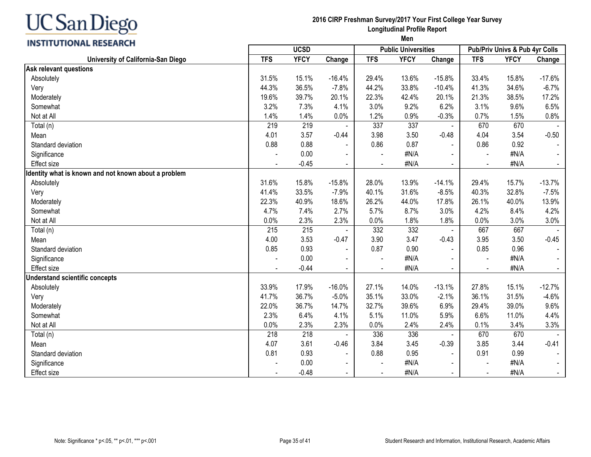#### **2016 CIRP Freshman Survey/2017 Your First College Year Survey Longitudinal Profile Report Men**

# **INSTITUTIONAL RESEARCH**

|                                                      | <b>UCSD</b> |             | <b>Public Universities</b> |            |             | <b>Pub/Priv Univs &amp; Pub 4yr Colls</b> |                |             |          |
|------------------------------------------------------|-------------|-------------|----------------------------|------------|-------------|-------------------------------------------|----------------|-------------|----------|
| University of California-San Diego                   | <b>TFS</b>  | <b>YFCY</b> | Change                     | <b>TFS</b> | <b>YFCY</b> | Change                                    | <b>TFS</b>     | <b>YFCY</b> | Change   |
| <b>Ask relevant questions</b>                        |             |             |                            |            |             |                                           |                |             |          |
| Absolutely                                           | 31.5%       | 15.1%       | $-16.4%$                   | 29.4%      | 13.6%       | $-15.8%$                                  | 33.4%          | 15.8%       | $-17.6%$ |
| Very                                                 | 44.3%       | 36.5%       | $-7.8%$                    | 44.2%      | 33.8%       | $-10.4%$                                  | 41.3%          | 34.6%       | $-6.7%$  |
| Moderately                                           | 19.6%       | 39.7%       | 20.1%                      | 22.3%      | 42.4%       | 20.1%                                     | 21.3%          | 38.5%       | 17.2%    |
| Somewhat                                             | 3.2%        | 7.3%        | 4.1%                       | 3.0%       | 9.2%        | 6.2%                                      | 3.1%           | 9.6%        | 6.5%     |
| Not at All                                           | 1.4%        | 1.4%        | 0.0%                       | 1.2%       | 0.9%        | $-0.3%$                                   | 0.7%           | 1.5%        | 0.8%     |
| Total (n)                                            | 219         | 219         |                            | 337        | 337         |                                           | 670            | 670         |          |
| Mean                                                 | 4.01        | 3.57        | $-0.44$                    | 3.98       | 3.50        | $-0.48$                                   | 4.04           | 3.54        | $-0.50$  |
| Standard deviation                                   | 0.88        | 0.88        |                            | 0.86       | 0.87        |                                           | 0.86           | 0.92        |          |
| Significance                                         |             | 0.00        |                            |            | #N/A        |                                           |                | #N/A        |          |
| <b>Effect size</b>                                   |             | $-0.45$     | $\blacksquare$             |            | #N/A        |                                           | $\blacksquare$ | #N/A        |          |
| Identity what is known and not known about a problem |             |             |                            |            |             |                                           |                |             |          |
| Absolutely                                           | 31.6%       | 15.8%       | $-15.8%$                   | 28.0%      | 13.9%       | $-14.1%$                                  | 29.4%          | 15.7%       | $-13.7%$ |
| Very                                                 | 41.4%       | 33.5%       | $-7.9%$                    | 40.1%      | 31.6%       | $-8.5%$                                   | 40.3%          | 32.8%       | $-7.5%$  |
| Moderately                                           | 22.3%       | 40.9%       | 18.6%                      | 26.2%      | 44.0%       | 17.8%                                     | 26.1%          | 40.0%       | 13.9%    |
| Somewhat                                             | 4.7%        | 7.4%        | 2.7%                       | 5.7%       | 8.7%        | 3.0%                                      | 4.2%           | 8.4%        | 4.2%     |
| Not at All                                           | 0.0%        | 2.3%        | 2.3%                       | 0.0%       | 1.8%        | 1.8%                                      | 0.0%           | 3.0%        | 3.0%     |
| Total (n)                                            | 215         | 215         |                            | 332        | 332         |                                           | 667            | 667         |          |
| Mean                                                 | 4.00        | 3.53        | $-0.47$                    | 3.90       | 3.47        | $-0.43$                                   | 3.95           | 3.50        | $-0.45$  |
| Standard deviation                                   | 0.85        | 0.93        |                            | 0.87       | 0.90        |                                           | 0.85           | 0.96        |          |
| Significance                                         |             | 0.00        |                            |            | #N/A        |                                           |                | #N/A        |          |
| <b>Effect size</b>                                   |             | $-0.44$     |                            |            | #N/A        |                                           |                | #N/A        |          |
| <b>Understand scientific concepts</b>                |             |             |                            |            |             |                                           |                |             |          |
| Absolutely                                           | 33.9%       | 17.9%       | $-16.0%$                   | 27.1%      | 14.0%       | $-13.1%$                                  | 27.8%          | 15.1%       | $-12.7%$ |
| Very                                                 | 41.7%       | 36.7%       | $-5.0%$                    | 35.1%      | 33.0%       | $-2.1%$                                   | 36.1%          | 31.5%       | $-4.6%$  |
| Moderately                                           | 22.0%       | 36.7%       | 14.7%                      | 32.7%      | 39.6%       | 6.9%                                      | 29.4%          | 39.0%       | 9.6%     |
| Somewhat                                             | 2.3%        | 6.4%        | 4.1%                       | 5.1%       | 11.0%       | 5.9%                                      | 6.6%           | 11.0%       | 4.4%     |
| Not at All                                           | 0.0%        | 2.3%        | 2.3%                       | 0.0%       | 2.4%        | 2.4%                                      | 0.1%           | 3.4%        | 3.3%     |
| Total (n)                                            | 218         | 218         |                            | 336        | 336         |                                           | 670            | 670         |          |
| Mean                                                 | 4.07        | 3.61        | $-0.46$                    | 3.84       | 3.45        | $-0.39$                                   | 3.85           | 3.44        | $-0.41$  |
| Standard deviation                                   | 0.81        | 0.93        |                            | 0.88       | 0.95        |                                           | 0.91           | 0.99        |          |
| Significance                                         |             | 0.00        | $\overline{\phantom{a}}$   |            | #N/A        |                                           |                | #N/A        |          |
| Effect size                                          |             | $-0.48$     |                            |            | #N/A        |                                           |                | #N/A        | $\sim$   |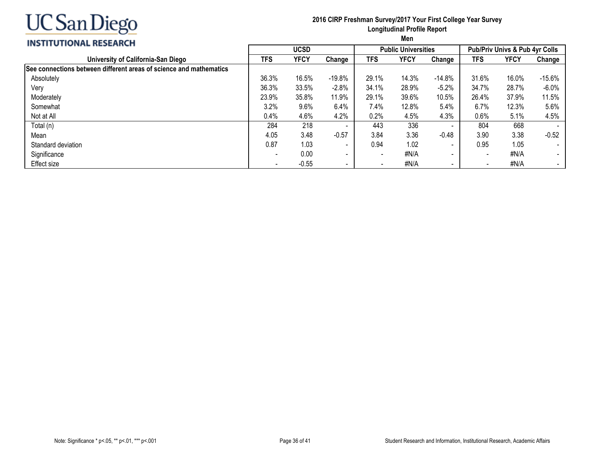

#### **2016 CIRP Freshman Survey/2017 Your First College Year Survey Longitudinal Profile Report Men**

# **INSTITUTIONAL RESEARCH**

| INSHI UTIUNAL KESEAKUM                                             |                                                                                                                                                                                                                                                                                                                                                                                                                                                                                                                                                                  |         |                          |  |      |                                |       |             |          |  |
|--------------------------------------------------------------------|------------------------------------------------------------------------------------------------------------------------------------------------------------------------------------------------------------------------------------------------------------------------------------------------------------------------------------------------------------------------------------------------------------------------------------------------------------------------------------------------------------------------------------------------------------------|---------|--------------------------|--|------|--------------------------------|-------|-------------|----------|--|
|                                                                    | <b>UCSD</b><br><b>Public Universities</b><br><b>YFCY</b><br><b>TFS</b><br>TFS<br>YFCY<br>Change<br>Change<br>36.3%<br>$-19.8%$<br>29.1%<br>16.5%<br>14.3%<br>$-14.8%$<br>36.3%<br>28.9%<br>$-5.2%$<br>33.5%<br>$-2.8%$<br>34.1%<br>23.9%<br>35.8%<br>11.9%<br>29.1%<br>39.6%<br>10.5%<br>6.4%<br>7.4%<br>3.2%<br>9.6%<br>12.8%<br>5.4%<br>4.2%<br>0.4%<br>4.3%<br>4.6%<br>0.2%<br>4.5%<br>336<br>284<br>218<br>443<br>$\overline{\phantom{a}}$<br>3.36<br>3.48<br>$-0.57$<br>3.84<br>4.05<br>$-0.48$<br>0.87<br>1.03<br>0.94<br>1.02<br>$\overline{\phantom{a}}$ |         |                          |  |      | Pub/Priv Univs & Pub 4yr Colls |       |             |          |  |
| University of California-San Diego                                 |                                                                                                                                                                                                                                                                                                                                                                                                                                                                                                                                                                  |         |                          |  |      |                                | TFS   | <b>YFCY</b> | Change   |  |
| See connections between different areas of science and mathematics |                                                                                                                                                                                                                                                                                                                                                                                                                                                                                                                                                                  |         |                          |  |      |                                |       |             |          |  |
| Absolutely                                                         |                                                                                                                                                                                                                                                                                                                                                                                                                                                                                                                                                                  |         |                          |  |      |                                | 31.6% | 16.0%       | $-15.6%$ |  |
| Very                                                               |                                                                                                                                                                                                                                                                                                                                                                                                                                                                                                                                                                  |         |                          |  |      |                                | 34.7% | 28.7%       | $-6.0%$  |  |
| Moderately                                                         |                                                                                                                                                                                                                                                                                                                                                                                                                                                                                                                                                                  |         |                          |  |      |                                | 26.4% | 37.9%       | 11.5%    |  |
| Somewhat                                                           |                                                                                                                                                                                                                                                                                                                                                                                                                                                                                                                                                                  |         |                          |  |      |                                | 6.7%  | 12.3%       | 5.6%     |  |
| Not at All                                                         |                                                                                                                                                                                                                                                                                                                                                                                                                                                                                                                                                                  |         |                          |  |      |                                | 0.6%  | 5.1%        | 4.5%     |  |
| Total (n)                                                          |                                                                                                                                                                                                                                                                                                                                                                                                                                                                                                                                                                  |         |                          |  |      |                                | 804   | 668         |          |  |
| Mean                                                               |                                                                                                                                                                                                                                                                                                                                                                                                                                                                                                                                                                  |         |                          |  |      |                                | 3.90  | 3.38        | $-0.52$  |  |
| Standard deviation                                                 |                                                                                                                                                                                                                                                                                                                                                                                                                                                                                                                                                                  |         |                          |  |      |                                | 0.95  | 1.05        |          |  |
| Significance                                                       | $\overline{\phantom{a}}$                                                                                                                                                                                                                                                                                                                                                                                                                                                                                                                                         | 0.00    | $\overline{\phantom{a}}$ |  | #N/A | $\sim$                         | $\,$  | #N/A        |          |  |
| Effect size                                                        | $\overline{\phantom{a}}$                                                                                                                                                                                                                                                                                                                                                                                                                                                                                                                                         | $-0.55$ | $\blacksquare$           |  | #N/A | $\sim$                         |       | #N/A        | $\sim$   |  |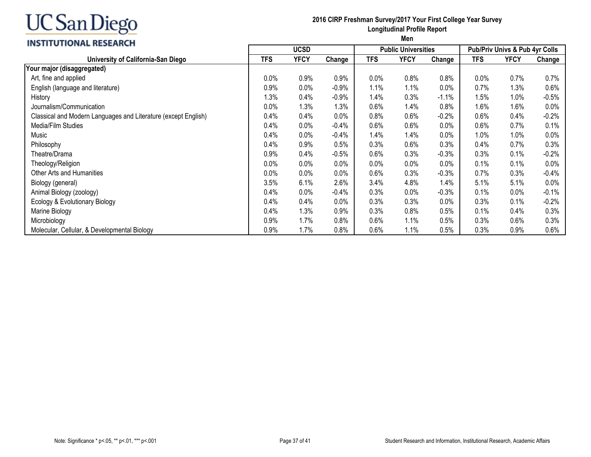#### **INSTITUTIONAL RESEARCH**

#### **2016 CIRP Freshman Survey/2017 Your First College Year Survey Longitudinal Profile Report**

|                                                                | <b>UCSD</b><br><b>Public Universities</b> |             |         |            | <b>Pub/Priv Univs &amp; Pub 4yr Colls</b> |         |            |             |         |
|----------------------------------------------------------------|-------------------------------------------|-------------|---------|------------|-------------------------------------------|---------|------------|-------------|---------|
| University of California-San Diego                             | <b>TFS</b>                                | <b>YFCY</b> | Change  | <b>TFS</b> | <b>YFCY</b>                               | Change  | <b>TFS</b> | <b>YFCY</b> | Change  |
| Your major (disaggregated)                                     |                                           |             |         |            |                                           |         |            |             |         |
| Art, fine and applied                                          | 0.0%                                      | 0.9%        | 0.9%    | 0.0%       | 0.8%                                      | 0.8%    | $0.0\%$    | 0.7%        | 0.7%    |
| English (language and literature)                              | 0.9%                                      | 0.0%        | $-0.9%$ | 1.1%       | 1.1%                                      | 0.0%    | 0.7%       | 1.3%        | 0.6%    |
| History                                                        | 1.3%                                      | 0.4%        | $-0.9%$ | 1.4%       | 0.3%                                      | $-1.1%$ | 1.5%       | 1.0%        | $-0.5%$ |
| Journalism/Communication                                       | 0.0%                                      | 1.3%        | 1.3%    | 0.6%       | 1.4%                                      | 0.8%    | 1.6%       | 1.6%        | $0.0\%$ |
| Classical and Modern Languages and Literature (except English) | 0.4%                                      | 0.4%        | 0.0%    | 0.8%       | 0.6%                                      | $-0.2%$ | 0.6%       | 0.4%        | $-0.2%$ |
| Media/Film Studies                                             | 0.4%                                      | 0.0%        | $-0.4%$ | 0.6%       | 0.6%                                      | 0.0%    | 0.6%       | 0.7%        | 0.1%    |
| Music                                                          | 0.4%                                      | 0.0%        | $-0.4%$ | 1.4%       | 1.4%                                      | 0.0%    | 1.0%       | 1.0%        | 0.0%    |
| Philosophy                                                     | 0.4%                                      | 0.9%        | 0.5%    | 0.3%       | 0.6%                                      | 0.3%    | 0.4%       | 0.7%        | 0.3%    |
| Theatre/Drama                                                  | 0.9%                                      | 0.4%        | $-0.5%$ | 0.6%       | 0.3%                                      | $-0.3%$ | 0.3%       | 0.1%        | $-0.2%$ |
| Theology/Religion                                              | 0.0%                                      | 0.0%        | $0.0\%$ | 0.0%       | 0.0%                                      | 0.0%    | 0.1%       | 0.1%        | $0.0\%$ |
| Other Arts and Humanities                                      | 0.0%                                      | 0.0%        | 0.0%    | 0.6%       | 0.3%                                      | $-0.3%$ | 0.7%       | 0.3%        | $-0.4%$ |
| Biology (general)                                              | 3.5%                                      | 6.1%        | $2.6\%$ | 3.4%       | 4.8%                                      | 1.4%    | 5.1%       | 5.1%        | $0.0\%$ |
| Animal Biology (zoology)                                       | 0.4%                                      | 0.0%        | $-0.4%$ | 0.3%       | 0.0%                                      | $-0.3%$ | 0.1%       | 0.0%        | $-0.1%$ |
| Ecology & Evolutionary Biology                                 | 0.4%                                      | 0.4%        | 0.0%    | 0.3%       | 0.3%                                      | 0.0%    | 0.3%       | 0.1%        | $-0.2%$ |
| Marine Biology                                                 | 0.4%                                      | 1.3%        | 0.9%    | 0.3%       | 0.8%                                      | 0.5%    | 0.1%       | 0.4%        | 0.3%    |
| Microbiology                                                   | 0.9%                                      | 1.7%        | 0.8%    | 0.6%       | 1.1%                                      | 0.5%    | 0.3%       | 0.6%        | 0.3%    |
| Molecular, Cellular, & Developmental Biology                   | 0.9%                                      | 1.7%        | 0.8%    | 0.6%       | 1.1%                                      | 0.5%    | 0.3%       | 0.9%        | 0.6%    |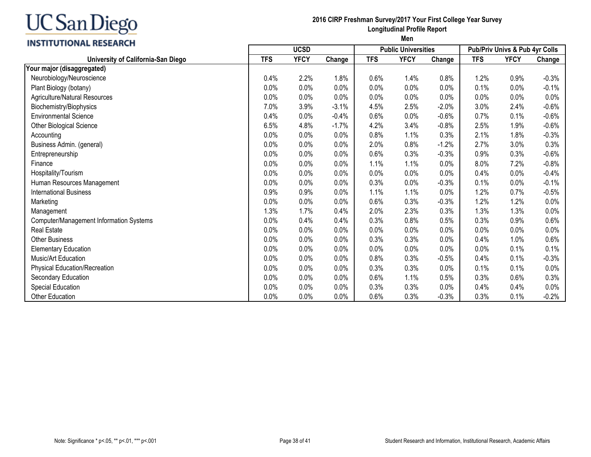

#### **2016 CIRP Freshman Survey/2017 Your First College Year Survey Longitudinal Profile Report**

|                                         | <b>UCSD</b> |             |         |            | <b>Public Universities</b> |         | Pub/Priv Univs & Pub 4yr Colls |             |         |
|-----------------------------------------|-------------|-------------|---------|------------|----------------------------|---------|--------------------------------|-------------|---------|
| University of California-San Diego      | <b>TFS</b>  | <b>YFCY</b> | Change  | <b>TFS</b> | <b>YFCY</b>                | Change  | <b>TFS</b>                     | <b>YFCY</b> | Change  |
| Your major (disaggregated)              |             |             |         |            |                            |         |                                |             |         |
| Neurobiology/Neuroscience               | 0.4%        | 2.2%        | 1.8%    | 0.6%       | 1.4%                       | 0.8%    | 1.2%                           | 0.9%        | $-0.3%$ |
| Plant Biology (botany)                  | 0.0%        | 0.0%        | 0.0%    | 0.0%       | 0.0%                       | 0.0%    | 0.1%                           | 0.0%        | $-0.1%$ |
| Agriculture/Natural Resources           | 0.0%        | 0.0%        | 0.0%    | 0.0%       | 0.0%                       | 0.0%    | 0.0%                           | 0.0%        | 0.0%    |
| Biochemistry/Biophysics                 | 7.0%        | 3.9%        | $-3.1%$ | 4.5%       | 2.5%                       | $-2.0%$ | 3.0%                           | 2.4%        | $-0.6%$ |
| <b>Environmental Science</b>            | 0.4%        | 0.0%        | $-0.4%$ | 0.6%       | 0.0%                       | $-0.6%$ | 0.7%                           | 0.1%        | $-0.6%$ |
| <b>Other Biological Science</b>         | 6.5%        | 4.8%        | $-1.7%$ | 4.2%       | 3.4%                       | $-0.8%$ | 2.5%                           | 1.9%        | $-0.6%$ |
| Accounting                              | 0.0%        | 0.0%        | 0.0%    | 0.8%       | 1.1%                       | 0.3%    | 2.1%                           | 1.8%        | $-0.3%$ |
| Business Admin. (general)               | 0.0%        | 0.0%        | 0.0%    | 2.0%       | 0.8%                       | $-1.2%$ | 2.7%                           | 3.0%        | 0.3%    |
| Entrepreneurship                        | 0.0%        | 0.0%        | 0.0%    | 0.6%       | 0.3%                       | $-0.3%$ | 0.9%                           | 0.3%        | $-0.6%$ |
| Finance                                 | 0.0%        | 0.0%        | 0.0%    | 1.1%       | 1.1%                       | 0.0%    | 8.0%                           | 7.2%        | $-0.8%$ |
| Hospitality/Tourism                     | 0.0%        | 0.0%        | 0.0%    | 0.0%       | 0.0%                       | 0.0%    | 0.4%                           | $0.0\%$     | $-0.4%$ |
| Human Resources Management              | 0.0%        | 0.0%        | 0.0%    | 0.3%       | 0.0%                       | $-0.3%$ | 0.1%                           | 0.0%        | $-0.1%$ |
| <b>International Business</b>           | 0.9%        | 0.9%        | 0.0%    | 1.1%       | 1.1%                       | 0.0%    | 1.2%                           | 0.7%        | $-0.5%$ |
| Marketing                               | 0.0%        | 0.0%        | 0.0%    | 0.6%       | 0.3%                       | $-0.3%$ | 1.2%                           | 1.2%        | 0.0%    |
| Management                              | 1.3%        | 1.7%        | 0.4%    | 2.0%       | 2.3%                       | 0.3%    | 1.3%                           | 1.3%        | $0.0\%$ |
| Computer/Management Information Systems | 0.0%        | 0.4%        | 0.4%    | 0.3%       | 0.8%                       | 0.5%    | 0.3%                           | 0.9%        | 0.6%    |
| <b>Real Estate</b>                      | 0.0%        | 0.0%        | 0.0%    | 0.0%       | 0.0%                       | 0.0%    | 0.0%                           | 0.0%        | 0.0%    |
| <b>Other Business</b>                   | 0.0%        | 0.0%        | 0.0%    | 0.3%       | 0.3%                       | 0.0%    | 0.4%                           | 1.0%        | 0.6%    |
| <b>Elementary Education</b>             | 0.0%        | 0.0%        | 0.0%    | 0.0%       | 0.0%                       | 0.0%    | 0.0%                           | 0.1%        | 0.1%    |
| Music/Art Education                     | 0.0%        | 0.0%        | 0.0%    | 0.8%       | 0.3%                       | $-0.5%$ | 0.4%                           | 0.1%        | $-0.3%$ |
| Physical Education/Recreation           | 0.0%        | 0.0%        | 0.0%    | 0.3%       | 0.3%                       | 0.0%    | 0.1%                           | 0.1%        | 0.0%    |
| Secondary Education                     | 0.0%        | 0.0%        | 0.0%    | 0.6%       | 1.1%                       | 0.5%    | 0.3%                           | 0.6%        | 0.3%    |
| Special Education                       | 0.0%        | 0.0%        | 0.0%    | 0.3%       | 0.3%                       | 0.0%    | 0.4%                           | 0.4%        | 0.0%    |
| Other Education                         | 0.0%        | 0.0%        | 0.0%    | 0.6%       | 0.3%                       | $-0.3%$ | 0.3%                           | 0.1%        | $-0.2%$ |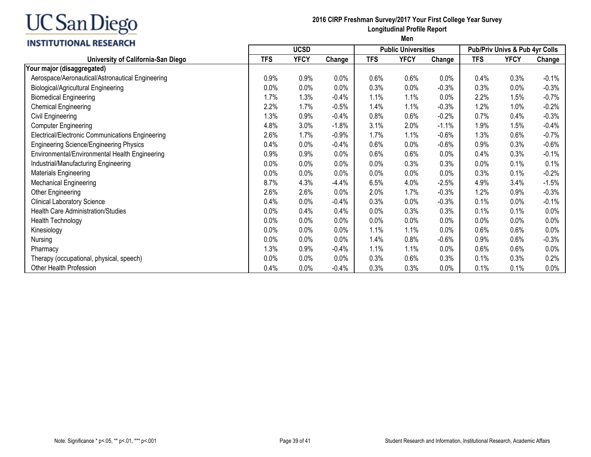### **INSTITUTIONAL RESEARCH**

#### **2016 CIRP Freshman Survey/2017 Your First College Year Survey Longitudinal Profile Report**

|                                                  | <b>UCSD</b> |             |         |            | <b>Public Universities</b> |         |            | Pub/Priv Univs & Pub 4yr Colls |          |  |
|--------------------------------------------------|-------------|-------------|---------|------------|----------------------------|---------|------------|--------------------------------|----------|--|
| University of California-San Diego               | <b>TFS</b>  | <b>YFCY</b> | Change  | <b>TFS</b> | <b>YFCY</b>                | Change  | <b>TFS</b> | <b>YFCY</b>                    | Change   |  |
| Your major (disaggregated)                       |             |             |         |            |                            |         |            |                                |          |  |
| Aerospace/Aeronautical/Astronautical Engineering | 0.9%        | 0.9%        | 0.0%    | 0.6%       | 0.6%                       | 0.0%    | 0.4%       | 0.3%                           | $-0.1%$  |  |
| <b>Biological/Agricultural Engineering</b>       | 0.0%        | 0.0%        | 0.0%    | 0.3%       | 0.0%                       | $-0.3%$ | 0.3%       | 0.0%                           | $-0.3%$  |  |
| <b>Biomedical Engineering</b>                    | 1.7%        | 1.3%        | $-0.4%$ | 1.1%       | 1.1%                       | 0.0%    | 2.2%       | 1.5%                           | $-0.7%$  |  |
| <b>Chemical Engineering</b>                      | 2.2%        | 1.7%        | $-0.5%$ | 1.4%       | 1.1%                       | $-0.3%$ | 1.2%       | 1.0%                           | $-0.2%$  |  |
| Civil Engineering                                | 1.3%        | 0.9%        | $-0.4%$ | 0.8%       | 0.6%                       | $-0.2%$ | 0.7%       | 0.4%                           | $-0.3%$  |  |
| <b>Computer Engineering</b>                      | 4.8%        | 3.0%        | $-1.8%$ | 3.1%       | 2.0%                       | $-1.1%$ | 1.9%       | 1.5%                           | $-0.4\%$ |  |
| Electrical/Electronic Communications Engineering | 2.6%        | 1.7%        | $-0.9%$ | 1.7%       | 1.1%                       | $-0.6%$ | 1.3%       | 0.6%                           | $-0.7%$  |  |
| <b>Engineering Science/Engineering Physics</b>   | 0.4%        | 0.0%        | $-0.4%$ | 0.6%       | 0.0%                       | $-0.6%$ | 0.9%       | 0.3%                           | $-0.6%$  |  |
| Environmental/Environmental Health Engineering   | 0.9%        | 0.9%        | 0.0%    | 0.6%       | 0.6%                       | 0.0%    | 0.4%       | 0.3%                           | $-0.1%$  |  |
| Industrial/Manufacturing Engineering             | 0.0%        | 0.0%        | 0.0%    | 0.0%       | 0.3%                       | 0.3%    | $0.0\%$    | 0.1%                           | 0.1%     |  |
| Materials Engineering                            | 0.0%        | 0.0%        | 0.0%    | 0.0%       | 0.0%                       | 0.0%    | 0.3%       | 0.1%                           | $-0.2%$  |  |
| <b>Mechanical Engineering</b>                    | 8.7%        | 4.3%        | $-4.4%$ | 6.5%       | 4.0%                       | $-2.5%$ | 4.9%       | 3.4%                           | $-1.5%$  |  |
| Other Engineering                                | 2.6%        | 2.6%        | 0.0%    | 2.0%       | 1.7%                       | $-0.3%$ | 1.2%       | 0.9%                           | $-0.3%$  |  |
| <b>Clinical Laboratory Science</b>               | 0.4%        | 0.0%        | $-0.4%$ | 0.3%       | 0.0%                       | $-0.3%$ | 0.1%       | 0.0%                           | $-0.1%$  |  |
| <b>Health Care Administration/Studies</b>        | 0.0%        | 0.4%        | 0.4%    | 0.0%       | 0.3%                       | 0.3%    | 0.1%       | 0.1%                           | 0.0%     |  |
| Health Technology                                | 0.0%        | 0.0%        | 0.0%    | 0.0%       | 0.0%                       | 0.0%    | $0.0\%$    | 0.0%                           | $0.0\%$  |  |
| Kinesiology                                      | 0.0%        | 0.0%        | 0.0%    | 1.1%       | 1.1%                       | 0.0%    | 0.6%       | 0.6%                           | 0.0%     |  |
| Nursing                                          | 0.0%        | 0.0%        | 0.0%    | 1.4%       | 0.8%                       | $-0.6%$ | 0.9%       | 0.6%                           | $-0.3%$  |  |
| Pharmacy                                         | 1.3%        | 0.9%        | $-0.4%$ | 1.1%       | 1.1%                       | 0.0%    | 0.6%       | 0.6%                           | 0.0%     |  |
| Therapy (occupational, physical, speech)         | 0.0%        | 0.0%        | 0.0%    | 0.3%       | 0.6%                       | 0.3%    | 0.1%       | 0.3%                           | 0.2%     |  |
| Other Health Profession                          | 0.4%        | 0.0%        | $-0.4%$ | 0.3%       | 0.3%                       | 0.0%    | 0.1%       | 0.1%                           | 0.0%     |  |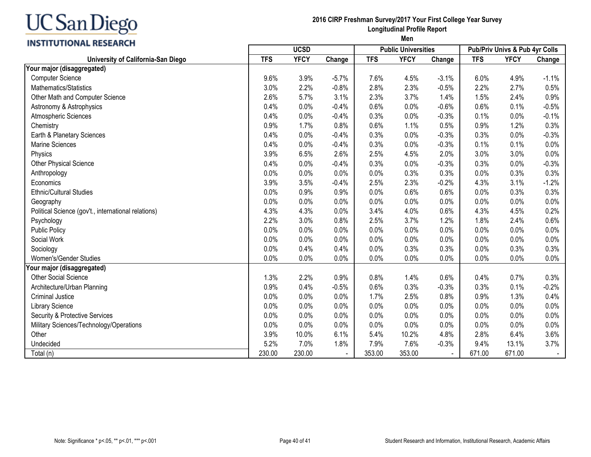# **INSTITUTIONAL RESEARCH**

#### **2016 CIRP Freshman Survey/2017 Your First College Year Survey Longitudinal Profile Report**

|                                                     |            | <b>UCSD</b> |                | <b>Public Universities</b> |             |                | Pub/Priv Univs & Pub 4yr Colls |             |         |  |
|-----------------------------------------------------|------------|-------------|----------------|----------------------------|-------------|----------------|--------------------------------|-------------|---------|--|
| University of California-San Diego                  | <b>TFS</b> | <b>YFCY</b> | Change         | <b>TFS</b>                 | <b>YFCY</b> | Change         | <b>TFS</b>                     | <b>YFCY</b> | Change  |  |
| Your major (disaggregated)                          |            |             |                |                            |             |                |                                |             |         |  |
| <b>Computer Science</b>                             | 9.6%       | 3.9%        | $-5.7%$        | 7.6%                       | 4.5%        | $-3.1%$        | 6.0%                           | 4.9%        | $-1.1%$ |  |
| Mathematics/Statistics                              | 3.0%       | 2.2%        | $-0.8%$        | 2.8%                       | 2.3%        | $-0.5%$        | 2.2%                           | 2.7%        | 0.5%    |  |
| Other Math and Computer Science                     | 2.6%       | 5.7%        | 3.1%           | 2.3%                       | 3.7%        | 1.4%           | 1.5%                           | 2.4%        | 0.9%    |  |
| Astronomy & Astrophysics                            | 0.4%       | 0.0%        | $-0.4%$        | 0.6%                       | 0.0%        | $-0.6%$        | 0.6%                           | 0.1%        | $-0.5%$ |  |
| Atmospheric Sciences                                | 0.4%       | 0.0%        | $-0.4%$        | 0.3%                       | 0.0%        | $-0.3%$        | 0.1%                           | 0.0%        | $-0.1%$ |  |
| Chemistry                                           | 0.9%       | 1.7%        | 0.8%           | 0.6%                       | 1.1%        | 0.5%           | 0.9%                           | 1.2%        | 0.3%    |  |
| Earth & Planetary Sciences                          | 0.4%       | 0.0%        | $-0.4%$        | 0.3%                       | 0.0%        | $-0.3%$        | 0.3%                           | 0.0%        | $-0.3%$ |  |
| Marine Sciences                                     | 0.4%       | 0.0%        | $-0.4%$        | 0.3%                       | 0.0%        | $-0.3%$        | 0.1%                           | 0.1%        | 0.0%    |  |
| Physics                                             | 3.9%       | 6.5%        | 2.6%           | 2.5%                       | 4.5%        | 2.0%           | 3.0%                           | 3.0%        | 0.0%    |  |
| Other Physical Science                              | 0.4%       | 0.0%        | $-0.4%$        | 0.3%                       | 0.0%        | $-0.3%$        | 0.3%                           | 0.0%        | $-0.3%$ |  |
| Anthropology                                        | 0.0%       | 0.0%        | 0.0%           | 0.0%                       | 0.3%        | 0.3%           | 0.0%                           | 0.3%        | 0.3%    |  |
| Economics                                           | 3.9%       | 3.5%        | $-0.4%$        | 2.5%                       | 2.3%        | $-0.2%$        | 4.3%                           | 3.1%        | $-1.2%$ |  |
| <b>Ethnic/Cultural Studies</b>                      | 0.0%       | 0.9%        | 0.9%           | 0.0%                       | 0.6%        | 0.6%           | 0.0%                           | 0.3%        | 0.3%    |  |
| Geography                                           | 0.0%       | 0.0%        | 0.0%           | 0.0%                       | 0.0%        | 0.0%           | 0.0%                           | 0.0%        | 0.0%    |  |
| Political Science (gov't., international relations) | 4.3%       | 4.3%        | 0.0%           | 3.4%                       | 4.0%        | 0.6%           | 4.3%                           | 4.5%        | 0.2%    |  |
| Psychology                                          | 2.2%       | 3.0%        | 0.8%           | 2.5%                       | 3.7%        | 1.2%           | 1.8%                           | 2.4%        | 0.6%    |  |
| <b>Public Policy</b>                                | 0.0%       | 0.0%        | 0.0%           | 0.0%                       | 0.0%        | 0.0%           | 0.0%                           | 0.0%        | 0.0%    |  |
| Social Work                                         | 0.0%       | 0.0%        | 0.0%           | 0.0%                       | 0.0%        | 0.0%           | 0.0%                           | 0.0%        | 0.0%    |  |
| Sociology                                           | 0.0%       | 0.4%        | 0.4%           | 0.0%                       | 0.3%        | 0.3%           | 0.0%                           | 0.3%        | 0.3%    |  |
| Women's/Gender Studies                              | 0.0%       | 0.0%        | 0.0%           | 0.0%                       | 0.0%        | 0.0%           | 0.0%                           | 0.0%        | $0.0\%$ |  |
| Your major (disaggregated)                          |            |             |                |                            |             |                |                                |             |         |  |
| <b>Other Social Science</b>                         | 1.3%       | 2.2%        | 0.9%           | 0.8%                       | 1.4%        | 0.6%           | 0.4%                           | 0.7%        | 0.3%    |  |
| Architecture/Urban Planning                         | 0.9%       | 0.4%        | $-0.5%$        | 0.6%                       | 0.3%        | $-0.3%$        | 0.3%                           | 0.1%        | $-0.2%$ |  |
| <b>Criminal Justice</b>                             | 0.0%       | 0.0%        | 0.0%           | 1.7%                       | 2.5%        | 0.8%           | 0.9%                           | 1.3%        | 0.4%    |  |
| Library Science                                     | 0.0%       | 0.0%        | 0.0%           | 0.0%                       | 0.0%        | 0.0%           | 0.0%                           | 0.0%        | 0.0%    |  |
| Security & Protective Services                      | 0.0%       | 0.0%        | 0.0%           | 0.0%                       | 0.0%        | 0.0%           | 0.0%                           | 0.0%        | 0.0%    |  |
| Military Sciences/Technology/Operations             | 0.0%       | 0.0%        | 0.0%           | 0.0%                       | 0.0%        | 0.0%           | 0.0%                           | 0.0%        | 0.0%    |  |
| Other                                               | 3.9%       | 10.0%       | 6.1%           | 5.4%                       | 10.2%       | 4.8%           | 2.8%                           | 6.4%        | 3.6%    |  |
| Undecided                                           | 5.2%       | 7.0%        | 1.8%           | 7.9%                       | 7.6%        | $-0.3%$        | 9.4%                           | 13.1%       | 3.7%    |  |
| Total (n)                                           | 230.00     | 230.00      | $\blacksquare$ | 353.00                     | 353.00      | $\blacksquare$ | 671.00                         | 671.00      |         |  |